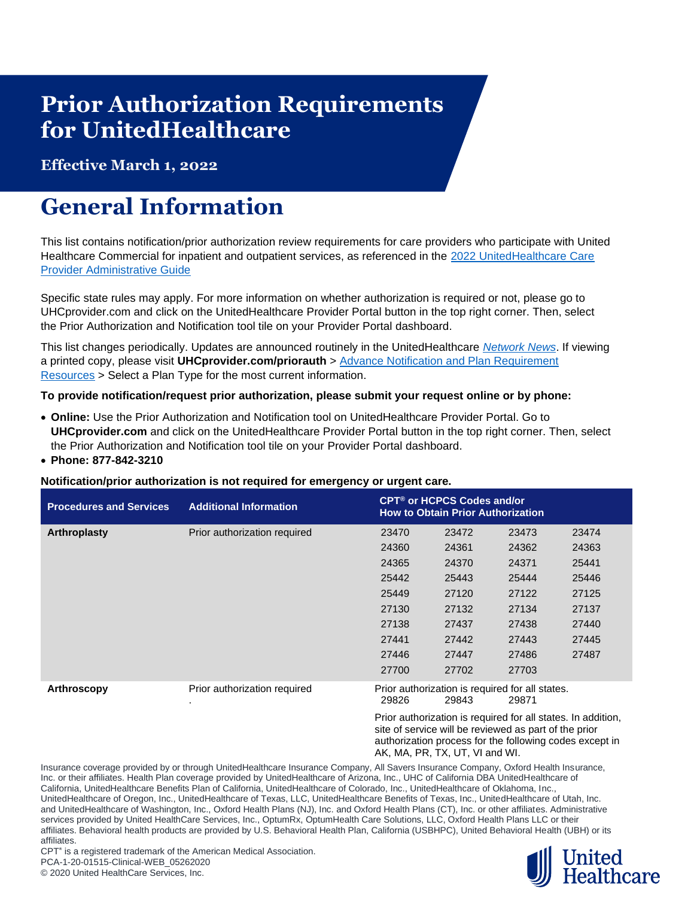## **Prior Authorization Requirements for UnitedHealthcare**

**Effective March 1, 2022**

## **General Information**

This list contains notification/prior authorization review requirements for care providers who participate with United Healthcare Commercial for inpatient and outpatient services, as referenced in the 2022 UnitedHealthcare Care [Provider Administrative Guide](https://www.uhcprovider.com/en/admin-guides/administrative-guides-manuals-2022.html)

Specific state rules may apply. For more information on whether authorization is required or not, please go to UHCprovider.com and click on the UnitedHealthcare Provider Portal button in the top right corner. Then, select the Prior Authorization and Notification tool tile on your Provider Portal dashboard.

This list changes periodically. Updates are announced routinely in the UnitedHealthcare *[Network News](https://www.uhcprovider.com/en/resource-library/news.html)*. If viewing a printed copy, please visit **UHCprovider.com/priorauth** > [Advance Notification and Plan Requirement](https://www.uhcprovider.com/en/prior-auth-advance-notification/adv-notification-plan-reqs.html)  [Resources](https://www.uhcprovider.com/en/prior-auth-advance-notification/adv-notification-plan-reqs.html) > Select a Plan Type for the most current information.

## **To provide notification/request prior authorization, please submit your request online or by phone:**

- **Online:** Use the Prior Authorization and Notification tool on UnitedHealthcare Provider Portal. Go to **UHCprovider.com** and click on the UnitedHealthcare Provider Portal button in the top right corner. Then, select the Prior Authorization and Notification tool tile on your Provider Portal dashboard.
- **Phone: 877-842-3210**

## **Notification/prior authorization is not required for emergency or urgent care.**

| <b>Procedures and Services</b> | <b>Additional Information</b> | CPT <sup>®</sup> or HCPCS Codes and/or<br><b>How to Obtain Prior Authorization</b> |                                                          |       |       |  |
|--------------------------------|-------------------------------|------------------------------------------------------------------------------------|----------------------------------------------------------|-------|-------|--|
| Arthroplasty                   | Prior authorization required  | 23470                                                                              | 23472                                                    | 23473 | 23474 |  |
|                                |                               | 24360                                                                              | 24361                                                    | 24362 | 24363 |  |
|                                |                               | 24365                                                                              | 24370                                                    | 24371 | 25441 |  |
|                                |                               | 25442                                                                              | 25443                                                    | 25444 | 25446 |  |
|                                |                               | 25449                                                                              | 27120                                                    | 27122 | 27125 |  |
|                                |                               | 27130                                                                              | 27132                                                    | 27134 | 27137 |  |
|                                |                               | 27138                                                                              | 27437                                                    | 27438 | 27440 |  |
|                                |                               | 27441                                                                              | 27442                                                    | 27443 | 27445 |  |
|                                |                               | 27446                                                                              | 27447                                                    | 27486 | 27487 |  |
|                                |                               | 27700                                                                              | 27702                                                    | 27703 |       |  |
| Arthroscopy                    | Prior authorization required  | 29826                                                                              | Prior authorization is required for all states.<br>29843 | 29871 |       |  |

Prior authorization is required for all states. In addition, site of service will be reviewed as part of the prior authorization process for the following codes except in AK, MA, PR, TX, UT, VI and WI.

Insurance coverage provided by or through UnitedHealthcare Insurance Company, All Savers Insurance Company, Oxford Health Insurance, Inc. or their affiliates. Health Plan coverage provided by UnitedHealthcare of Arizona, Inc., UHC of California DBA UnitedHealthcare of California, UnitedHealthcare Benefits Plan of California, UnitedHealthcare of Colorado, Inc., UnitedHealthcare of Oklahoma, Inc., UnitedHealthcare of Oregon, Inc., UnitedHealthcare of Texas, LLC, UnitedHealthcare Benefits of Texas, Inc., UnitedHealthcare of Utah, Inc. and UnitedHealthcare of Washington, Inc., Oxford Health Plans (NJ), Inc. and Oxford Health Plans (CT), Inc. or other affiliates. Administrative services provided by United HealthCare Services, Inc., OptumRx, OptumHealth Care Solutions, LLC, Oxford Health Plans LLC or their affiliates. Behavioral health products are provided by U.S. Behavioral Health Plan, California (USBHPC), United Behavioral Health (UBH) or its affiliates.

**Healthcare** 

CPT<sup>®</sup> is a registered trademark of the American Medical Association. PCA-1-20-01515-Clinical-WEB\_05262020

© 2020 United HealthCare Services, Inc.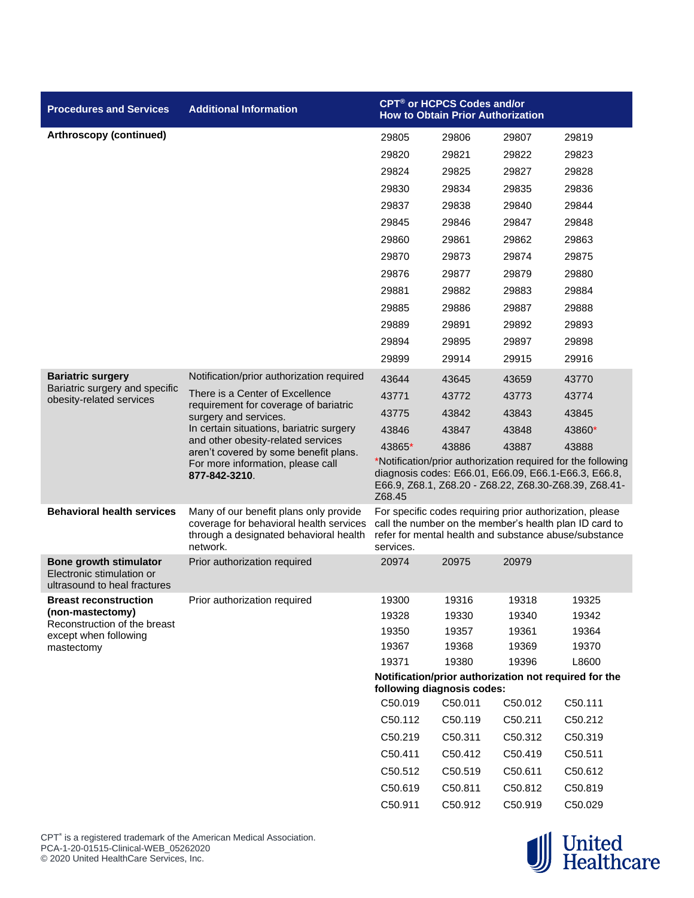| <b>Procedures and Services</b>                                                             | <b>Additional Information</b>                                                                                                                                                                                                                                                      | CPT <sup>®</sup> or HCPCS Codes and/or<br><b>How to Obtain Prior Authorization</b>                                                                                                      |                            |         |                                                                                                                                                                             |  |
|--------------------------------------------------------------------------------------------|------------------------------------------------------------------------------------------------------------------------------------------------------------------------------------------------------------------------------------------------------------------------------------|-----------------------------------------------------------------------------------------------------------------------------------------------------------------------------------------|----------------------------|---------|-----------------------------------------------------------------------------------------------------------------------------------------------------------------------------|--|
| Arthroscopy (continued)                                                                    |                                                                                                                                                                                                                                                                                    | 29805                                                                                                                                                                                   | 29806                      | 29807   | 29819                                                                                                                                                                       |  |
|                                                                                            |                                                                                                                                                                                                                                                                                    | 29820                                                                                                                                                                                   | 29821                      | 29822   | 29823                                                                                                                                                                       |  |
|                                                                                            |                                                                                                                                                                                                                                                                                    | 29824                                                                                                                                                                                   | 29825                      | 29827   | 29828                                                                                                                                                                       |  |
|                                                                                            |                                                                                                                                                                                                                                                                                    | 29830                                                                                                                                                                                   | 29834                      | 29835   | 29836                                                                                                                                                                       |  |
|                                                                                            |                                                                                                                                                                                                                                                                                    | 29837                                                                                                                                                                                   | 29838                      | 29840   | 29844                                                                                                                                                                       |  |
|                                                                                            |                                                                                                                                                                                                                                                                                    | 29845                                                                                                                                                                                   | 29846                      | 29847   | 29848                                                                                                                                                                       |  |
|                                                                                            |                                                                                                                                                                                                                                                                                    | 29860                                                                                                                                                                                   | 29861                      | 29862   | 29863                                                                                                                                                                       |  |
|                                                                                            |                                                                                                                                                                                                                                                                                    | 29870                                                                                                                                                                                   | 29873                      | 29874   | 29875                                                                                                                                                                       |  |
|                                                                                            |                                                                                                                                                                                                                                                                                    | 29876                                                                                                                                                                                   | 29877                      | 29879   | 29880                                                                                                                                                                       |  |
|                                                                                            |                                                                                                                                                                                                                                                                                    | 29881                                                                                                                                                                                   | 29882                      | 29883   | 29884                                                                                                                                                                       |  |
|                                                                                            |                                                                                                                                                                                                                                                                                    | 29885                                                                                                                                                                                   | 29886                      | 29887   | 29888                                                                                                                                                                       |  |
|                                                                                            |                                                                                                                                                                                                                                                                                    | 29889                                                                                                                                                                                   | 29891                      | 29892   | 29893                                                                                                                                                                       |  |
|                                                                                            |                                                                                                                                                                                                                                                                                    | 29894                                                                                                                                                                                   | 29895                      | 29897   | 29898                                                                                                                                                                       |  |
|                                                                                            |                                                                                                                                                                                                                                                                                    | 29899                                                                                                                                                                                   | 29914                      | 29915   | 29916                                                                                                                                                                       |  |
| <b>Bariatric surgery</b>                                                                   | Notification/prior authorization required                                                                                                                                                                                                                                          | 43644                                                                                                                                                                                   | 43645                      | 43659   | 43770                                                                                                                                                                       |  |
| Bariatric surgery and specific<br>obesity-related services                                 | There is a Center of Excellence<br>requirement for coverage of bariatric<br>surgery and services.<br>In certain situations, bariatric surgery<br>and other obesity-related services<br>aren't covered by some benefit plans.<br>For more information, please call<br>877-842-3210. | 43771                                                                                                                                                                                   | 43772                      | 43773   | 43774                                                                                                                                                                       |  |
|                                                                                            |                                                                                                                                                                                                                                                                                    | 43775                                                                                                                                                                                   | 43842                      | 43843   | 43845                                                                                                                                                                       |  |
|                                                                                            |                                                                                                                                                                                                                                                                                    | 43846                                                                                                                                                                                   | 43847                      | 43848   | 43860*                                                                                                                                                                      |  |
|                                                                                            |                                                                                                                                                                                                                                                                                    | 43865*                                                                                                                                                                                  | 43886                      | 43887   | 43888                                                                                                                                                                       |  |
|                                                                                            |                                                                                                                                                                                                                                                                                    | *Notification/prior authorization required for the following<br>diagnosis codes: E66.01, E66.09, E66.1-E66.3, E66.8,<br>E66.9, Z68.1, Z68.20 - Z68.22, Z68.30-Z68.39, Z68.41-<br>Z68.45 |                            |         |                                                                                                                                                                             |  |
| <b>Behavioral health services</b>                                                          | Many of our benefit plans only provide<br>coverage for behavioral health services<br>through a designated behavioral health<br>network.                                                                                                                                            | services.                                                                                                                                                                               |                            |         | For specific codes requiring prior authorization, please<br>call the number on the member's health plan ID card to<br>refer for mental health and substance abuse/substance |  |
| <b>Bone growth stimulator</b><br>Electronic stimulation or<br>ultrasound to heal fractures | Prior authorization required                                                                                                                                                                                                                                                       | 20974                                                                                                                                                                                   | 20975                      | 20979   |                                                                                                                                                                             |  |
| <b>Breast reconstruction</b>                                                               | Prior authorization required                                                                                                                                                                                                                                                       | 19300                                                                                                                                                                                   | 19316                      | 19318   | 19325                                                                                                                                                                       |  |
| (non-mastectomy)<br>Reconstruction of the breast                                           |                                                                                                                                                                                                                                                                                    | 19328                                                                                                                                                                                   | 19330                      | 19340   | 19342                                                                                                                                                                       |  |
| except when following                                                                      |                                                                                                                                                                                                                                                                                    | 19350                                                                                                                                                                                   | 19357                      | 19361   | 19364                                                                                                                                                                       |  |
| mastectomy                                                                                 |                                                                                                                                                                                                                                                                                    | 19367                                                                                                                                                                                   | 19368                      | 19369   | 19370                                                                                                                                                                       |  |
|                                                                                            |                                                                                                                                                                                                                                                                                    | 19371                                                                                                                                                                                   | 19380                      | 19396   | L8600                                                                                                                                                                       |  |
|                                                                                            |                                                                                                                                                                                                                                                                                    |                                                                                                                                                                                         | following diagnosis codes: |         | Notification/prior authorization not required for the                                                                                                                       |  |
|                                                                                            |                                                                                                                                                                                                                                                                                    | C50.019                                                                                                                                                                                 | C50.011                    | C50.012 | C50.111                                                                                                                                                                     |  |
|                                                                                            |                                                                                                                                                                                                                                                                                    | C50.112                                                                                                                                                                                 | C50.119                    | C50.211 | C50.212                                                                                                                                                                     |  |
|                                                                                            |                                                                                                                                                                                                                                                                                    | C50.219                                                                                                                                                                                 | C50.311                    | C50.312 | C50.319                                                                                                                                                                     |  |
|                                                                                            |                                                                                                                                                                                                                                                                                    | C50.411                                                                                                                                                                                 | C50.412                    | C50.419 | C50.511                                                                                                                                                                     |  |
|                                                                                            |                                                                                                                                                                                                                                                                                    | C50.512                                                                                                                                                                                 | C50.519                    | C50.611 | C50.612                                                                                                                                                                     |  |
|                                                                                            |                                                                                                                                                                                                                                                                                    | C50.619                                                                                                                                                                                 | C50.811                    | C50.812 | C50.819                                                                                                                                                                     |  |
|                                                                                            |                                                                                                                                                                                                                                                                                    | C50.911                                                                                                                                                                                 | C50.912                    | C50.919 | C50.029                                                                                                                                                                     |  |

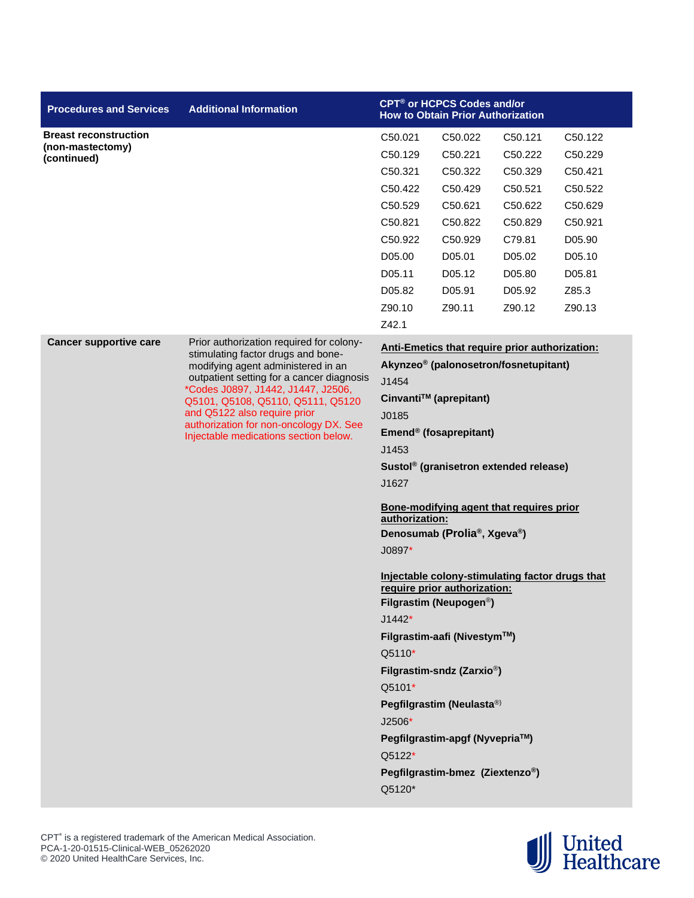| <b>Breast reconstruction</b><br>C50.021<br>C50.022<br>C50.121<br>C50.122<br>(non-mastectomy)<br>C50.221<br>C50.129<br>C50.222<br>C50.229<br>(continued)<br>C50.321<br>C50.322<br>C50.329<br>C50.421<br>C50.422<br>C50.429<br>C50.521<br>C50.522<br>C50.621<br>C50.529<br>C50.622<br>C50.629<br>C50.821<br>C50.822<br>C50.829<br>C50.921<br>C50.922<br>C50.929<br>C79.81<br>D05.90<br>D05.00<br>D05.01<br>D05.02<br>D05.10<br>D05.11<br>D05.12<br>D05.80<br>D05.81<br>D05.82<br>D05.91<br>Z85.3<br>D05.92<br>Z90.10<br>Z90.11<br>Z90.12<br>Z90.13<br>Z42.1<br><b>Cancer supportive care</b><br>Prior authorization required for colony-<br>Anti-Emetics that require prior authorization:<br>stimulating factor drugs and bone-<br>Akynzeo® (palonosetron/fosnetupitant)<br>modifying agent administered in an<br>outpatient setting for a cancer diagnosis<br>J1454<br>*Codes J0897, J1442, J1447, J2506,<br>Cinvanti™ (aprepitant)<br>Q5101, Q5108, Q5110, Q5111, Q5120<br>and Q5122 also require prior<br>J0185<br>authorization for non-oncology DX. See<br>Emend® (fosaprepitant)<br>Injectable medications section below.<br>J1453<br>Sustol <sup>®</sup> (granisetron extended release)<br>J1627<br>Bone-modifying agent that requires prior<br>authorization:<br>Denosumab (Prolia®, Xgeva®)<br>J0897*<br>Injectable colony-stimulating factor drugs that<br>require prior authorization:<br>Filgrastim (Neupogen <sup>®</sup> )<br>$J1442*$<br>Filgrastim-aafi (Nivestym™)<br>Q5110*<br>Filgrastim-sndz (Zarxio <sup>®</sup> )<br>Q5101*<br>Pegfilgrastim (Neulasta®)<br>J2506*<br>Pegfilgrastim-apgf (Nyvepria™)<br>Q5122*<br>Pegfilgrastim-bmez (Ziextenzo®)<br>Q5120* | <b>Procedures and Services</b> | <b>Additional Information</b> | CPT <sup>®</sup> or HCPCS Codes and/or<br><b>How to Obtain Prior Authorization</b> |  |  |  |  |
|----------------------------------------------------------------------------------------------------------------------------------------------------------------------------------------------------------------------------------------------------------------------------------------------------------------------------------------------------------------------------------------------------------------------------------------------------------------------------------------------------------------------------------------------------------------------------------------------------------------------------------------------------------------------------------------------------------------------------------------------------------------------------------------------------------------------------------------------------------------------------------------------------------------------------------------------------------------------------------------------------------------------------------------------------------------------------------------------------------------------------------------------------------------------------------------------------------------------------------------------------------------------------------------------------------------------------------------------------------------------------------------------------------------------------------------------------------------------------------------------------------------------------------------------------------------------------------------------------------------------------------------------------------------------------------|--------------------------------|-------------------------------|------------------------------------------------------------------------------------|--|--|--|--|
|                                                                                                                                                                                                                                                                                                                                                                                                                                                                                                                                                                                                                                                                                                                                                                                                                                                                                                                                                                                                                                                                                                                                                                                                                                                                                                                                                                                                                                                                                                                                                                                                                                                                                  |                                |                               |                                                                                    |  |  |  |  |
|                                                                                                                                                                                                                                                                                                                                                                                                                                                                                                                                                                                                                                                                                                                                                                                                                                                                                                                                                                                                                                                                                                                                                                                                                                                                                                                                                                                                                                                                                                                                                                                                                                                                                  |                                |                               |                                                                                    |  |  |  |  |
|                                                                                                                                                                                                                                                                                                                                                                                                                                                                                                                                                                                                                                                                                                                                                                                                                                                                                                                                                                                                                                                                                                                                                                                                                                                                                                                                                                                                                                                                                                                                                                                                                                                                                  |                                |                               |                                                                                    |  |  |  |  |
|                                                                                                                                                                                                                                                                                                                                                                                                                                                                                                                                                                                                                                                                                                                                                                                                                                                                                                                                                                                                                                                                                                                                                                                                                                                                                                                                                                                                                                                                                                                                                                                                                                                                                  |                                |                               |                                                                                    |  |  |  |  |
|                                                                                                                                                                                                                                                                                                                                                                                                                                                                                                                                                                                                                                                                                                                                                                                                                                                                                                                                                                                                                                                                                                                                                                                                                                                                                                                                                                                                                                                                                                                                                                                                                                                                                  |                                |                               |                                                                                    |  |  |  |  |
|                                                                                                                                                                                                                                                                                                                                                                                                                                                                                                                                                                                                                                                                                                                                                                                                                                                                                                                                                                                                                                                                                                                                                                                                                                                                                                                                                                                                                                                                                                                                                                                                                                                                                  |                                |                               |                                                                                    |  |  |  |  |
|                                                                                                                                                                                                                                                                                                                                                                                                                                                                                                                                                                                                                                                                                                                                                                                                                                                                                                                                                                                                                                                                                                                                                                                                                                                                                                                                                                                                                                                                                                                                                                                                                                                                                  |                                |                               |                                                                                    |  |  |  |  |
|                                                                                                                                                                                                                                                                                                                                                                                                                                                                                                                                                                                                                                                                                                                                                                                                                                                                                                                                                                                                                                                                                                                                                                                                                                                                                                                                                                                                                                                                                                                                                                                                                                                                                  |                                |                               |                                                                                    |  |  |  |  |
|                                                                                                                                                                                                                                                                                                                                                                                                                                                                                                                                                                                                                                                                                                                                                                                                                                                                                                                                                                                                                                                                                                                                                                                                                                                                                                                                                                                                                                                                                                                                                                                                                                                                                  |                                |                               |                                                                                    |  |  |  |  |
|                                                                                                                                                                                                                                                                                                                                                                                                                                                                                                                                                                                                                                                                                                                                                                                                                                                                                                                                                                                                                                                                                                                                                                                                                                                                                                                                                                                                                                                                                                                                                                                                                                                                                  |                                |                               |                                                                                    |  |  |  |  |
|                                                                                                                                                                                                                                                                                                                                                                                                                                                                                                                                                                                                                                                                                                                                                                                                                                                                                                                                                                                                                                                                                                                                                                                                                                                                                                                                                                                                                                                                                                                                                                                                                                                                                  |                                |                               |                                                                                    |  |  |  |  |
|                                                                                                                                                                                                                                                                                                                                                                                                                                                                                                                                                                                                                                                                                                                                                                                                                                                                                                                                                                                                                                                                                                                                                                                                                                                                                                                                                                                                                                                                                                                                                                                                                                                                                  |                                |                               |                                                                                    |  |  |  |  |
|                                                                                                                                                                                                                                                                                                                                                                                                                                                                                                                                                                                                                                                                                                                                                                                                                                                                                                                                                                                                                                                                                                                                                                                                                                                                                                                                                                                                                                                                                                                                                                                                                                                                                  |                                |                               |                                                                                    |  |  |  |  |
|                                                                                                                                                                                                                                                                                                                                                                                                                                                                                                                                                                                                                                                                                                                                                                                                                                                                                                                                                                                                                                                                                                                                                                                                                                                                                                                                                                                                                                                                                                                                                                                                                                                                                  |                                |                               |                                                                                    |  |  |  |  |
|                                                                                                                                                                                                                                                                                                                                                                                                                                                                                                                                                                                                                                                                                                                                                                                                                                                                                                                                                                                                                                                                                                                                                                                                                                                                                                                                                                                                                                                                                                                                                                                                                                                                                  |                                |                               |                                                                                    |  |  |  |  |
|                                                                                                                                                                                                                                                                                                                                                                                                                                                                                                                                                                                                                                                                                                                                                                                                                                                                                                                                                                                                                                                                                                                                                                                                                                                                                                                                                                                                                                                                                                                                                                                                                                                                                  |                                |                               |                                                                                    |  |  |  |  |
|                                                                                                                                                                                                                                                                                                                                                                                                                                                                                                                                                                                                                                                                                                                                                                                                                                                                                                                                                                                                                                                                                                                                                                                                                                                                                                                                                                                                                                                                                                                                                                                                                                                                                  |                                |                               |                                                                                    |  |  |  |  |
|                                                                                                                                                                                                                                                                                                                                                                                                                                                                                                                                                                                                                                                                                                                                                                                                                                                                                                                                                                                                                                                                                                                                                                                                                                                                                                                                                                                                                                                                                                                                                                                                                                                                                  |                                |                               |                                                                                    |  |  |  |  |
|                                                                                                                                                                                                                                                                                                                                                                                                                                                                                                                                                                                                                                                                                                                                                                                                                                                                                                                                                                                                                                                                                                                                                                                                                                                                                                                                                                                                                                                                                                                                                                                                                                                                                  |                                |                               |                                                                                    |  |  |  |  |
|                                                                                                                                                                                                                                                                                                                                                                                                                                                                                                                                                                                                                                                                                                                                                                                                                                                                                                                                                                                                                                                                                                                                                                                                                                                                                                                                                                                                                                                                                                                                                                                                                                                                                  |                                |                               |                                                                                    |  |  |  |  |
|                                                                                                                                                                                                                                                                                                                                                                                                                                                                                                                                                                                                                                                                                                                                                                                                                                                                                                                                                                                                                                                                                                                                                                                                                                                                                                                                                                                                                                                                                                                                                                                                                                                                                  |                                |                               |                                                                                    |  |  |  |  |
|                                                                                                                                                                                                                                                                                                                                                                                                                                                                                                                                                                                                                                                                                                                                                                                                                                                                                                                                                                                                                                                                                                                                                                                                                                                                                                                                                                                                                                                                                                                                                                                                                                                                                  |                                |                               |                                                                                    |  |  |  |  |
|                                                                                                                                                                                                                                                                                                                                                                                                                                                                                                                                                                                                                                                                                                                                                                                                                                                                                                                                                                                                                                                                                                                                                                                                                                                                                                                                                                                                                                                                                                                                                                                                                                                                                  |                                |                               |                                                                                    |  |  |  |  |
|                                                                                                                                                                                                                                                                                                                                                                                                                                                                                                                                                                                                                                                                                                                                                                                                                                                                                                                                                                                                                                                                                                                                                                                                                                                                                                                                                                                                                                                                                                                                                                                                                                                                                  |                                |                               |                                                                                    |  |  |  |  |
|                                                                                                                                                                                                                                                                                                                                                                                                                                                                                                                                                                                                                                                                                                                                                                                                                                                                                                                                                                                                                                                                                                                                                                                                                                                                                                                                                                                                                                                                                                                                                                                                                                                                                  |                                |                               |                                                                                    |  |  |  |  |
|                                                                                                                                                                                                                                                                                                                                                                                                                                                                                                                                                                                                                                                                                                                                                                                                                                                                                                                                                                                                                                                                                                                                                                                                                                                                                                                                                                                                                                                                                                                                                                                                                                                                                  |                                |                               |                                                                                    |  |  |  |  |
|                                                                                                                                                                                                                                                                                                                                                                                                                                                                                                                                                                                                                                                                                                                                                                                                                                                                                                                                                                                                                                                                                                                                                                                                                                                                                                                                                                                                                                                                                                                                                                                                                                                                                  |                                |                               |                                                                                    |  |  |  |  |
|                                                                                                                                                                                                                                                                                                                                                                                                                                                                                                                                                                                                                                                                                                                                                                                                                                                                                                                                                                                                                                                                                                                                                                                                                                                                                                                                                                                                                                                                                                                                                                                                                                                                                  |                                |                               |                                                                                    |  |  |  |  |
|                                                                                                                                                                                                                                                                                                                                                                                                                                                                                                                                                                                                                                                                                                                                                                                                                                                                                                                                                                                                                                                                                                                                                                                                                                                                                                                                                                                                                                                                                                                                                                                                                                                                                  |                                |                               |                                                                                    |  |  |  |  |
|                                                                                                                                                                                                                                                                                                                                                                                                                                                                                                                                                                                                                                                                                                                                                                                                                                                                                                                                                                                                                                                                                                                                                                                                                                                                                                                                                                                                                                                                                                                                                                                                                                                                                  |                                |                               |                                                                                    |  |  |  |  |
|                                                                                                                                                                                                                                                                                                                                                                                                                                                                                                                                                                                                                                                                                                                                                                                                                                                                                                                                                                                                                                                                                                                                                                                                                                                                                                                                                                                                                                                                                                                                                                                                                                                                                  |                                |                               |                                                                                    |  |  |  |  |
|                                                                                                                                                                                                                                                                                                                                                                                                                                                                                                                                                                                                                                                                                                                                                                                                                                                                                                                                                                                                                                                                                                                                                                                                                                                                                                                                                                                                                                                                                                                                                                                                                                                                                  |                                |                               |                                                                                    |  |  |  |  |
|                                                                                                                                                                                                                                                                                                                                                                                                                                                                                                                                                                                                                                                                                                                                                                                                                                                                                                                                                                                                                                                                                                                                                                                                                                                                                                                                                                                                                                                                                                                                                                                                                                                                                  |                                |                               |                                                                                    |  |  |  |  |
|                                                                                                                                                                                                                                                                                                                                                                                                                                                                                                                                                                                                                                                                                                                                                                                                                                                                                                                                                                                                                                                                                                                                                                                                                                                                                                                                                                                                                                                                                                                                                                                                                                                                                  |                                |                               |                                                                                    |  |  |  |  |
|                                                                                                                                                                                                                                                                                                                                                                                                                                                                                                                                                                                                                                                                                                                                                                                                                                                                                                                                                                                                                                                                                                                                                                                                                                                                                                                                                                                                                                                                                                                                                                                                                                                                                  |                                |                               |                                                                                    |  |  |  |  |
|                                                                                                                                                                                                                                                                                                                                                                                                                                                                                                                                                                                                                                                                                                                                                                                                                                                                                                                                                                                                                                                                                                                                                                                                                                                                                                                                                                                                                                                                                                                                                                                                                                                                                  |                                |                               |                                                                                    |  |  |  |  |
|                                                                                                                                                                                                                                                                                                                                                                                                                                                                                                                                                                                                                                                                                                                                                                                                                                                                                                                                                                                                                                                                                                                                                                                                                                                                                                                                                                                                                                                                                                                                                                                                                                                                                  |                                |                               |                                                                                    |  |  |  |  |
|                                                                                                                                                                                                                                                                                                                                                                                                                                                                                                                                                                                                                                                                                                                                                                                                                                                                                                                                                                                                                                                                                                                                                                                                                                                                                                                                                                                                                                                                                                                                                                                                                                                                                  |                                |                               |                                                                                    |  |  |  |  |

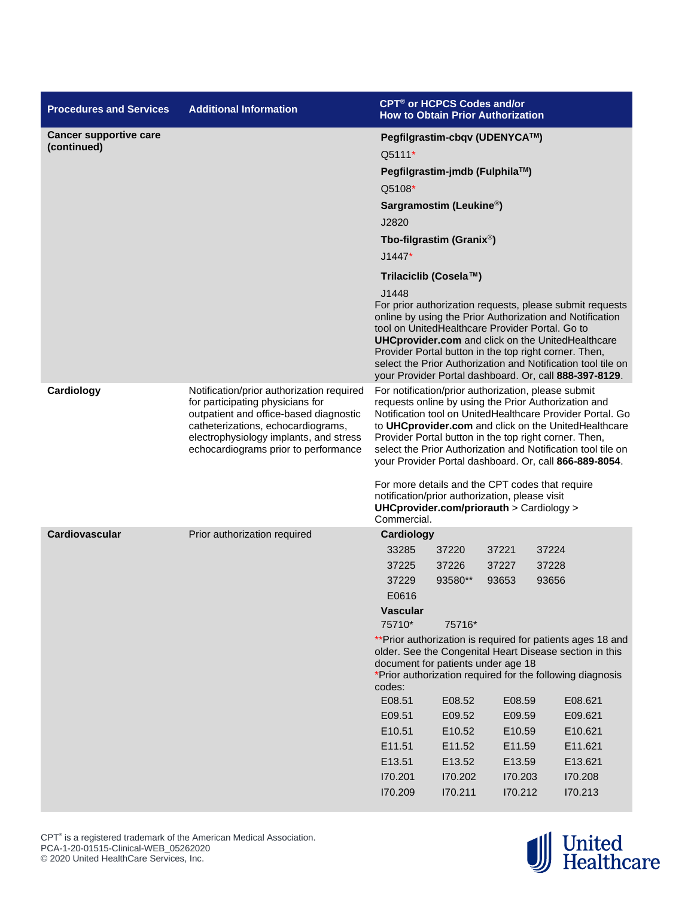| <b>Procedures and Services</b> | <b>Additional Information</b>                                                                                                                                                                                                                   | <b>CPT<sup>®</sup> or HCPCS Codes and/or</b><br><b>How to Obtain Prior Authorization</b>                                                                                                                                                                                                                                                                                                                                                                                                                                                                             |         |         |       |                                                                                                                                                                                                                                                |
|--------------------------------|-------------------------------------------------------------------------------------------------------------------------------------------------------------------------------------------------------------------------------------------------|----------------------------------------------------------------------------------------------------------------------------------------------------------------------------------------------------------------------------------------------------------------------------------------------------------------------------------------------------------------------------------------------------------------------------------------------------------------------------------------------------------------------------------------------------------------------|---------|---------|-------|------------------------------------------------------------------------------------------------------------------------------------------------------------------------------------------------------------------------------------------------|
| <b>Cancer supportive care</b>  |                                                                                                                                                                                                                                                 | Pegfilgrastim-cbqv (UDENYCA™)                                                                                                                                                                                                                                                                                                                                                                                                                                                                                                                                        |         |         |       |                                                                                                                                                                                                                                                |
| (continued)                    |                                                                                                                                                                                                                                                 | Q5111*                                                                                                                                                                                                                                                                                                                                                                                                                                                                                                                                                               |         |         |       |                                                                                                                                                                                                                                                |
|                                |                                                                                                                                                                                                                                                 | Pegfilgrastim-jmdb (Fulphila™)                                                                                                                                                                                                                                                                                                                                                                                                                                                                                                                                       |         |         |       |                                                                                                                                                                                                                                                |
|                                |                                                                                                                                                                                                                                                 | Q5108*                                                                                                                                                                                                                                                                                                                                                                                                                                                                                                                                                               |         |         |       |                                                                                                                                                                                                                                                |
|                                |                                                                                                                                                                                                                                                 | Sargramostim (Leukine <sup>®</sup> )                                                                                                                                                                                                                                                                                                                                                                                                                                                                                                                                 |         |         |       |                                                                                                                                                                                                                                                |
|                                |                                                                                                                                                                                                                                                 | J2820                                                                                                                                                                                                                                                                                                                                                                                                                                                                                                                                                                |         |         |       |                                                                                                                                                                                                                                                |
|                                |                                                                                                                                                                                                                                                 | Tbo-filgrastim (Granix <sup>®</sup> )                                                                                                                                                                                                                                                                                                                                                                                                                                                                                                                                |         |         |       |                                                                                                                                                                                                                                                |
|                                |                                                                                                                                                                                                                                                 | $J1447*$                                                                                                                                                                                                                                                                                                                                                                                                                                                                                                                                                             |         |         |       |                                                                                                                                                                                                                                                |
|                                |                                                                                                                                                                                                                                                 | Trilaciclib (Cosela™)                                                                                                                                                                                                                                                                                                                                                                                                                                                                                                                                                |         |         |       |                                                                                                                                                                                                                                                |
|                                |                                                                                                                                                                                                                                                 | J1448                                                                                                                                                                                                                                                                                                                                                                                                                                                                                                                                                                |         |         |       |                                                                                                                                                                                                                                                |
|                                |                                                                                                                                                                                                                                                 | tool on UnitedHealthcare Provider Portal. Go to<br><b>UHCprovider.com</b> and click on the UnitedHealthcare<br>Provider Portal button in the top right corner. Then,                                                                                                                                                                                                                                                                                                                                                                                                 |         |         |       | For prior authorization requests, please submit requests<br>online by using the Prior Authorization and Notification<br>select the Prior Authorization and Notification tool tile on<br>your Provider Portal dashboard. Or, call 888-397-8129. |
| Cardiology                     | Notification/prior authorization required<br>for participating physicians for<br>outpatient and office-based diagnostic<br>catheterizations, echocardiograms,<br>electrophysiology implants, and stress<br>echocardiograms prior to performance | For notification/prior authorization, please submit<br>requests online by using the Prior Authorization and<br>Notification tool on UnitedHealthcare Provider Portal. Go<br>to UHCprovider.com and click on the UnitedHealthcare<br>Provider Portal button in the top right corner. Then,<br>select the Prior Authorization and Notification tool tile on<br>your Provider Portal dashboard. Or, call 866-889-8054.<br>For more details and the CPT codes that require<br>notification/prior authorization, please visit<br>UHCprovider.com/priorauth > Cardiology > |         |         |       |                                                                                                                                                                                                                                                |
| <b>Cardiovascular</b>          | Prior authorization required                                                                                                                                                                                                                    | Commercial.<br>Cardiology                                                                                                                                                                                                                                                                                                                                                                                                                                                                                                                                            |         |         |       |                                                                                                                                                                                                                                                |
|                                |                                                                                                                                                                                                                                                 | 33285                                                                                                                                                                                                                                                                                                                                                                                                                                                                                                                                                                | 37220   | 37221   | 37224 |                                                                                                                                                                                                                                                |
|                                |                                                                                                                                                                                                                                                 | 37225                                                                                                                                                                                                                                                                                                                                                                                                                                                                                                                                                                | 37226   | 37227   | 37228 |                                                                                                                                                                                                                                                |
|                                |                                                                                                                                                                                                                                                 | 37229                                                                                                                                                                                                                                                                                                                                                                                                                                                                                                                                                                | 93580** | 93653   | 93656 |                                                                                                                                                                                                                                                |
|                                |                                                                                                                                                                                                                                                 | E0616                                                                                                                                                                                                                                                                                                                                                                                                                                                                                                                                                                |         |         |       |                                                                                                                                                                                                                                                |
|                                |                                                                                                                                                                                                                                                 | <b>Vascular</b><br>75710*                                                                                                                                                                                                                                                                                                                                                                                                                                                                                                                                            | 75716*  |         |       |                                                                                                                                                                                                                                                |
|                                |                                                                                                                                                                                                                                                 | ** Prior authorization is required for patients ages 18 and<br>older. See the Congenital Heart Disease section in this<br>document for patients under age 18<br>*Prior authorization required for the following diagnosis<br>codes:                                                                                                                                                                                                                                                                                                                                  |         |         |       |                                                                                                                                                                                                                                                |
|                                |                                                                                                                                                                                                                                                 | E08.51                                                                                                                                                                                                                                                                                                                                                                                                                                                                                                                                                               | E08.52  | E08.59  |       | E08.621                                                                                                                                                                                                                                        |
|                                |                                                                                                                                                                                                                                                 | E09.51                                                                                                                                                                                                                                                                                                                                                                                                                                                                                                                                                               | E09.52  | E09.59  |       | E09.621                                                                                                                                                                                                                                        |
|                                |                                                                                                                                                                                                                                                 | E10.51                                                                                                                                                                                                                                                                                                                                                                                                                                                                                                                                                               | E10.52  | E10.59  |       | E10.621                                                                                                                                                                                                                                        |
|                                |                                                                                                                                                                                                                                                 | E11.51                                                                                                                                                                                                                                                                                                                                                                                                                                                                                                                                                               | E11.52  | E11.59  |       | E11.621                                                                                                                                                                                                                                        |
|                                |                                                                                                                                                                                                                                                 | E13.51                                                                                                                                                                                                                                                                                                                                                                                                                                                                                                                                                               | E13.52  | E13.59  |       | E13.621                                                                                                                                                                                                                                        |
|                                |                                                                                                                                                                                                                                                 | 170.201                                                                                                                                                                                                                                                                                                                                                                                                                                                                                                                                                              | 170.202 | 170.203 |       | 170.208                                                                                                                                                                                                                                        |
|                                |                                                                                                                                                                                                                                                 | 170.209                                                                                                                                                                                                                                                                                                                                                                                                                                                                                                                                                              | 170.211 | 170.212 |       | 170.213                                                                                                                                                                                                                                        |



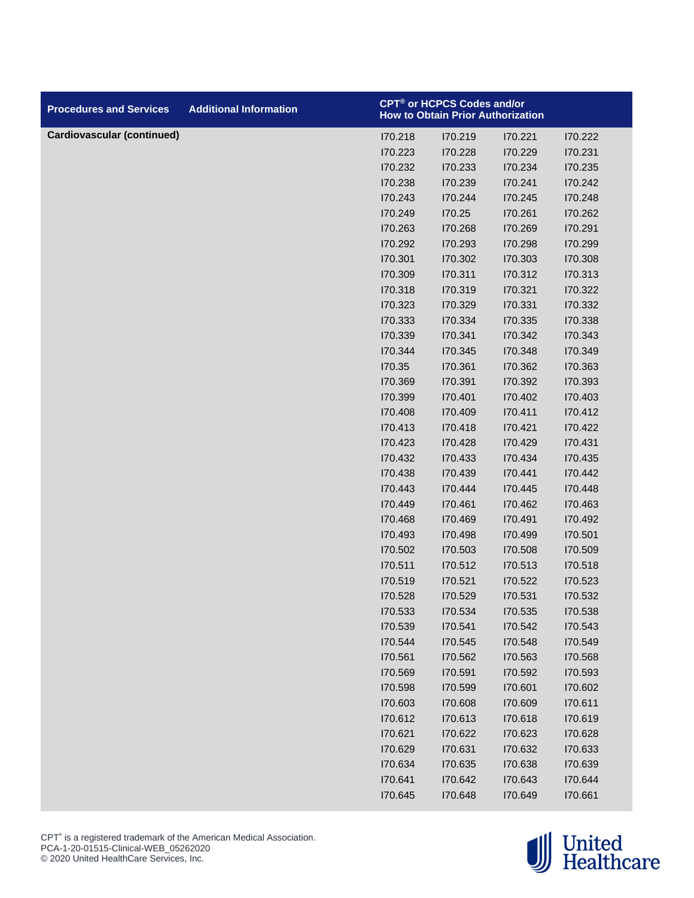| <b>Procedures and Services</b>    | <b>Additional Information</b> |         | CPT® or HCPCS Codes and/or<br><b>How to Obtain Prior Authorization</b> |         |         |
|-----------------------------------|-------------------------------|---------|------------------------------------------------------------------------|---------|---------|
| <b>Cardiovascular (continued)</b> |                               | 170.218 | 170.219                                                                | 170.221 | 170.222 |
|                                   |                               | 170.223 | 170.228                                                                | 170.229 | 170.231 |
|                                   |                               | 170.232 | 170.233                                                                | 170.234 | 170.235 |
|                                   |                               | 170.238 | 170.239                                                                | 170.241 | 170.242 |
|                                   |                               | 170.243 | 170.244                                                                | 170.245 | 170.248 |
|                                   |                               | 170.249 | 170.25                                                                 | 170.261 | 170.262 |
|                                   |                               | 170.263 | 170.268                                                                | 170.269 | 170.291 |
|                                   |                               | 170.292 | 170.293                                                                | 170.298 | 170.299 |
|                                   |                               | 170.301 | 170.302                                                                | 170.303 | 170.308 |
|                                   |                               | 170.309 | 170.311                                                                | 170.312 | 170.313 |
|                                   |                               | 170.318 | 170.319                                                                | 170.321 | 170.322 |
|                                   |                               | 170.323 | 170.329                                                                | 170.331 | 170.332 |
|                                   |                               | 170.333 | 170.334                                                                | 170.335 | 170.338 |
|                                   |                               | 170.339 | 170.341                                                                | 170.342 | 170.343 |
|                                   |                               | 170.344 | 170.345                                                                | 170.348 | 170.349 |
|                                   |                               | 170.35  | 170.361                                                                | 170.362 | 170.363 |
|                                   |                               | 170.369 | 170.391                                                                | 170.392 | 170.393 |
|                                   |                               | 170.399 | 170.401                                                                | 170.402 | 170.403 |
|                                   |                               | 170.408 | 170.409                                                                | 170.411 | 170.412 |
|                                   |                               | 170.413 | 170.418                                                                | 170.421 | 170.422 |
|                                   |                               | 170.423 | 170.428                                                                | 170.429 | 170.431 |
|                                   |                               | 170.432 | 170.433                                                                | 170.434 | 170.435 |
|                                   |                               | 170.438 | 170.439                                                                | 170.441 | 170.442 |
|                                   |                               | 170.443 | 170.444                                                                | 170.445 | 170.448 |
|                                   |                               | 170.449 | 170.461                                                                | 170.462 | 170.463 |
|                                   |                               | 170.468 | 170.469                                                                | 170.491 | 170.492 |
|                                   |                               | 170.493 | 170.498                                                                | 170.499 | 170.501 |
|                                   |                               | 170.502 | 170.503                                                                | 170.508 | 170.509 |
|                                   |                               | 170.511 | 170.512                                                                | 170.513 | 170.518 |
|                                   |                               | 170.519 | 170.521                                                                | 170.522 | 170.523 |
|                                   |                               | 170.528 | I70.529                                                                | 170.531 | 170.532 |
|                                   |                               | 170.533 | 170.534                                                                | 170.535 | I70.538 |
|                                   |                               | 170.539 | 170.541                                                                | 170.542 | 170.543 |
|                                   |                               | 170.544 | 170.545                                                                | 170.548 | 170.549 |
|                                   |                               | 170.561 | 170.562                                                                | 170.563 | 170.568 |
|                                   |                               | 170.569 | 170.591                                                                | 170.592 | I70.593 |
|                                   |                               | 170.598 | 170.599                                                                | 170.601 | 170.602 |
|                                   |                               | 170.603 | 170.608                                                                | 170.609 | 170.611 |
|                                   |                               | 170.612 | 170.613                                                                | 170.618 | 170.619 |
|                                   |                               | 170.621 | 170.622                                                                | 170.623 | 170.628 |
|                                   |                               | 170.629 | 170.631                                                                | 170.632 | 170.633 |
|                                   |                               | 170.634 | 170.635                                                                | 170.638 | 170.639 |
|                                   |                               | 170.641 | 170.642                                                                | 170.643 | 170.644 |
|                                   |                               | 170.645 | 170.648                                                                | 170.649 | 170.661 |

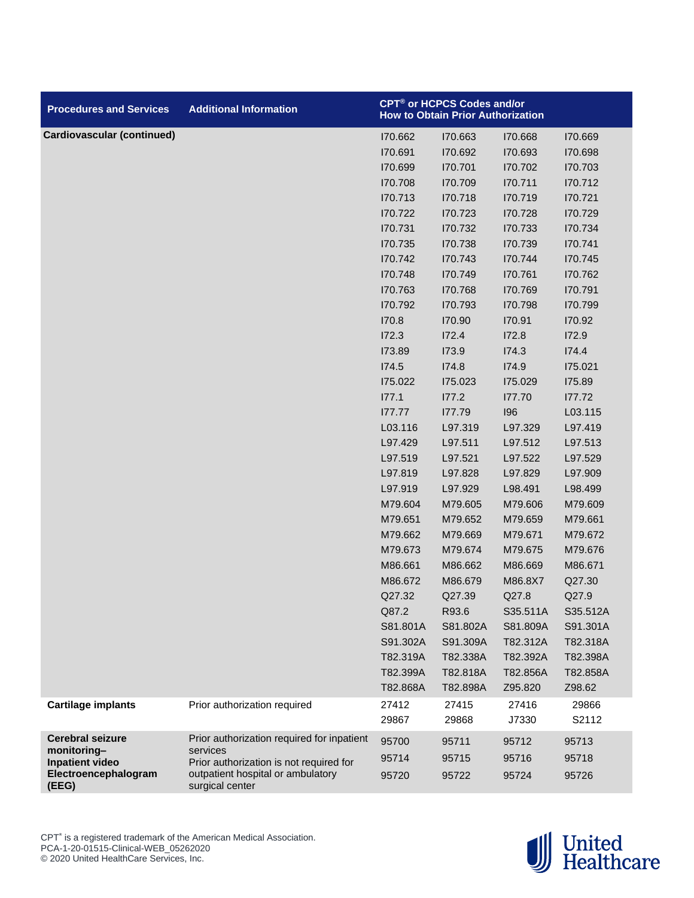| <b>Procedures and Services</b>                                                                    | <b>Additional Information</b>                                                                                                                             |                                                                                                                                                                                                                                                                                                                                                             | CPT <sup>®</sup> or HCPCS Codes and/or<br><b>How to Obtain Prior Authorization</b>                                                                                                                                                                                                                                                                          |                                                                                                                                                                                                                                                                                                                                                             |                                                                                                                                                                                                                                                                                                                                                                 |
|---------------------------------------------------------------------------------------------------|-----------------------------------------------------------------------------------------------------------------------------------------------------------|-------------------------------------------------------------------------------------------------------------------------------------------------------------------------------------------------------------------------------------------------------------------------------------------------------------------------------------------------------------|-------------------------------------------------------------------------------------------------------------------------------------------------------------------------------------------------------------------------------------------------------------------------------------------------------------------------------------------------------------|-------------------------------------------------------------------------------------------------------------------------------------------------------------------------------------------------------------------------------------------------------------------------------------------------------------------------------------------------------------|-----------------------------------------------------------------------------------------------------------------------------------------------------------------------------------------------------------------------------------------------------------------------------------------------------------------------------------------------------------------|
| Cardiovascular (continued)                                                                        |                                                                                                                                                           | 170.662<br>170.691<br>170.699<br>170.708<br>170.713<br>170.722<br>170.731<br>170.735<br>170.742<br>170.748<br>170.763<br>170.792<br>170.8<br>I72.3<br>173.89<br>I74.5<br>175.022<br>177.1<br>177.77<br>L03.116<br>L97.429<br>L97.519<br>L97.819<br>L97.919<br>M79.604<br>M79.651<br>M79.662<br>M79.673<br>M86.661<br>M86.672<br>Q27.32<br>Q87.2<br>S81.801A | 170.663<br>170.692<br>170.701<br>170.709<br>170.718<br>170.723<br>170.732<br>170.738<br>170.743<br>170.749<br>170.768<br>170.793<br>170.90<br>172.4<br>173.9<br>174.8<br>175.023<br>177.2<br>177.79<br>L97.319<br>L97.511<br>L97.521<br>L97.828<br>L97.929<br>M79.605<br>M79.652<br>M79.669<br>M79.674<br>M86.662<br>M86.679<br>Q27.39<br>R93.6<br>S81.802A | 170.668<br>170.693<br>170.702<br>170.711<br>170.719<br>170.728<br>170.733<br>170.739<br>170.744<br>170.761<br>170.769<br>170.798<br>170.91<br>172.8<br>I74.3<br>174.9<br>175.029<br>177.70<br>196<br>L97.329<br>L97.512<br>L97.522<br>L97.829<br>L98.491<br>M79.606<br>M79.659<br>M79.671<br>M79.675<br>M86.669<br>M86.8X7<br>Q27.8<br>S35.511A<br>S81.809A | 170.669<br>170.698<br>170.703<br>170.712<br>170.721<br>170.729<br>170.734<br>170.741<br>170.745<br>170.762<br>170.791<br>170.799<br>170.92<br>172.9<br>174.4<br>175.021<br>175.89<br>177.72<br>L03.115<br>L97.419<br>L97.513<br>L97.529<br>L97.909<br>L98.499<br>M79.609<br>M79.661<br>M79.672<br>M79.676<br>M86.671<br>Q27.30<br>Q27.9<br>S35.512A<br>S91.301A |
|                                                                                                   |                                                                                                                                                           | S91.302A<br>T82.319A<br>T82.399A<br>T82.868A                                                                                                                                                                                                                                                                                                                | S91.309A<br>T82.338A<br>T82.818A<br>T82.898A                                                                                                                                                                                                                                                                                                                | T82.312A<br>T82.392A<br>T82.856A<br>Z95.820                                                                                                                                                                                                                                                                                                                 | T82.318A<br>T82.398A<br>T82.858A<br>Z98.62                                                                                                                                                                                                                                                                                                                      |
| <b>Cartilage implants</b>                                                                         | Prior authorization required                                                                                                                              | 27412<br>29867                                                                                                                                                                                                                                                                                                                                              | 27415<br>29868                                                                                                                                                                                                                                                                                                                                              | 27416<br>J7330                                                                                                                                                                                                                                                                                                                                              | 29866<br>S2112                                                                                                                                                                                                                                                                                                                                                  |
| <b>Cerebral seizure</b><br>monitoring-<br><b>Inpatient video</b><br>Electroencephalogram<br>(EEG) | Prior authorization required for inpatient<br>services<br>Prior authorization is not required for<br>outpatient hospital or ambulatory<br>surgical center | 95700<br>95714<br>95720                                                                                                                                                                                                                                                                                                                                     | 95711<br>95715<br>95722                                                                                                                                                                                                                                                                                                                                     | 95712<br>95716<br>95724                                                                                                                                                                                                                                                                                                                                     | 95713<br>95718<br>95726                                                                                                                                                                                                                                                                                                                                         |

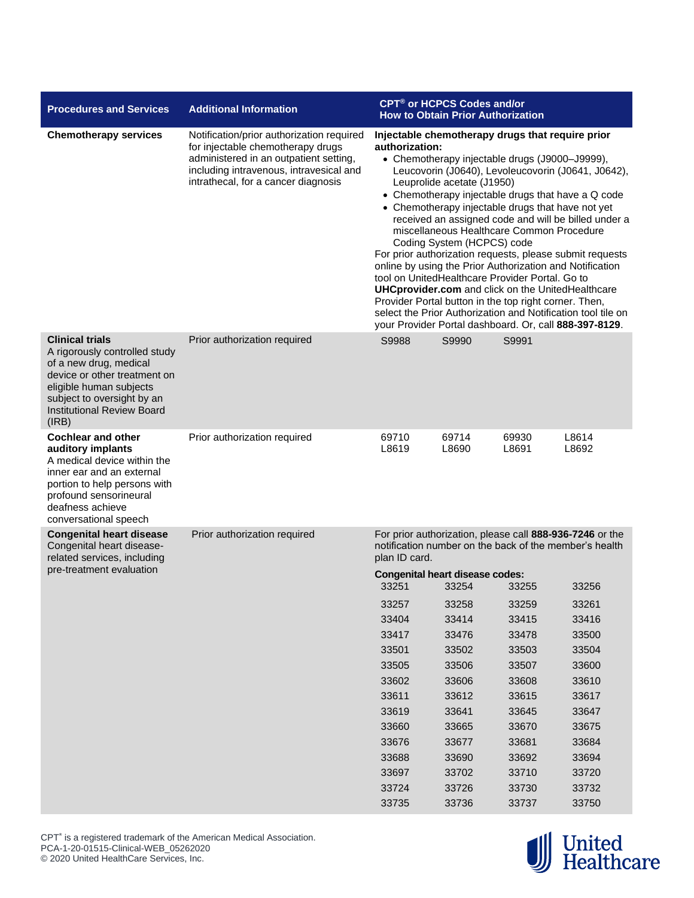| <b>Procedures and Services</b>                                                                                                                                                                                           | <b>Additional Information</b>                                                                                                                                                                              | CPT <sup>®</sup> or HCPCS Codes and/or<br><b>How to Obtain Prior Authorization</b>                                                                                                                                                                                                                                                                                                                                                                                                                                                                                                                                                                                                                                                                                                                                                                                               |                |                |                                                                                                                    |  |
|--------------------------------------------------------------------------------------------------------------------------------------------------------------------------------------------------------------------------|------------------------------------------------------------------------------------------------------------------------------------------------------------------------------------------------------------|----------------------------------------------------------------------------------------------------------------------------------------------------------------------------------------------------------------------------------------------------------------------------------------------------------------------------------------------------------------------------------------------------------------------------------------------------------------------------------------------------------------------------------------------------------------------------------------------------------------------------------------------------------------------------------------------------------------------------------------------------------------------------------------------------------------------------------------------------------------------------------|----------------|----------------|--------------------------------------------------------------------------------------------------------------------|--|
| <b>Chemotherapy services</b>                                                                                                                                                                                             | Notification/prior authorization required<br>for injectable chemotherapy drugs<br>administered in an outpatient setting,<br>including intravenous, intravesical and<br>intrathecal, for a cancer diagnosis | Injectable chemotherapy drugs that require prior<br>authorization:<br>• Chemotherapy injectable drugs (J9000-J9999),<br>Leucovorin (J0640), Levoleucovorin (J0641, J0642),<br>Leuprolide acetate (J1950)<br>• Chemotherapy injectable drugs that have a Q code<br>• Chemotherapy injectable drugs that have not yet<br>received an assigned code and will be billed under a<br>miscellaneous Healthcare Common Procedure<br>Coding System (HCPCS) code<br>For prior authorization requests, please submit requests<br>online by using the Prior Authorization and Notification<br>tool on UnitedHealthcare Provider Portal. Go to<br><b>UHCprovider.com</b> and click on the UnitedHealthcare<br>Provider Portal button in the top right corner. Then,<br>select the Prior Authorization and Notification tool tile on<br>your Provider Portal dashboard. Or, call 888-397-8129. |                |                |                                                                                                                    |  |
| <b>Clinical trials</b><br>A rigorously controlled study<br>of a new drug, medical<br>device or other treatment on<br>eligible human subjects<br>subject to oversight by an<br><b>Institutional Review Board</b><br>(IRB) | Prior authorization required                                                                                                                                                                               | S9988                                                                                                                                                                                                                                                                                                                                                                                                                                                                                                                                                                                                                                                                                                                                                                                                                                                                            | S9990          | S9991          |                                                                                                                    |  |
| <b>Cochlear and other</b><br>auditory implants<br>A medical device within the<br>inner ear and an external<br>portion to help persons with<br>profound sensorineural<br>deafness achieve<br>conversational speech        | Prior authorization required                                                                                                                                                                               | 69710<br>L8619                                                                                                                                                                                                                                                                                                                                                                                                                                                                                                                                                                                                                                                                                                                                                                                                                                                                   | 69714<br>L8690 | 69930<br>L8691 | L8614<br>L8692                                                                                                     |  |
| <b>Congenital heart disease</b><br>Congenital heart disease-<br>related services, including                                                                                                                              | Prior authorization required                                                                                                                                                                               | plan ID card.                                                                                                                                                                                                                                                                                                                                                                                                                                                                                                                                                                                                                                                                                                                                                                                                                                                                    |                |                | For prior authorization, please call 888-936-7246 or the<br>notification number on the back of the member's health |  |
| pre-treatment evaluation                                                                                                                                                                                                 |                                                                                                                                                                                                            | <b>Congenital heart disease codes:</b><br>33251                                                                                                                                                                                                                                                                                                                                                                                                                                                                                                                                                                                                                                                                                                                                                                                                                                  | 33254          | 33255          | 33256                                                                                                              |  |
|                                                                                                                                                                                                                          |                                                                                                                                                                                                            | 33257                                                                                                                                                                                                                                                                                                                                                                                                                                                                                                                                                                                                                                                                                                                                                                                                                                                                            | 33258          | 33259          | 33261                                                                                                              |  |
|                                                                                                                                                                                                                          |                                                                                                                                                                                                            | 33404                                                                                                                                                                                                                                                                                                                                                                                                                                                                                                                                                                                                                                                                                                                                                                                                                                                                            | 33414          | 33415          | 33416                                                                                                              |  |
|                                                                                                                                                                                                                          |                                                                                                                                                                                                            | 33417                                                                                                                                                                                                                                                                                                                                                                                                                                                                                                                                                                                                                                                                                                                                                                                                                                                                            | 33476          | 33478          | 33500                                                                                                              |  |
|                                                                                                                                                                                                                          |                                                                                                                                                                                                            | 33501                                                                                                                                                                                                                                                                                                                                                                                                                                                                                                                                                                                                                                                                                                                                                                                                                                                                            | 33502          | 33503          | 33504                                                                                                              |  |
|                                                                                                                                                                                                                          |                                                                                                                                                                                                            | 33505                                                                                                                                                                                                                                                                                                                                                                                                                                                                                                                                                                                                                                                                                                                                                                                                                                                                            | 33506          | 33507          | 33600                                                                                                              |  |
|                                                                                                                                                                                                                          |                                                                                                                                                                                                            | 33602                                                                                                                                                                                                                                                                                                                                                                                                                                                                                                                                                                                                                                                                                                                                                                                                                                                                            | 33606          | 33608          | 33610                                                                                                              |  |
|                                                                                                                                                                                                                          |                                                                                                                                                                                                            | 33611                                                                                                                                                                                                                                                                                                                                                                                                                                                                                                                                                                                                                                                                                                                                                                                                                                                                            | 33612          | 33615          | 33617                                                                                                              |  |
|                                                                                                                                                                                                                          |                                                                                                                                                                                                            | 33619                                                                                                                                                                                                                                                                                                                                                                                                                                                                                                                                                                                                                                                                                                                                                                                                                                                                            | 33641          | 33645          | 33647                                                                                                              |  |
|                                                                                                                                                                                                                          |                                                                                                                                                                                                            | 33660                                                                                                                                                                                                                                                                                                                                                                                                                                                                                                                                                                                                                                                                                                                                                                                                                                                                            | 33665          | 33670          | 33675                                                                                                              |  |
|                                                                                                                                                                                                                          |                                                                                                                                                                                                            | 33676                                                                                                                                                                                                                                                                                                                                                                                                                                                                                                                                                                                                                                                                                                                                                                                                                                                                            | 33677          | 33681          | 33684                                                                                                              |  |
|                                                                                                                                                                                                                          |                                                                                                                                                                                                            | 33688                                                                                                                                                                                                                                                                                                                                                                                                                                                                                                                                                                                                                                                                                                                                                                                                                                                                            | 33690          | 33692          | 33694                                                                                                              |  |
|                                                                                                                                                                                                                          |                                                                                                                                                                                                            | 33697                                                                                                                                                                                                                                                                                                                                                                                                                                                                                                                                                                                                                                                                                                                                                                                                                                                                            | 33702          | 33710          | 33720                                                                                                              |  |
|                                                                                                                                                                                                                          |                                                                                                                                                                                                            | 33724                                                                                                                                                                                                                                                                                                                                                                                                                                                                                                                                                                                                                                                                                                                                                                                                                                                                            | 33726          | 33730          | 33732                                                                                                              |  |
|                                                                                                                                                                                                                          |                                                                                                                                                                                                            | 33735                                                                                                                                                                                                                                                                                                                                                                                                                                                                                                                                                                                                                                                                                                                                                                                                                                                                            | 33736          | 33737          | 33750                                                                                                              |  |



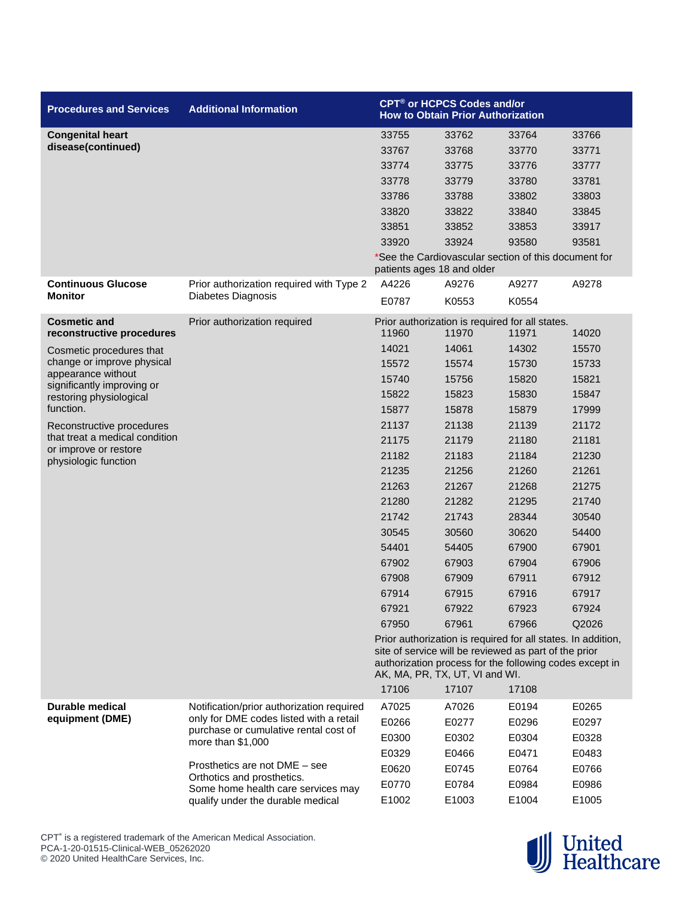| <b>Procedures and Services</b>                   | <b>Additional Information</b>             |                            | CPT <sup>®</sup> or HCPCS Codes and/or<br><b>How to Obtain Prior Authorization</b>                                                                 |       |       |
|--------------------------------------------------|-------------------------------------------|----------------------------|----------------------------------------------------------------------------------------------------------------------------------------------------|-------|-------|
| <b>Congenital heart</b>                          |                                           | 33755                      | 33762                                                                                                                                              | 33764 | 33766 |
| disease(continued)                               |                                           | 33767                      | 33768                                                                                                                                              | 33770 | 33771 |
|                                                  |                                           | 33774                      | 33775                                                                                                                                              | 33776 | 33777 |
|                                                  |                                           | 33778                      | 33779                                                                                                                                              | 33780 | 33781 |
|                                                  |                                           | 33786                      | 33788                                                                                                                                              | 33802 | 33803 |
|                                                  |                                           | 33820                      | 33822                                                                                                                                              | 33840 | 33845 |
|                                                  |                                           | 33851                      | 33852                                                                                                                                              | 33853 | 33917 |
|                                                  |                                           | 33920                      | 33924                                                                                                                                              | 93580 | 93581 |
|                                                  |                                           | patients ages 18 and older | *See the Cardiovascular section of this document for                                                                                               |       |       |
| <b>Continuous Glucose</b>                        | Prior authorization required with Type 2  | A4226                      | A9276                                                                                                                                              | A9277 | A9278 |
| <b>Monitor</b>                                   | Diabetes Diagnosis                        | E0787                      | K0553                                                                                                                                              | K0554 |       |
| <b>Cosmetic and</b><br>reconstructive procedures | Prior authorization required              | 11960                      | Prior authorization is required for all states.<br>11970                                                                                           | 11971 | 14020 |
| Cosmetic procedures that                         |                                           | 14021                      | 14061                                                                                                                                              | 14302 | 15570 |
| change or improve physical                       |                                           | 15572                      | 15574                                                                                                                                              | 15730 | 15733 |
| appearance without                               |                                           | 15740                      | 15756                                                                                                                                              | 15820 | 15821 |
| significantly improving or                       |                                           | 15822                      | 15823                                                                                                                                              | 15830 | 15847 |
| restoring physiological<br>function.             |                                           | 15877                      | 15878                                                                                                                                              | 15879 | 17999 |
| Reconstructive procedures                        |                                           | 21137                      | 21138                                                                                                                                              | 21139 | 21172 |
| that treat a medical condition                   |                                           | 21175                      | 21179                                                                                                                                              | 21180 | 21181 |
| or improve or restore                            |                                           | 21182                      | 21183                                                                                                                                              | 21184 | 21230 |
| physiologic function                             |                                           | 21235                      | 21256                                                                                                                                              | 21260 | 21261 |
|                                                  |                                           | 21263                      | 21267                                                                                                                                              | 21268 | 21275 |
|                                                  |                                           | 21280                      | 21282                                                                                                                                              | 21295 | 21740 |
|                                                  |                                           | 21742                      | 21743                                                                                                                                              | 28344 | 30540 |
|                                                  |                                           | 30545                      | 30560                                                                                                                                              | 30620 | 54400 |
|                                                  |                                           | 54401                      | 54405                                                                                                                                              | 67900 | 67901 |
|                                                  |                                           | 67902                      | 67903                                                                                                                                              | 67904 | 67906 |
|                                                  |                                           | 67908                      | 67909                                                                                                                                              | 67911 | 67912 |
|                                                  |                                           | 67914                      | 67915                                                                                                                                              | 67916 | 67917 |
|                                                  |                                           | 67921                      | 67922                                                                                                                                              | 67923 | 67924 |
|                                                  |                                           | 67950                      | 67961                                                                                                                                              | 67966 | Q2026 |
|                                                  |                                           |                            | Prior authorization is required for all states. In addition,                                                                                       |       |       |
|                                                  |                                           |                            | site of service will be reviewed as part of the prior<br>authorization process for the following codes except in<br>AK, MA, PR, TX, UT, VI and WI. |       |       |
|                                                  |                                           | 17106                      | 17107                                                                                                                                              | 17108 |       |
| <b>Durable medical</b>                           | Notification/prior authorization required | A7025                      | A7026                                                                                                                                              | E0194 | E0265 |
| equipment (DME)                                  | only for DME codes listed with a retail   | E0266                      | E0277                                                                                                                                              | E0296 | E0297 |
|                                                  | purchase or cumulative rental cost of     | E0300                      | E0302                                                                                                                                              | E0304 | E0328 |
|                                                  | more than $$1,000$                        | E0329                      | E0466                                                                                                                                              | E0471 | E0483 |
|                                                  | Prosthetics are not DME - see             | E0620                      | E0745                                                                                                                                              | E0764 | E0766 |
|                                                  | Orthotics and prosthetics.                | E0770                      | E0784                                                                                                                                              | E0984 | E0986 |
|                                                  | Some home health care services may        |                            |                                                                                                                                                    |       |       |
|                                                  | qualify under the durable medical         | E1002                      | E1003                                                                                                                                              | E1004 | E1005 |



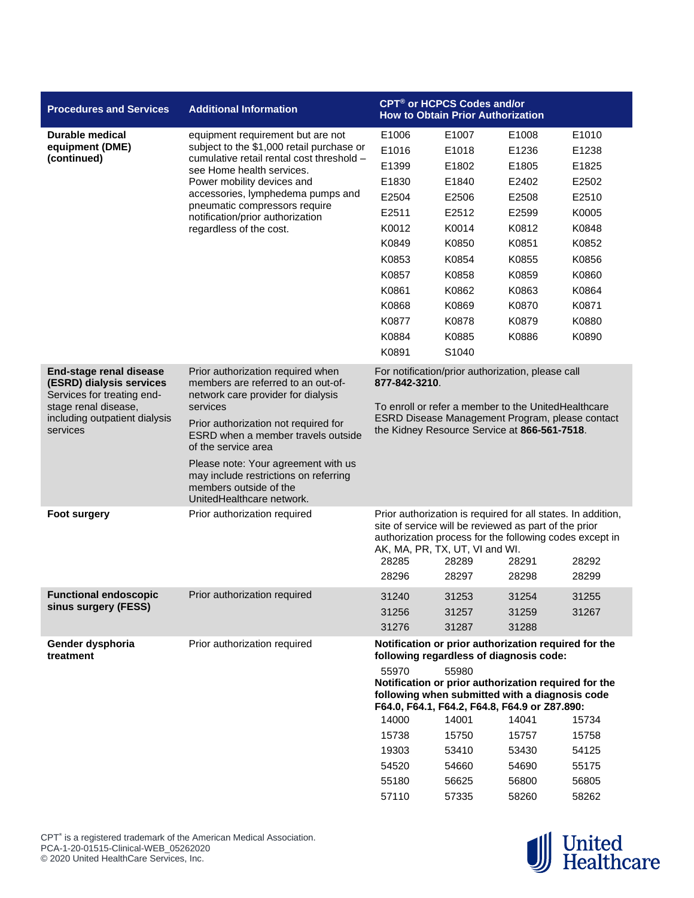| <b>Procedures and Services</b>                                                                                                                         | <b>Additional Information</b>                                                                                                       |                                                                                                                                                                           | CPT <sup>®</sup> or HCPCS Codes and/or<br><b>How to Obtain Prior Authorization</b>                                                                                                                                                   |                |                |  |
|--------------------------------------------------------------------------------------------------------------------------------------------------------|-------------------------------------------------------------------------------------------------------------------------------------|---------------------------------------------------------------------------------------------------------------------------------------------------------------------------|--------------------------------------------------------------------------------------------------------------------------------------------------------------------------------------------------------------------------------------|----------------|----------------|--|
| Durable medical                                                                                                                                        | equipment requirement but are not                                                                                                   | E1006                                                                                                                                                                     | E1007                                                                                                                                                                                                                                | E1008          | E1010          |  |
| equipment (DME)                                                                                                                                        | subject to the \$1,000 retail purchase or                                                                                           | E1016                                                                                                                                                                     | E1018                                                                                                                                                                                                                                | E1236          | E1238          |  |
| (continued)                                                                                                                                            | cumulative retail rental cost threshold -<br>see Home health services.                                                              | E1399                                                                                                                                                                     | E1802                                                                                                                                                                                                                                | E1805          | E1825          |  |
|                                                                                                                                                        | Power mobility devices and                                                                                                          | E1830                                                                                                                                                                     | E1840                                                                                                                                                                                                                                | E2402          | E2502          |  |
|                                                                                                                                                        | accessories, lymphedema pumps and                                                                                                   | E2504                                                                                                                                                                     | E2506                                                                                                                                                                                                                                | E2508          | E2510          |  |
|                                                                                                                                                        | pneumatic compressors require<br>notification/prior authorization                                                                   | E2511                                                                                                                                                                     | E2512                                                                                                                                                                                                                                | E2599          | K0005          |  |
|                                                                                                                                                        | regardless of the cost.                                                                                                             | K0012                                                                                                                                                                     | K0014                                                                                                                                                                                                                                | K0812          | K0848          |  |
|                                                                                                                                                        |                                                                                                                                     | K0849                                                                                                                                                                     | K0850                                                                                                                                                                                                                                | K0851          | K0852          |  |
|                                                                                                                                                        |                                                                                                                                     | K0853                                                                                                                                                                     | K0854                                                                                                                                                                                                                                | K0855          | K0856          |  |
|                                                                                                                                                        |                                                                                                                                     | K0857                                                                                                                                                                     | K0858                                                                                                                                                                                                                                | K0859          | K0860          |  |
|                                                                                                                                                        |                                                                                                                                     | K0861                                                                                                                                                                     | K0862                                                                                                                                                                                                                                | K0863          | K0864          |  |
|                                                                                                                                                        |                                                                                                                                     | K0868                                                                                                                                                                     | K0869                                                                                                                                                                                                                                | K0870          | K0871          |  |
|                                                                                                                                                        |                                                                                                                                     | K0877                                                                                                                                                                     | K0878                                                                                                                                                                                                                                | K0879          | K0880          |  |
|                                                                                                                                                        |                                                                                                                                     | K0884                                                                                                                                                                     | K0885                                                                                                                                                                                                                                | K0886          | K0890          |  |
|                                                                                                                                                        |                                                                                                                                     | K0891                                                                                                                                                                     | S1040                                                                                                                                                                                                                                |                |                |  |
| End-stage renal disease<br>(ESRD) dialysis services<br>Services for treating end-<br>stage renal disease,<br>including outpatient dialysis<br>services | Prior authorization required when<br>members are referred to an out-of-<br>network care provider for dialysis<br>services           | 877-842-3210.                                                                                                                                                             | For notification/prior authorization, please call<br>To enroll or refer a member to the UnitedHealthcare                                                                                                                             |                |                |  |
|                                                                                                                                                        | Prior authorization not required for<br>ESRD when a member travels outside<br>of the service area                                   | ESRD Disease Management Program, please contact<br>the Kidney Resource Service at 866-561-7518.                                                                           |                                                                                                                                                                                                                                      |                |                |  |
|                                                                                                                                                        | Please note: Your agreement with us<br>may include restrictions on referring<br>members outside of the<br>UnitedHealthcare network. |                                                                                                                                                                           |                                                                                                                                                                                                                                      |                |                |  |
| <b>Foot surgery</b>                                                                                                                                    | Prior authorization required                                                                                                        | 28285<br>28296                                                                                                                                                            | Prior authorization is required for all states. In addition,<br>site of service will be reviewed as part of the prior<br>authorization process for the following codes except in<br>AK, MA, PR, TX, UT, VI and WI.<br>28289<br>28297 | 28291<br>28298 | 28292<br>28299 |  |
|                                                                                                                                                        |                                                                                                                                     |                                                                                                                                                                           |                                                                                                                                                                                                                                      |                |                |  |
| <b>Functional endoscopic</b><br>sinus surgery (FESS)                                                                                                   | Prior authorization required                                                                                                        | 31240                                                                                                                                                                     | 31253                                                                                                                                                                                                                                | 31254          | 31255          |  |
|                                                                                                                                                        |                                                                                                                                     | 31256                                                                                                                                                                     | 31257                                                                                                                                                                                                                                | 31259          | 31267          |  |
|                                                                                                                                                        |                                                                                                                                     | 31276                                                                                                                                                                     | 31287                                                                                                                                                                                                                                | 31288          |                |  |
| Gender dysphoria<br>treatment                                                                                                                          | Prior authorization required                                                                                                        |                                                                                                                                                                           | Notification or prior authorization required for the<br>following regardless of diagnosis code:                                                                                                                                      |                |                |  |
|                                                                                                                                                        |                                                                                                                                     | 55970<br>55980<br>Notification or prior authorization required for the<br>following when submitted with a diagnosis code<br>F64.0, F64.1, F64.2, F64.8, F64.9 or Z87.890: |                                                                                                                                                                                                                                      |                |                |  |
|                                                                                                                                                        |                                                                                                                                     | 14000                                                                                                                                                                     | 14001                                                                                                                                                                                                                                | 14041          | 15734          |  |
|                                                                                                                                                        |                                                                                                                                     | 15738                                                                                                                                                                     | 15750                                                                                                                                                                                                                                | 15757          | 15758          |  |
|                                                                                                                                                        |                                                                                                                                     | 19303                                                                                                                                                                     | 53410                                                                                                                                                                                                                                | 53430          | 54125          |  |
|                                                                                                                                                        |                                                                                                                                     | 54520                                                                                                                                                                     | 54660                                                                                                                                                                                                                                | 54690          | 55175          |  |
|                                                                                                                                                        |                                                                                                                                     | 55180                                                                                                                                                                     | 56625                                                                                                                                                                                                                                | 56800          | 56805          |  |
|                                                                                                                                                        |                                                                                                                                     | 57110                                                                                                                                                                     | 57335                                                                                                                                                                                                                                | 58260          | 58262          |  |

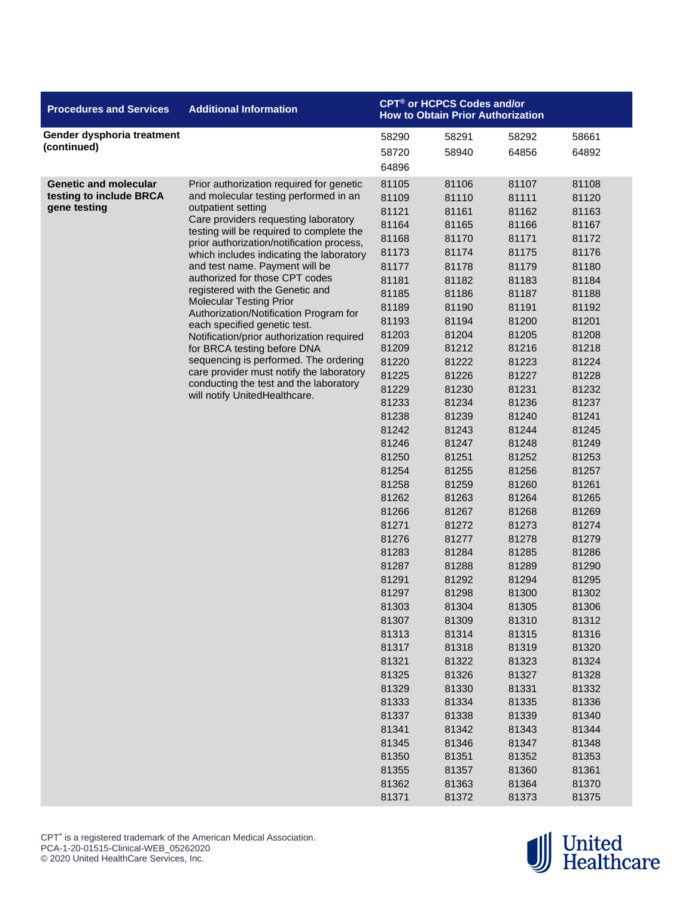| <b>Procedures and Services</b>                                          | <b>Additional Information</b>                                                                                                                                                                                                                                                                                                                                                                                                                                                                                                                                                                                                                                                                                                                       | <b>CPT<sup>®</sup> or HCPCS Codes and/or</b><br><b>How to Obtain Prior Authorization</b>                                                                                                                                                                                                                                                                                                                                   |                                                                                                                                                                                                                                                                                                                                                                                                                   |                                                                                                                                                                                                                                                                                                                                                                                                                   |                                                                                                                                                                                                                                                                                                                                                                                                                   |
|-------------------------------------------------------------------------|-----------------------------------------------------------------------------------------------------------------------------------------------------------------------------------------------------------------------------------------------------------------------------------------------------------------------------------------------------------------------------------------------------------------------------------------------------------------------------------------------------------------------------------------------------------------------------------------------------------------------------------------------------------------------------------------------------------------------------------------------------|----------------------------------------------------------------------------------------------------------------------------------------------------------------------------------------------------------------------------------------------------------------------------------------------------------------------------------------------------------------------------------------------------------------------------|-------------------------------------------------------------------------------------------------------------------------------------------------------------------------------------------------------------------------------------------------------------------------------------------------------------------------------------------------------------------------------------------------------------------|-------------------------------------------------------------------------------------------------------------------------------------------------------------------------------------------------------------------------------------------------------------------------------------------------------------------------------------------------------------------------------------------------------------------|-------------------------------------------------------------------------------------------------------------------------------------------------------------------------------------------------------------------------------------------------------------------------------------------------------------------------------------------------------------------------------------------------------------------|
| Gender dysphoria treatment<br>(continued)                               |                                                                                                                                                                                                                                                                                                                                                                                                                                                                                                                                                                                                                                                                                                                                                     | 58290<br>58720                                                                                                                                                                                                                                                                                                                                                                                                             | 58291<br>58940                                                                                                                                                                                                                                                                                                                                                                                                    | 58292<br>64856                                                                                                                                                                                                                                                                                                                                                                                                    | 58661<br>64892                                                                                                                                                                                                                                                                                                                                                                                                    |
| <b>Genetic and molecular</b><br>testing to include BRCA<br>gene testing | Prior authorization required for genetic<br>and molecular testing performed in an<br>outpatient setting<br>Care providers requesting laboratory<br>testing will be required to complete the<br>prior authorization/notification process,<br>which includes indicating the laboratory<br>and test name. Payment will be<br>authorized for those CPT codes<br>registered with the Genetic and<br><b>Molecular Testing Prior</b><br>Authorization/Notification Program for<br>each specified genetic test.<br>Notification/prior authorization required<br>for BRCA testing before DNA<br>sequencing is performed. The ordering<br>care provider must notify the laboratory<br>conducting the test and the laboratory<br>will notify UnitedHealthcare. | 64896<br>81105<br>81109<br>81121<br>81164<br>81168<br>81173<br>81177<br>81181<br>81185<br>81189<br>81193<br>81203<br>81209<br>81220<br>81225<br>81229<br>81233<br>81238<br>81242<br>81246<br>81250<br>81254<br>81258<br>81262<br>81266<br>81271<br>81276<br>81283<br>81287<br>81291<br>81297<br>81303<br>81307<br>81313<br>81317<br>81321<br>81325<br>81329<br>81333<br>81337<br>81341<br>81345<br>81350<br>81355<br>81362 | 81106<br>81110<br>81161<br>81165<br>81170<br>81174<br>81178<br>81182<br>81186<br>81190<br>81194<br>81204<br>81212<br>81222<br>81226<br>81230<br>81234<br>81239<br>81243<br>81247<br>81251<br>81255<br>81259<br>81263<br>81267<br>81272<br>81277<br>81284<br>81288<br>81292<br>81298<br>81304<br>81309<br>81314<br>81318<br>81322<br>81326<br>81330<br>81334<br>81338<br>81342<br>81346<br>81351<br>81357<br>81363 | 81107<br>81111<br>81162<br>81166<br>81171<br>81175<br>81179<br>81183<br>81187<br>81191<br>81200<br>81205<br>81216<br>81223<br>81227<br>81231<br>81236<br>81240<br>81244<br>81248<br>81252<br>81256<br>81260<br>81264<br>81268<br>81273<br>81278<br>81285<br>81289<br>81294<br>81300<br>81305<br>81310<br>81315<br>81319<br>81323<br>81327<br>81331<br>81335<br>81339<br>81343<br>81347<br>81352<br>81360<br>81364 | 81108<br>81120<br>81163<br>81167<br>81172<br>81176<br>81180<br>81184<br>81188<br>81192<br>81201<br>81208<br>81218<br>81224<br>81228<br>81232<br>81237<br>81241<br>81245<br>81249<br>81253<br>81257<br>81261<br>81265<br>81269<br>81274<br>81279<br>81286<br>81290<br>81295<br>81302<br>81306<br>81312<br>81316<br>81320<br>81324<br>81328<br>81332<br>81336<br>81340<br>81344<br>81348<br>81353<br>81361<br>81370 |
|                                                                         |                                                                                                                                                                                                                                                                                                                                                                                                                                                                                                                                                                                                                                                                                                                                                     | 81371                                                                                                                                                                                                                                                                                                                                                                                                                      | 81372                                                                                                                                                                                                                                                                                                                                                                                                             | 81373                                                                                                                                                                                                                                                                                                                                                                                                             | 81375                                                                                                                                                                                                                                                                                                                                                                                                             |

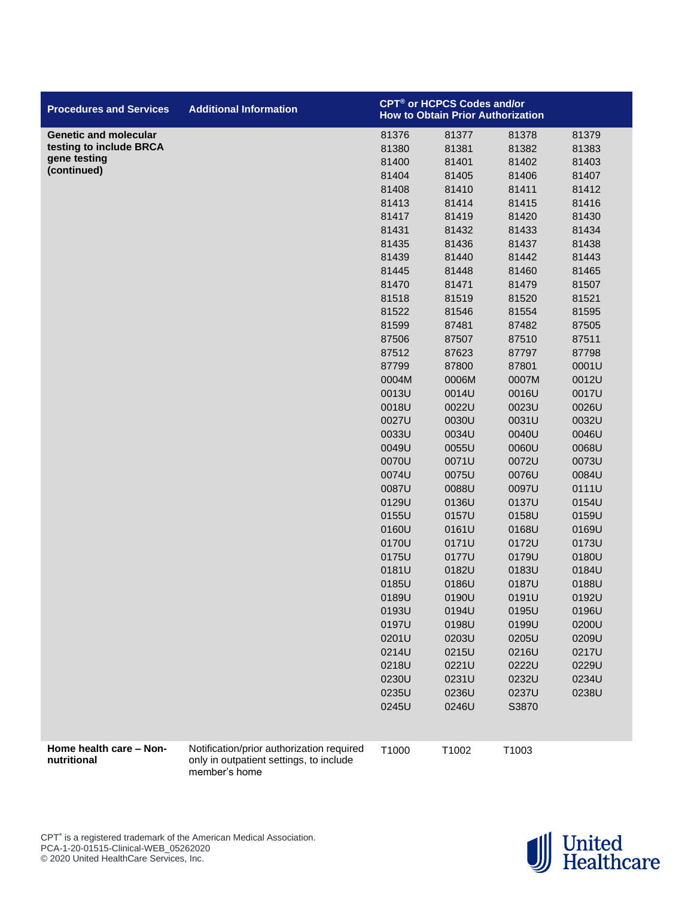| <b>Procedures and Services</b>         | <b>Additional Information</b>                                                                         |       | <b>CPT<sup>®</sup> or HCPCS Codes and/or</b><br><b>How to Obtain Prior Authorization</b> |       |       |
|----------------------------------------|-------------------------------------------------------------------------------------------------------|-------|------------------------------------------------------------------------------------------|-------|-------|
| <b>Genetic and molecular</b>           |                                                                                                       | 81376 | 81377                                                                                    | 81378 | 81379 |
| testing to include BRCA                |                                                                                                       | 81380 | 81381                                                                                    | 81382 | 81383 |
| gene testing                           |                                                                                                       | 81400 | 81401                                                                                    | 81402 | 81403 |
| (continued)                            |                                                                                                       | 81404 | 81405                                                                                    | 81406 | 81407 |
|                                        |                                                                                                       | 81408 | 81410                                                                                    | 81411 | 81412 |
|                                        |                                                                                                       | 81413 | 81414                                                                                    | 81415 | 81416 |
|                                        |                                                                                                       | 81417 | 81419                                                                                    | 81420 | 81430 |
|                                        |                                                                                                       | 81431 | 81432                                                                                    | 81433 | 81434 |
|                                        |                                                                                                       | 81435 | 81436                                                                                    | 81437 | 81438 |
|                                        |                                                                                                       | 81439 | 81440                                                                                    | 81442 | 81443 |
|                                        |                                                                                                       | 81445 | 81448                                                                                    | 81460 | 81465 |
|                                        |                                                                                                       | 81470 | 81471                                                                                    | 81479 | 81507 |
|                                        |                                                                                                       | 81518 | 81519                                                                                    | 81520 | 81521 |
|                                        |                                                                                                       | 81522 | 81546                                                                                    | 81554 | 81595 |
|                                        |                                                                                                       | 81599 | 87481                                                                                    | 87482 | 87505 |
|                                        |                                                                                                       | 87506 | 87507                                                                                    | 87510 | 87511 |
|                                        |                                                                                                       | 87512 | 87623                                                                                    | 87797 | 87798 |
|                                        |                                                                                                       | 87799 | 87800                                                                                    | 87801 | 0001U |
|                                        |                                                                                                       | 0004M | 0006M                                                                                    | 0007M | 0012U |
|                                        |                                                                                                       | 0013U | 0014U                                                                                    | 0016U | 0017U |
|                                        |                                                                                                       | 0018U | 0022U                                                                                    | 0023U | 0026U |
|                                        |                                                                                                       | 0027U | 0030U                                                                                    | 0031U | 0032U |
|                                        |                                                                                                       | 0033U | 0034U                                                                                    | 0040U | 0046U |
|                                        |                                                                                                       | 0049U | 0055U                                                                                    | 0060U | 0068U |
|                                        |                                                                                                       | 0070U | 0071U                                                                                    | 0072U | 0073U |
|                                        |                                                                                                       | 0074U | 0075U                                                                                    | 0076U | 0084U |
|                                        |                                                                                                       | 0087U | 0088U                                                                                    | 0097U | 0111U |
|                                        |                                                                                                       | 0129U | 0136U                                                                                    | 0137U | 0154U |
|                                        |                                                                                                       | 0155U | 0157U                                                                                    | 0158U | 0159U |
|                                        |                                                                                                       | 0160U | 0161U                                                                                    | 0168U | 0169U |
|                                        |                                                                                                       | 0170U | 0171U                                                                                    | 0172U | 0173U |
|                                        |                                                                                                       | 0175U | 0177U                                                                                    | 0179U | 0180U |
|                                        |                                                                                                       | 0181U | 0182U                                                                                    | 0183U | 0184U |
|                                        |                                                                                                       | 0185U | 0186U                                                                                    | 0187U | 0188U |
|                                        |                                                                                                       | 0189U | 0190U                                                                                    | 0191U | 0192U |
|                                        |                                                                                                       | 0193U | 0194U                                                                                    | 0195U | 0196U |
|                                        |                                                                                                       | 0197U | 0198U                                                                                    | 0199U | 0200U |
|                                        |                                                                                                       | 0201U | 0203U                                                                                    | 0205U | 0209U |
|                                        |                                                                                                       | 0214U | 0215U                                                                                    | 0216U | 0217U |
|                                        |                                                                                                       | 0218U | 0221U                                                                                    | 0222U | 0229U |
|                                        |                                                                                                       | 0230U | 0231U                                                                                    | 0232U | 0234U |
|                                        |                                                                                                       | 0235U | 0236U                                                                                    | 0237U | 0238U |
|                                        |                                                                                                       | 0245U | 0246U                                                                                    | S3870 |       |
|                                        |                                                                                                       |       |                                                                                          |       |       |
| Home health care - Non-<br>nutritional | Notification/prior authorization required<br>only in outpatient settings, to include<br>member's home | T1000 | T1002                                                                                    | T1003 |       |

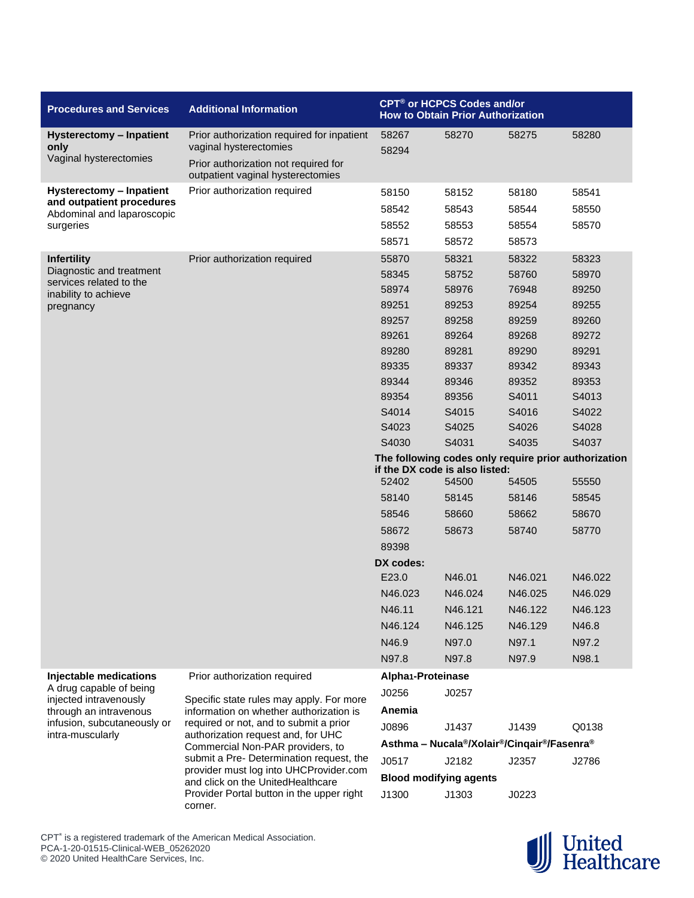| <b>Procedures and Services</b>                          | <b>Additional Information</b>                                                  | <b>CPT<sup>®</sup> or HCPCS Codes and/or</b><br><b>How to Obtain Prior Authorization</b> |                               |                                                                                               |         |
|---------------------------------------------------------|--------------------------------------------------------------------------------|------------------------------------------------------------------------------------------|-------------------------------|-----------------------------------------------------------------------------------------------|---------|
| <b>Hysterectomy - Inpatient</b><br>only                 | Prior authorization required for inpatient<br>vaginal hysterectomies           | 58267<br>58270<br>58294                                                                  |                               | 58275                                                                                         | 58280   |
| Vaginal hysterectomies                                  | Prior authorization not required for<br>outpatient vaginal hysterectomies      |                                                                                          |                               |                                                                                               |         |
| Hysterectomy - Inpatient                                | Prior authorization required                                                   | 58150                                                                                    | 58152                         | 58180                                                                                         | 58541   |
| and outpatient procedures<br>Abdominal and laparoscopic |                                                                                | 58542                                                                                    | 58543                         | 58544                                                                                         | 58550   |
| surgeries                                               |                                                                                | 58552                                                                                    | 58553                         | 58554                                                                                         | 58570   |
|                                                         |                                                                                | 58571                                                                                    | 58572                         | 58573                                                                                         |         |
| <b>Infertility</b>                                      | Prior authorization required                                                   | 55870                                                                                    | 58321                         | 58322                                                                                         | 58323   |
| Diagnostic and treatment                                |                                                                                | 58345                                                                                    | 58752                         | 58760                                                                                         | 58970   |
| services related to the<br>inability to achieve         |                                                                                | 58974                                                                                    | 58976                         | 76948                                                                                         | 89250   |
| pregnancy                                               |                                                                                | 89251                                                                                    | 89253                         | 89254                                                                                         | 89255   |
|                                                         |                                                                                | 89257                                                                                    | 89258                         | 89259                                                                                         | 89260   |
|                                                         |                                                                                | 89261                                                                                    | 89264                         | 89268                                                                                         | 89272   |
|                                                         |                                                                                | 89280                                                                                    | 89281                         | 89290                                                                                         | 89291   |
|                                                         |                                                                                | 89335                                                                                    | 89337                         | 89342                                                                                         | 89343   |
|                                                         |                                                                                | 89344                                                                                    | 89346                         | 89352                                                                                         | 89353   |
|                                                         |                                                                                | 89354                                                                                    | 89356                         | S4011                                                                                         | S4013   |
|                                                         |                                                                                | S4014                                                                                    | S4015                         | S4016                                                                                         | S4022   |
|                                                         |                                                                                | S4023                                                                                    | S4025                         | S4026                                                                                         | S4028   |
|                                                         |                                                                                | S4030                                                                                    | S4031                         | S4035                                                                                         | S4037   |
|                                                         |                                                                                | The following codes only require prior authorization<br>if the DX code is also listed:   |                               |                                                                                               |         |
|                                                         |                                                                                | 52402                                                                                    | 54500                         | 54505                                                                                         | 55550   |
|                                                         |                                                                                | 58140                                                                                    | 58145                         | 58146                                                                                         | 58545   |
|                                                         |                                                                                | 58546                                                                                    | 58660                         | 58662                                                                                         | 58670   |
|                                                         |                                                                                | 58672                                                                                    | 58673                         | 58740                                                                                         | 58770   |
|                                                         |                                                                                | 89398                                                                                    |                               |                                                                                               |         |
|                                                         |                                                                                | DX codes:                                                                                |                               |                                                                                               |         |
|                                                         |                                                                                | E23.0                                                                                    | N46.01                        | N46.021                                                                                       | N46.022 |
|                                                         |                                                                                | N46.023                                                                                  | N46.024                       | N46.025                                                                                       | N46.029 |
|                                                         |                                                                                | N46.11                                                                                   | N46.121                       | N46.122                                                                                       | N46.123 |
|                                                         |                                                                                | N46.124                                                                                  | N46.125                       | N46.129                                                                                       | N46.8   |
|                                                         |                                                                                | N46.9                                                                                    | N97.0                         | N97.1                                                                                         | N97.2   |
|                                                         |                                                                                | N97.8                                                                                    | N97.8                         | N97.9                                                                                         | N98.1   |
| Injectable medications                                  | Prior authorization required                                                   | Alpha <sub>1</sub> -Proteinase                                                           |                               |                                                                                               |         |
| A drug capable of being                                 | Specific state rules may apply. For more                                       | J0256                                                                                    | J0257                         |                                                                                               |         |
| injected intravenously<br>through an intravenous        | information on whether authorization is                                        | Anemia                                                                                   |                               |                                                                                               |         |
| infusion, subcutaneously or                             | required or not, and to submit a prior                                         | J0896                                                                                    | J1437                         | J1439                                                                                         | Q0138   |
| intra-muscularly                                        | authorization request and, for UHC<br>Commercial Non-PAR providers, to         |                                                                                          |                               | Asthma - Nucala <sup>®</sup> /Xolair <sup>®</sup> /Cinqair <sup>®</sup> /Fasenra <sup>®</sup> |         |
|                                                         | submit a Pre- Determination request, the                                       | J0517                                                                                    | J2182                         | J2357                                                                                         | J2786   |
|                                                         | provider must log into UHCProvider.com                                         |                                                                                          | <b>Blood modifying agents</b> |                                                                                               |         |
|                                                         | and click on the UnitedHealthcare<br>Provider Portal button in the upper right | J1300                                                                                    | J1303                         | J0223                                                                                         |         |



CPT<sup>®</sup> is a registered trademark of the American Medical Association. PCA-1-20-01515-Clinical-WEB\_05262020 © 2020 United HealthCare Services, Inc.

corner.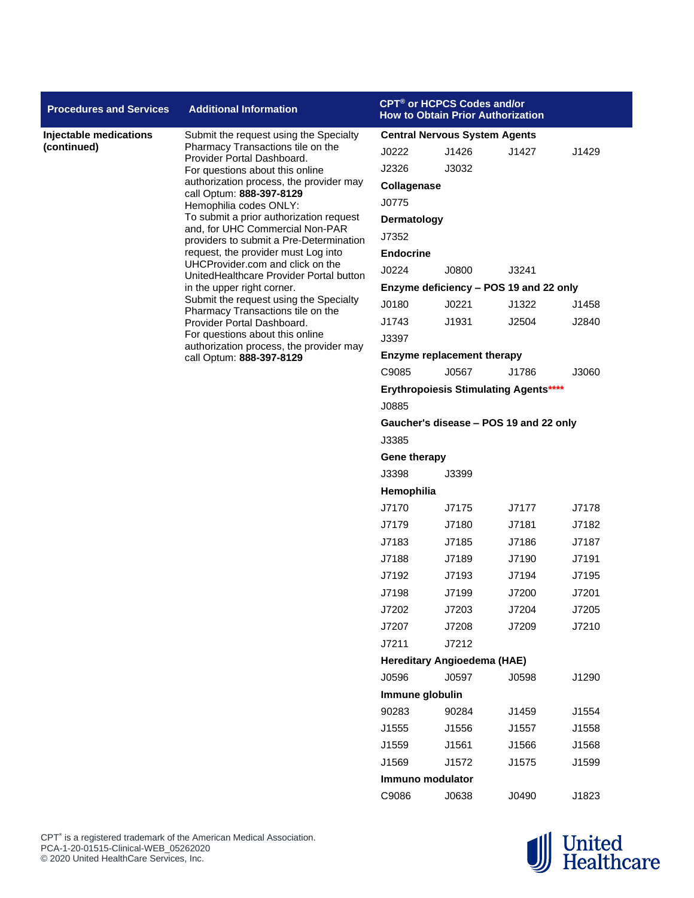| <b>Procedures and Services</b> | <b>Additional Information</b>                                                                                                                                                                                                                     |                                        | CPT® or HCPCS Codes and/or<br><b>How to Obtain Prior Authorization</b> |                                              |       |  |
|--------------------------------|---------------------------------------------------------------------------------------------------------------------------------------------------------------------------------------------------------------------------------------------------|----------------------------------------|------------------------------------------------------------------------|----------------------------------------------|-------|--|
| Injectable medications         | Submit the request using the Specialty                                                                                                                                                                                                            | <b>Central Nervous System Agents</b>   |                                                                        |                                              |       |  |
| (continued)                    | Pharmacy Transactions tile on the<br>Provider Portal Dashboard.                                                                                                                                                                                   | J0222                                  | J1426                                                                  | J1427                                        | J1429 |  |
|                                | For questions about this online                                                                                                                                                                                                                   | J2326                                  | J3032                                                                  |                                              |       |  |
|                                | authorization process, the provider may<br>call Optum: 888-397-8129                                                                                                                                                                               | Collagenase                            |                                                                        |                                              |       |  |
|                                | Hemophilia codes ONLY:                                                                                                                                                                                                                            | J0775                                  |                                                                        |                                              |       |  |
|                                | To submit a prior authorization request                                                                                                                                                                                                           | Dermatology                            |                                                                        |                                              |       |  |
|                                | and, for UHC Commercial Non-PAR<br>providers to submit a Pre-Determination                                                                                                                                                                        | J7352                                  |                                                                        |                                              |       |  |
|                                | request, the provider must Log into                                                                                                                                                                                                               | <b>Endocrine</b>                       |                                                                        |                                              |       |  |
|                                | UHCProvider.com and click on the<br>UnitedHealthcare Provider Portal button                                                                                                                                                                       | J0224                                  | J0800                                                                  | J3241                                        |       |  |
|                                | in the upper right corner.<br>Submit the request using the Specialty<br>Pharmacy Transactions tile on the<br>Provider Portal Dashboard.<br>For questions about this online<br>authorization process, the provider may<br>call Optum: 888-397-8129 |                                        |                                                                        | Enzyme deficiency - POS 19 and 22 only       |       |  |
|                                |                                                                                                                                                                                                                                                   | J0180                                  | J0221                                                                  | J1322                                        | J1458 |  |
|                                |                                                                                                                                                                                                                                                   | J1743                                  | J1931                                                                  | J2504                                        | J2840 |  |
|                                |                                                                                                                                                                                                                                                   | J3397                                  |                                                                        |                                              |       |  |
|                                |                                                                                                                                                                                                                                                   |                                        | <b>Enzyme replacement therapy</b>                                      |                                              |       |  |
|                                |                                                                                                                                                                                                                                                   | C9085                                  | J0567                                                                  | J1786                                        | J3060 |  |
|                                |                                                                                                                                                                                                                                                   |                                        |                                                                        | <b>Erythropoiesis Stimulating Agents****</b> |       |  |
|                                |                                                                                                                                                                                                                                                   | J0885                                  |                                                                        |                                              |       |  |
|                                |                                                                                                                                                                                                                                                   | Gaucher's disease - POS 19 and 22 only |                                                                        |                                              |       |  |
|                                |                                                                                                                                                                                                                                                   | J3385                                  |                                                                        |                                              |       |  |
|                                |                                                                                                                                                                                                                                                   | <b>Gene therapy</b>                    |                                                                        |                                              |       |  |
|                                |                                                                                                                                                                                                                                                   | J3398                                  | J3399                                                                  |                                              |       |  |
|                                |                                                                                                                                                                                                                                                   | Hemophilia                             |                                                                        |                                              |       |  |
|                                |                                                                                                                                                                                                                                                   | J7170                                  | J7175                                                                  | J7177                                        | J7178 |  |
|                                |                                                                                                                                                                                                                                                   | J7179                                  | J7180                                                                  | J7181                                        | J7182 |  |
|                                |                                                                                                                                                                                                                                                   | J7183                                  | J7185                                                                  | J7186                                        | J7187 |  |
|                                |                                                                                                                                                                                                                                                   | J7188                                  | J7189                                                                  | J7190                                        | J7191 |  |
|                                |                                                                                                                                                                                                                                                   | J7192                                  | J7193                                                                  | J7194                                        | J7195 |  |
|                                |                                                                                                                                                                                                                                                   | J7198                                  | J7199                                                                  | J7200                                        | J7201 |  |
|                                |                                                                                                                                                                                                                                                   | J7202                                  | J7203                                                                  | J7204                                        | J7205 |  |
|                                |                                                                                                                                                                                                                                                   | J7207                                  | J7208                                                                  | J7209                                        | J7210 |  |
|                                |                                                                                                                                                                                                                                                   | J7211                                  | J7212                                                                  |                                              |       |  |
|                                |                                                                                                                                                                                                                                                   |                                        | <b>Hereditary Angioedema (HAE)</b>                                     |                                              |       |  |
|                                |                                                                                                                                                                                                                                                   | J0596                                  | J0597                                                                  | J0598                                        | J1290 |  |
|                                |                                                                                                                                                                                                                                                   | Immune globulin                        |                                                                        |                                              |       |  |
|                                |                                                                                                                                                                                                                                                   | 90283                                  | 90284                                                                  | J1459                                        | J1554 |  |
|                                |                                                                                                                                                                                                                                                   | J1555                                  | J1556                                                                  | J1557                                        | J1558 |  |
|                                |                                                                                                                                                                                                                                                   | J1559                                  | J1561                                                                  | J1566                                        | J1568 |  |
|                                |                                                                                                                                                                                                                                                   | J1569                                  | J1572                                                                  | J1575                                        | J1599 |  |
|                                |                                                                                                                                                                                                                                                   | Immuno modulator                       |                                                                        |                                              |       |  |
|                                |                                                                                                                                                                                                                                                   | C9086                                  | J0638                                                                  | J0490                                        | J1823 |  |
|                                |                                                                                                                                                                                                                                                   |                                        |                                                                        |                                              |       |  |

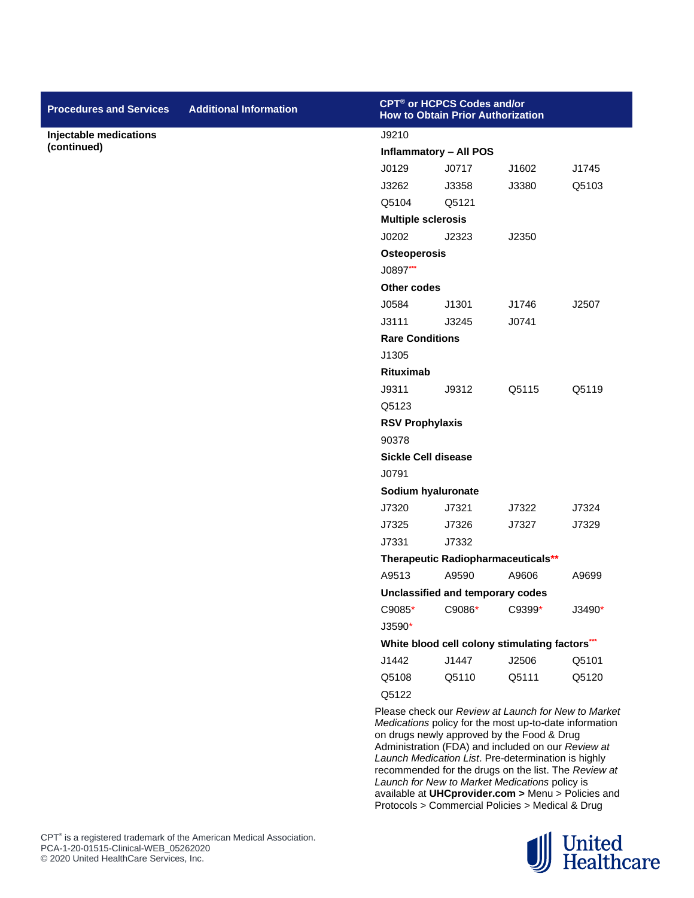| <b>Procedures and Services</b> | <b>Additional Information</b> |                               | CPT <sup>®</sup> or HCPCS Codes and/or<br><b>How to Obtain Prior Authorization</b> |                                                                                                                                                                                                                                                                     |                                                                                                             |  |  |
|--------------------------------|-------------------------------|-------------------------------|------------------------------------------------------------------------------------|---------------------------------------------------------------------------------------------------------------------------------------------------------------------------------------------------------------------------------------------------------------------|-------------------------------------------------------------------------------------------------------------|--|--|
| Injectable medications         |                               | J9210                         |                                                                                    |                                                                                                                                                                                                                                                                     |                                                                                                             |  |  |
| (continued)                    |                               | <b>Inflammatory - All POS</b> |                                                                                    |                                                                                                                                                                                                                                                                     |                                                                                                             |  |  |
|                                |                               | J0129                         | J0717                                                                              | J1602                                                                                                                                                                                                                                                               | J1745                                                                                                       |  |  |
|                                |                               | J3262                         | J3358                                                                              | J3380                                                                                                                                                                                                                                                               | Q5103                                                                                                       |  |  |
|                                |                               | Q5104                         | Q5121                                                                              |                                                                                                                                                                                                                                                                     |                                                                                                             |  |  |
|                                |                               | <b>Multiple sclerosis</b>     |                                                                                    |                                                                                                                                                                                                                                                                     |                                                                                                             |  |  |
|                                |                               | J0202                         | J2323                                                                              | J2350                                                                                                                                                                                                                                                               |                                                                                                             |  |  |
|                                |                               | <b>Osteoperosis</b>           |                                                                                    |                                                                                                                                                                                                                                                                     |                                                                                                             |  |  |
|                                |                               | J0897***                      |                                                                                    |                                                                                                                                                                                                                                                                     |                                                                                                             |  |  |
|                                |                               | Other codes                   |                                                                                    |                                                                                                                                                                                                                                                                     |                                                                                                             |  |  |
|                                |                               | J0584                         | J1301                                                                              | J1746                                                                                                                                                                                                                                                               | J2507                                                                                                       |  |  |
|                                |                               | J3111                         | J3245                                                                              | J0741                                                                                                                                                                                                                                                               |                                                                                                             |  |  |
|                                |                               | <b>Rare Conditions</b>        |                                                                                    |                                                                                                                                                                                                                                                                     |                                                                                                             |  |  |
|                                |                               | J1305                         |                                                                                    |                                                                                                                                                                                                                                                                     |                                                                                                             |  |  |
|                                |                               | Rituximab                     |                                                                                    |                                                                                                                                                                                                                                                                     |                                                                                                             |  |  |
|                                |                               | J9311                         | J9312                                                                              | Q5115                                                                                                                                                                                                                                                               | Q5119                                                                                                       |  |  |
|                                |                               | Q5123                         |                                                                                    |                                                                                                                                                                                                                                                                     |                                                                                                             |  |  |
|                                |                               | <b>RSV Prophylaxis</b>        |                                                                                    |                                                                                                                                                                                                                                                                     |                                                                                                             |  |  |
|                                |                               | 90378                         |                                                                                    |                                                                                                                                                                                                                                                                     |                                                                                                             |  |  |
|                                |                               | <b>Sickle Cell disease</b>    |                                                                                    |                                                                                                                                                                                                                                                                     |                                                                                                             |  |  |
|                                |                               | J0791                         |                                                                                    |                                                                                                                                                                                                                                                                     |                                                                                                             |  |  |
|                                |                               |                               | Sodium hyaluronate                                                                 |                                                                                                                                                                                                                                                                     |                                                                                                             |  |  |
|                                |                               | J7320                         | J7321                                                                              | J7322                                                                                                                                                                                                                                                               | J7324                                                                                                       |  |  |
|                                |                               | J7325                         | J7326                                                                              | J7327                                                                                                                                                                                                                                                               | J7329                                                                                                       |  |  |
|                                |                               | J7331                         | J7332                                                                              |                                                                                                                                                                                                                                                                     |                                                                                                             |  |  |
|                                |                               |                               |                                                                                    | Therapeutic Radiopharmaceuticals**                                                                                                                                                                                                                                  |                                                                                                             |  |  |
|                                |                               | A9513                         | A9590                                                                              | A9606                                                                                                                                                                                                                                                               | A9699                                                                                                       |  |  |
|                                |                               |                               | Unclassified and temporary codes                                                   |                                                                                                                                                                                                                                                                     |                                                                                                             |  |  |
|                                |                               | C9085*                        | C9086*                                                                             | C9399*                                                                                                                                                                                                                                                              | J3490*                                                                                                      |  |  |
|                                |                               | J3590*                        |                                                                                    |                                                                                                                                                                                                                                                                     |                                                                                                             |  |  |
|                                |                               |                               |                                                                                    | White blood cell colony stimulating factors***                                                                                                                                                                                                                      |                                                                                                             |  |  |
|                                |                               | J1442                         | J1447                                                                              | J2506                                                                                                                                                                                                                                                               | Q5101                                                                                                       |  |  |
|                                |                               | Q5108                         | Q5110                                                                              | Q5111                                                                                                                                                                                                                                                               | Q5120                                                                                                       |  |  |
|                                |                               | Q5122                         |                                                                                    |                                                                                                                                                                                                                                                                     |                                                                                                             |  |  |
|                                |                               |                               |                                                                                    | Medications policy for the most up-to-date information<br>on drugs newly approved by the Food & Drug<br>Administration (FDA) and included on our Review at<br>Launch Medication List. Pre-determination is highly<br>Launch for New to Market Medications policy is | Please check our Review at Launch for New to Market<br>recommended for the drugs on the list. The Review at |  |  |

Protocols > Commercial Policies > Medical & Drug United<br>
Healthcare

available at **UHCprovider.com >** Menu > Policies and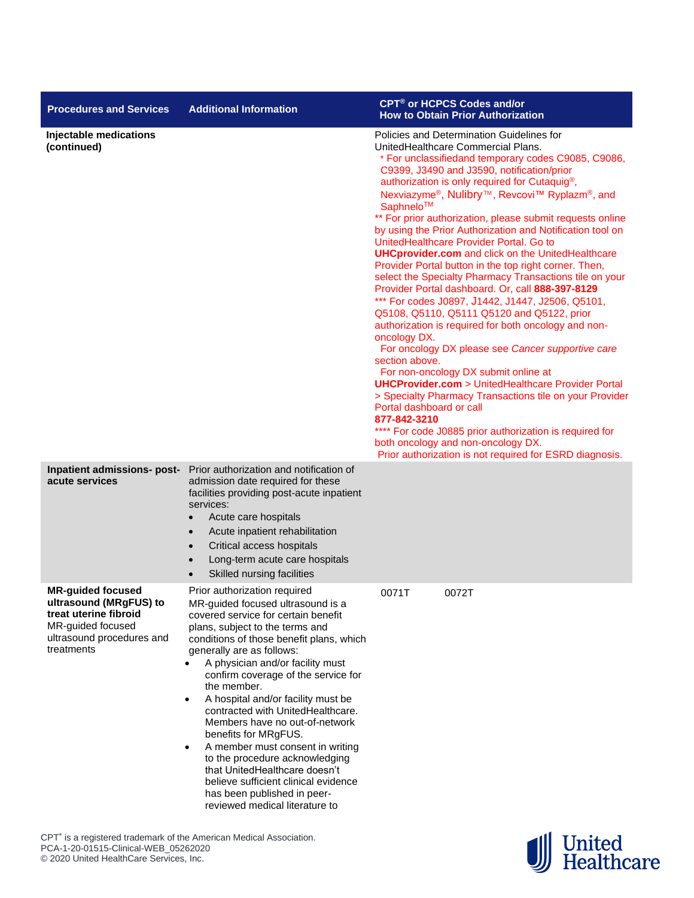| <b>Procedures and Services</b>                                                                                                              | <b>Additional Information</b>                                                                                                                                                                                                                                                                                                                                                                                                                                                                                                                                                                                                                                                                 | CPT <sup>®</sup> or HCPCS Codes and/or<br><b>How to Obtain Prior Authorization</b>                                                                                                                                                                                                                                                                                                                                                                                                                                                                                                                                                                                                                                                                                                                                                                                                                                                                                                                                                                                                                                                                                                                                                                                                                                                                 |
|---------------------------------------------------------------------------------------------------------------------------------------------|-----------------------------------------------------------------------------------------------------------------------------------------------------------------------------------------------------------------------------------------------------------------------------------------------------------------------------------------------------------------------------------------------------------------------------------------------------------------------------------------------------------------------------------------------------------------------------------------------------------------------------------------------------------------------------------------------|----------------------------------------------------------------------------------------------------------------------------------------------------------------------------------------------------------------------------------------------------------------------------------------------------------------------------------------------------------------------------------------------------------------------------------------------------------------------------------------------------------------------------------------------------------------------------------------------------------------------------------------------------------------------------------------------------------------------------------------------------------------------------------------------------------------------------------------------------------------------------------------------------------------------------------------------------------------------------------------------------------------------------------------------------------------------------------------------------------------------------------------------------------------------------------------------------------------------------------------------------------------------------------------------------------------------------------------------------|
| Injectable medications<br>(continued)                                                                                                       |                                                                                                                                                                                                                                                                                                                                                                                                                                                                                                                                                                                                                                                                                               | Policies and Determination Guidelines for<br>UnitedHealthcare Commercial Plans.<br>* For unclassifiedand temporary codes C9085, C9086,<br>C9399, J3490 and J3590, notification/prior<br>authorization is only required for Cutaquig <sup>®</sup> ,<br>Nexviazyme®, Nulibry™, Revcovi™ Ryplazm®, and<br>Saphnelo™<br>** For prior authorization, please submit requests online<br>by using the Prior Authorization and Notification tool on<br>UnitedHealthcare Provider Portal. Go to<br><b>UHCprovider.com</b> and click on the UnitedHealthcare<br>Provider Portal button in the top right corner. Then,<br>select the Specialty Pharmacy Transactions tile on your<br>Provider Portal dashboard. Or, call 888-397-8129<br>*** For codes J0897, J1442, J1447, J2506, Q5101,<br>Q5108, Q5110, Q5111 Q5120 and Q5122, prior<br>authorization is required for both oncology and non-<br>oncology DX.<br>For oncology DX please see Cancer supportive care<br>section above.<br>For non-oncology DX submit online at<br><b>UHCProvider.com</b> > UnitedHealthcare Provider Portal<br>> Specialty Pharmacy Transactions tile on your Provider<br>Portal dashboard or call<br>877-842-3210<br>**** For code J0885 prior authorization is required for<br>both oncology and non-oncology DX.<br>Prior authorization is not required for ESRD diagnosis. |
| Inpatient admissions- post-<br>acute services                                                                                               | Prior authorization and notification of<br>admission date required for these<br>facilities providing post-acute inpatient<br>services:<br>Acute care hospitals<br>$\bullet$<br>Acute inpatient rehabilitation<br>$\bullet$<br>Critical access hospitals<br>$\bullet$<br>Long-term acute care hospitals<br>Skilled nursing facilities                                                                                                                                                                                                                                                                                                                                                          |                                                                                                                                                                                                                                                                                                                                                                                                                                                                                                                                                                                                                                                                                                                                                                                                                                                                                                                                                                                                                                                                                                                                                                                                                                                                                                                                                    |
| <b>MR-guided focused</b><br>ultrasound (MRgFUS) to<br>treat uterine fibroid<br>MR-guided focused<br>ultrasound procedures and<br>treatments | Prior authorization required<br>MR-guided focused ultrasound is a<br>covered service for certain benefit<br>plans, subject to the terms and<br>conditions of those benefit plans, which<br>generally are as follows:<br>A physician and/or facility must<br>confirm coverage of the service for<br>the member.<br>A hospital and/or facility must be<br>$\bullet$<br>contracted with UnitedHealthcare.<br>Members have no out-of-network<br>benefits for MRgFUS.<br>A member must consent in writing<br>$\bullet$<br>to the procedure acknowledging<br>that UnitedHealthcare doesn't<br>believe sufficient clinical evidence<br>has been published in peer-<br>reviewed medical literature to | 0071T<br>0072T                                                                                                                                                                                                                                                                                                                                                                                                                                                                                                                                                                                                                                                                                                                                                                                                                                                                                                                                                                                                                                                                                                                                                                                                                                                                                                                                     |

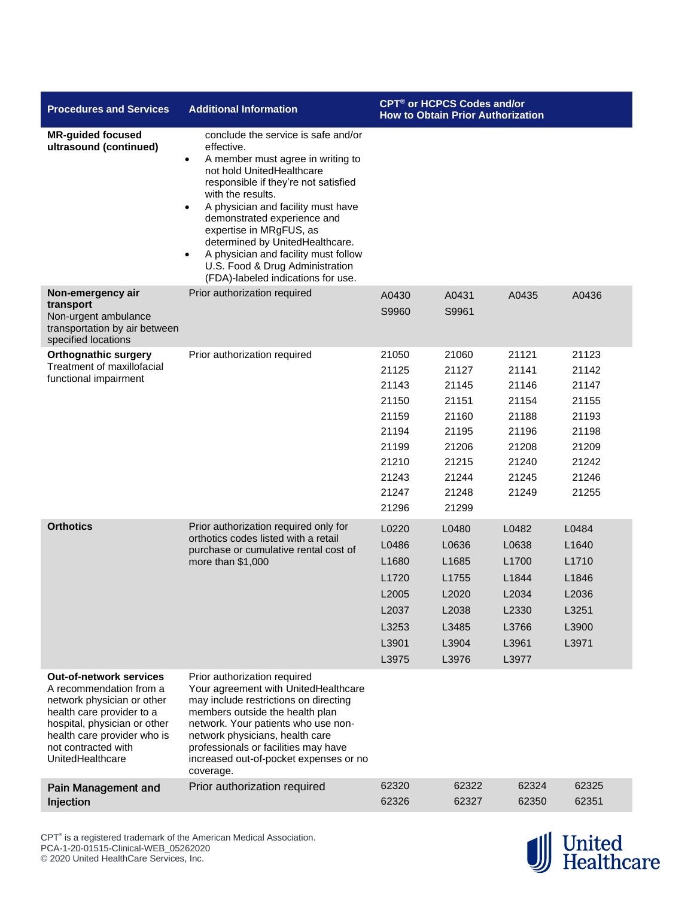| <b>Procedures and Services</b>                                                                                                                                                                                                 | <b>Additional Information</b>                                                                                                                                                                                                                                                                                                                                                                                                                                               | CPT <sup>®</sup> or HCPCS Codes and/or<br><b>How to Obtain Prior Authorization</b>              |                                                                                                 |                                                                                        |                                                                                        |
|--------------------------------------------------------------------------------------------------------------------------------------------------------------------------------------------------------------------------------|-----------------------------------------------------------------------------------------------------------------------------------------------------------------------------------------------------------------------------------------------------------------------------------------------------------------------------------------------------------------------------------------------------------------------------------------------------------------------------|-------------------------------------------------------------------------------------------------|-------------------------------------------------------------------------------------------------|----------------------------------------------------------------------------------------|----------------------------------------------------------------------------------------|
| <b>MR-guided focused</b><br>ultrasound (continued)                                                                                                                                                                             | conclude the service is safe and/or<br>effective.<br>A member must agree in writing to<br>$\bullet$<br>not hold UnitedHealthcare<br>responsible if they're not satisfied<br>with the results.<br>A physician and facility must have<br>$\bullet$<br>demonstrated experience and<br>expertise in MRgFUS, as<br>determined by UnitedHealthcare.<br>A physician and facility must follow<br>$\bullet$<br>U.S. Food & Drug Administration<br>(FDA)-labeled indications for use. |                                                                                                 |                                                                                                 |                                                                                        |                                                                                        |
| Non-emergency air<br>transport<br>Non-urgent ambulance<br>transportation by air between<br>specified locations                                                                                                                 | Prior authorization required                                                                                                                                                                                                                                                                                                                                                                                                                                                | A0430<br>S9960                                                                                  | A0431<br>S9961                                                                                  | A0435                                                                                  | A0436                                                                                  |
| <b>Orthognathic surgery</b><br>Treatment of maxillofacial<br>functional impairment                                                                                                                                             | Prior authorization required                                                                                                                                                                                                                                                                                                                                                                                                                                                | 21050<br>21125<br>21143<br>21150<br>21159<br>21194<br>21199<br>21210<br>21243<br>21247<br>21296 | 21060<br>21127<br>21145<br>21151<br>21160<br>21195<br>21206<br>21215<br>21244<br>21248<br>21299 | 21121<br>21141<br>21146<br>21154<br>21188<br>21196<br>21208<br>21240<br>21245<br>21249 | 21123<br>21142<br>21147<br>21155<br>21193<br>21198<br>21209<br>21242<br>21246<br>21255 |
| <b>Orthotics</b>                                                                                                                                                                                                               | Prior authorization required only for<br>orthotics codes listed with a retail<br>purchase or cumulative rental cost of<br>more than \$1,000                                                                                                                                                                                                                                                                                                                                 | L0220<br>L0486<br>L1680<br>L1720<br>L2005<br>L2037<br>L3253<br>L3901<br>L3975                   | L0480<br>L0636<br>L1685<br>L1755<br>L2020<br>L2038<br>L3485<br>L3904<br>L3976                   | L0482<br>L0638<br>L1700<br>L1844<br>L2034<br>L2330<br>L3766<br>L3961<br>L3977          | L0484<br>L1640<br>L1710<br>L1846<br>L2036<br>L3251<br>L3900<br>L3971                   |
| <b>Out-of-network services</b><br>A recommendation from a<br>network physician or other<br>health care provider to a<br>hospital, physician or other<br>health care provider who is<br>not contracted with<br>UnitedHealthcare | Prior authorization required<br>Your agreement with UnitedHealthcare<br>may include restrictions on directing<br>members outside the health plan<br>network. Your patients who use non-<br>network physicians, health care<br>professionals or facilities may have<br>increased out-of-pocket expenses or no<br>coverage.                                                                                                                                                   |                                                                                                 |                                                                                                 |                                                                                        |                                                                                        |
| <b>Pain Management and</b><br>Injection                                                                                                                                                                                        | Prior authorization required                                                                                                                                                                                                                                                                                                                                                                                                                                                | 62320<br>62326                                                                                  | 62322<br>62327                                                                                  | 62324<br>62350                                                                         | 62325<br>62351                                                                         |

CPT<sup>®</sup> is a registered trademark of the American Medical Association. PCA-1-20-01515-Clinical-WEB\_05262020 © 2020 United HealthCare Services, Inc.

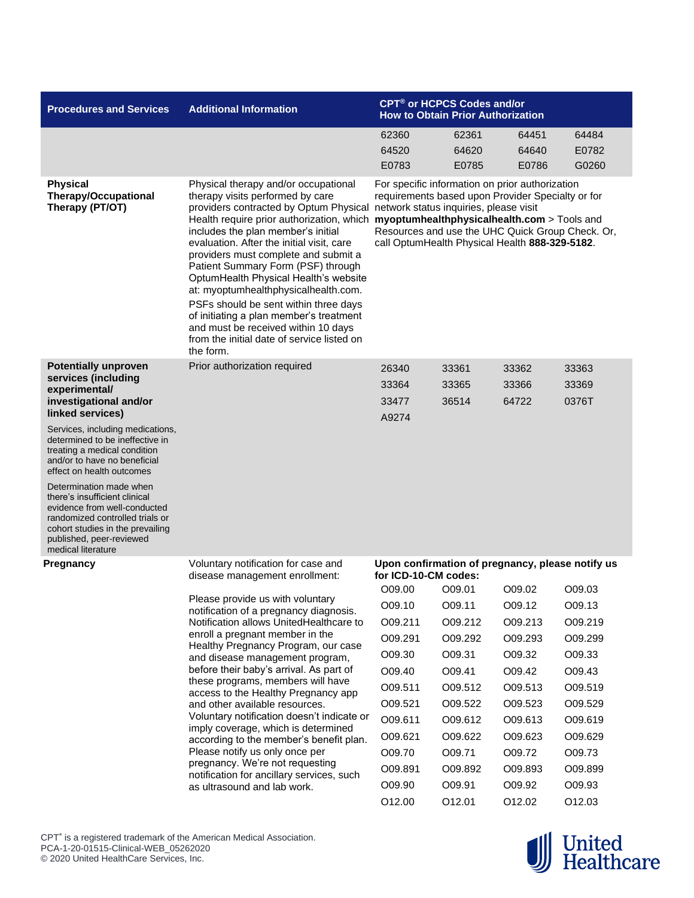| <b>Procedures and Services</b>                                                                                                                                                                                    | <b>Additional Information</b>                                                                                                                                                                                                                                                                                                                                                                                                                                                                                                                                                                     | CPT <sup>®</sup> or HCPCS Codes and/or<br><b>How to Obtain Prior Authorization</b>                                                                                                                                                                                                                  |         |         |         |  |
|-------------------------------------------------------------------------------------------------------------------------------------------------------------------------------------------------------------------|---------------------------------------------------------------------------------------------------------------------------------------------------------------------------------------------------------------------------------------------------------------------------------------------------------------------------------------------------------------------------------------------------------------------------------------------------------------------------------------------------------------------------------------------------------------------------------------------------|-----------------------------------------------------------------------------------------------------------------------------------------------------------------------------------------------------------------------------------------------------------------------------------------------------|---------|---------|---------|--|
|                                                                                                                                                                                                                   |                                                                                                                                                                                                                                                                                                                                                                                                                                                                                                                                                                                                   | 62360                                                                                                                                                                                                                                                                                               | 62361   | 64451   | 64484   |  |
|                                                                                                                                                                                                                   |                                                                                                                                                                                                                                                                                                                                                                                                                                                                                                                                                                                                   | 64520                                                                                                                                                                                                                                                                                               | 64620   | 64640   | E0782   |  |
|                                                                                                                                                                                                                   |                                                                                                                                                                                                                                                                                                                                                                                                                                                                                                                                                                                                   | E0783                                                                                                                                                                                                                                                                                               | E0785   | E0786   | G0260   |  |
| <b>Physical</b><br><b>Therapy/Occupational</b><br>Therapy (PT/OT)                                                                                                                                                 | Physical therapy and/or occupational<br>therapy visits performed by care<br>providers contracted by Optum Physical network status inquiries, please visit<br>includes the plan member's initial<br>evaluation. After the initial visit, care<br>providers must complete and submit a<br>Patient Summary Form (PSF) through<br>OptumHealth Physical Health's website<br>at: myoptumhealthphysicalhealth.com.<br>PSFs should be sent within three days<br>of initiating a plan member's treatment<br>and must be received within 10 days<br>from the initial date of service listed on<br>the form. | For specific information on prior authorization<br>requirements based upon Provider Specialty or for<br>Health require prior authorization, which myoptumhealthphysicalhealth.com > Tools and<br>Resources and use the UHC Quick Group Check. Or,<br>call OptumHealth Physical Health 888-329-5182. |         |         |         |  |
| <b>Potentially unproven</b>                                                                                                                                                                                       | Prior authorization required                                                                                                                                                                                                                                                                                                                                                                                                                                                                                                                                                                      | 26340                                                                                                                                                                                                                                                                                               | 33361   | 33362   | 33363   |  |
| services (including<br>experimental/                                                                                                                                                                              |                                                                                                                                                                                                                                                                                                                                                                                                                                                                                                                                                                                                   | 33364                                                                                                                                                                                                                                                                                               | 33365   | 33366   | 33369   |  |
| investigational and/or                                                                                                                                                                                            |                                                                                                                                                                                                                                                                                                                                                                                                                                                                                                                                                                                                   | 33477                                                                                                                                                                                                                                                                                               | 36514   | 64722   | 0376T   |  |
| linked services)                                                                                                                                                                                                  |                                                                                                                                                                                                                                                                                                                                                                                                                                                                                                                                                                                                   | A9274                                                                                                                                                                                                                                                                                               |         |         |         |  |
| Services, including medications,<br>determined to be ineffective in<br>treating a medical condition<br>and/or to have no beneficial<br>effect on health outcomes                                                  |                                                                                                                                                                                                                                                                                                                                                                                                                                                                                                                                                                                                   |                                                                                                                                                                                                                                                                                                     |         |         |         |  |
| Determination made when<br>there's insufficient clinical<br>evidence from well-conducted<br>randomized controlled trials or<br>cohort studies in the prevailing<br>published, peer-reviewed<br>medical literature |                                                                                                                                                                                                                                                                                                                                                                                                                                                                                                                                                                                                   |                                                                                                                                                                                                                                                                                                     |         |         |         |  |
| <b>Pregnancy</b>                                                                                                                                                                                                  | Voluntary notification for case and<br>disease management enrollment:                                                                                                                                                                                                                                                                                                                                                                                                                                                                                                                             | Upon confirmation of pregnancy, please notify us<br>for ICD-10-CM codes:                                                                                                                                                                                                                            |         |         |         |  |
|                                                                                                                                                                                                                   |                                                                                                                                                                                                                                                                                                                                                                                                                                                                                                                                                                                                   | O09.00                                                                                                                                                                                                                                                                                              | O09.01  | O09.02  | O09.03  |  |
|                                                                                                                                                                                                                   | Please provide us with voluntary<br>notification of a pregnancy diagnosis.                                                                                                                                                                                                                                                                                                                                                                                                                                                                                                                        | O09.10                                                                                                                                                                                                                                                                                              | O09.11  | O09.12  | O09.13  |  |
|                                                                                                                                                                                                                   | Notification allows UnitedHealthcare to                                                                                                                                                                                                                                                                                                                                                                                                                                                                                                                                                           | O09.211                                                                                                                                                                                                                                                                                             | O09.212 | O09.213 | O09.219 |  |
|                                                                                                                                                                                                                   | enroll a pregnant member in the<br>Healthy Pregnancy Program, our case                                                                                                                                                                                                                                                                                                                                                                                                                                                                                                                            | O09.291                                                                                                                                                                                                                                                                                             | O09.292 | O09.293 | O09.299 |  |
|                                                                                                                                                                                                                   | and disease management program,                                                                                                                                                                                                                                                                                                                                                                                                                                                                                                                                                                   | O09.30                                                                                                                                                                                                                                                                                              | O09.31  | O09.32  | O09.33  |  |
|                                                                                                                                                                                                                   | before their baby's arrival. As part of                                                                                                                                                                                                                                                                                                                                                                                                                                                                                                                                                           | O09.40                                                                                                                                                                                                                                                                                              | O09.41  | O09.42  | O09.43  |  |
|                                                                                                                                                                                                                   | these programs, members will have<br>access to the Healthy Pregnancy app                                                                                                                                                                                                                                                                                                                                                                                                                                                                                                                          | O09.511                                                                                                                                                                                                                                                                                             | O09.512 | O09.513 | O09.519 |  |
|                                                                                                                                                                                                                   | and other available resources.                                                                                                                                                                                                                                                                                                                                                                                                                                                                                                                                                                    | O09.521                                                                                                                                                                                                                                                                                             | O09.522 | O09.523 | O09.529 |  |
|                                                                                                                                                                                                                   | Voluntary notification doesn't indicate or                                                                                                                                                                                                                                                                                                                                                                                                                                                                                                                                                        | O09.611                                                                                                                                                                                                                                                                                             | O09.612 | O09.613 | O09.619 |  |
|                                                                                                                                                                                                                   | imply coverage, which is determined<br>according to the member's benefit plan.                                                                                                                                                                                                                                                                                                                                                                                                                                                                                                                    | O09.621                                                                                                                                                                                                                                                                                             | O09.622 | O09.623 | O09.629 |  |
|                                                                                                                                                                                                                   | Please notify us only once per                                                                                                                                                                                                                                                                                                                                                                                                                                                                                                                                                                    | O09.70                                                                                                                                                                                                                                                                                              | O09.71  | O09.72  | O09.73  |  |
|                                                                                                                                                                                                                   | pregnancy. We're not requesting<br>notification for ancillary services, such                                                                                                                                                                                                                                                                                                                                                                                                                                                                                                                      | O09.891                                                                                                                                                                                                                                                                                             | O09.892 | O09.893 | O09.899 |  |
|                                                                                                                                                                                                                   | as ultrasound and lab work.                                                                                                                                                                                                                                                                                                                                                                                                                                                                                                                                                                       | O09.90                                                                                                                                                                                                                                                                                              | O09.91  | O09.92  | O09.93  |  |
|                                                                                                                                                                                                                   |                                                                                                                                                                                                                                                                                                                                                                                                                                                                                                                                                                                                   | O12.00                                                                                                                                                                                                                                                                                              | 012.01  | O12.02  | O12.03  |  |

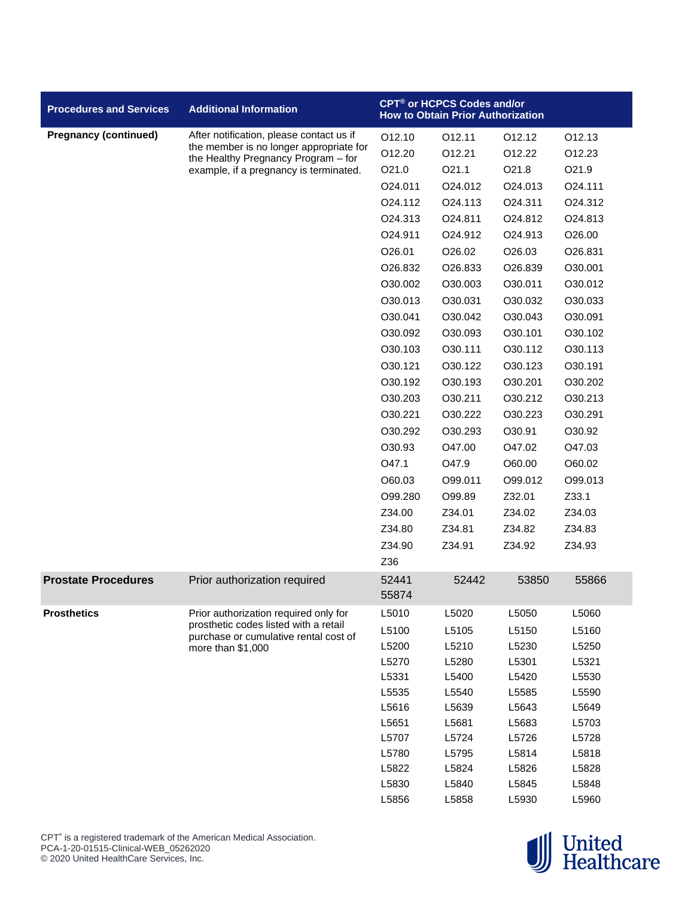| <b>Pregnancy (continued)</b><br>After notification, please contact us if<br>012.12<br>O12.10<br>012.11<br>O12.13<br>the member is no longer appropriate for<br>O12.20<br>012.21<br>012.22<br>O12.23<br>the Healthy Pregnancy Program - for<br>O21.1<br>O21.0<br>O21.8<br>O21.9<br>example, if a pregnancy is terminated.<br>O24.011<br>O24.111<br>O24.012<br>O24.013<br>O24.112<br>O24.113<br>O24.311<br>O24.312<br>O24.313<br>O24.811<br>O24.812<br>O24.813<br>O24.911<br>O24.912<br>O24.913<br>O26.00<br>O26.01<br>O26.02<br>O26.03<br>O26.831<br>O30.001<br>O <sub>26.832</sub><br>O <sub>26.833</sub><br>O26.839<br>O30.002<br>O30.003<br>O30.011<br>O30.012<br>O30.013<br>O30.031<br>O30.032<br>O30.033<br>O30.041<br>O30.042<br>O30.043<br>O30.091<br>O30.092<br>O30.093<br>O30.101<br>O30.102<br>O30.103<br>O30.111<br>O30.113<br>O30.112 | <b>Procedures and Services</b> | <b>Additional Information</b> |         | CPT® or HCPCS Codes and/or<br><b>How to Obtain Prior Authorization</b> |         |         |
|--------------------------------------------------------------------------------------------------------------------------------------------------------------------------------------------------------------------------------------------------------------------------------------------------------------------------------------------------------------------------------------------------------------------------------------------------------------------------------------------------------------------------------------------------------------------------------------------------------------------------------------------------------------------------------------------------------------------------------------------------------------------------------------------------------------------------------------------------|--------------------------------|-------------------------------|---------|------------------------------------------------------------------------|---------|---------|
|                                                                                                                                                                                                                                                                                                                                                                                                                                                                                                                                                                                                                                                                                                                                                                                                                                                  |                                |                               |         |                                                                        |         |         |
|                                                                                                                                                                                                                                                                                                                                                                                                                                                                                                                                                                                                                                                                                                                                                                                                                                                  |                                |                               |         |                                                                        |         |         |
|                                                                                                                                                                                                                                                                                                                                                                                                                                                                                                                                                                                                                                                                                                                                                                                                                                                  |                                |                               |         |                                                                        |         |         |
|                                                                                                                                                                                                                                                                                                                                                                                                                                                                                                                                                                                                                                                                                                                                                                                                                                                  |                                |                               |         |                                                                        |         |         |
|                                                                                                                                                                                                                                                                                                                                                                                                                                                                                                                                                                                                                                                                                                                                                                                                                                                  |                                |                               |         |                                                                        |         |         |
|                                                                                                                                                                                                                                                                                                                                                                                                                                                                                                                                                                                                                                                                                                                                                                                                                                                  |                                |                               |         |                                                                        |         |         |
|                                                                                                                                                                                                                                                                                                                                                                                                                                                                                                                                                                                                                                                                                                                                                                                                                                                  |                                |                               |         |                                                                        |         |         |
|                                                                                                                                                                                                                                                                                                                                                                                                                                                                                                                                                                                                                                                                                                                                                                                                                                                  |                                |                               |         |                                                                        |         |         |
|                                                                                                                                                                                                                                                                                                                                                                                                                                                                                                                                                                                                                                                                                                                                                                                                                                                  |                                |                               |         |                                                                        |         |         |
|                                                                                                                                                                                                                                                                                                                                                                                                                                                                                                                                                                                                                                                                                                                                                                                                                                                  |                                |                               |         |                                                                        |         |         |
|                                                                                                                                                                                                                                                                                                                                                                                                                                                                                                                                                                                                                                                                                                                                                                                                                                                  |                                |                               |         |                                                                        |         |         |
|                                                                                                                                                                                                                                                                                                                                                                                                                                                                                                                                                                                                                                                                                                                                                                                                                                                  |                                |                               |         |                                                                        |         |         |
|                                                                                                                                                                                                                                                                                                                                                                                                                                                                                                                                                                                                                                                                                                                                                                                                                                                  |                                |                               |         |                                                                        |         |         |
|                                                                                                                                                                                                                                                                                                                                                                                                                                                                                                                                                                                                                                                                                                                                                                                                                                                  |                                |                               |         |                                                                        |         |         |
|                                                                                                                                                                                                                                                                                                                                                                                                                                                                                                                                                                                                                                                                                                                                                                                                                                                  |                                |                               | O30.121 | O30.122                                                                | O30.123 | O30.191 |
| O30.192<br>O30.193<br>O30.201<br>O30.202                                                                                                                                                                                                                                                                                                                                                                                                                                                                                                                                                                                                                                                                                                                                                                                                         |                                |                               |         |                                                                        |         |         |
| O30.203<br>O30.211<br>O30.212<br>O30.213                                                                                                                                                                                                                                                                                                                                                                                                                                                                                                                                                                                                                                                                                                                                                                                                         |                                |                               |         |                                                                        |         |         |
| O30.221<br>O30.222<br>O30.223<br>O30.291                                                                                                                                                                                                                                                                                                                                                                                                                                                                                                                                                                                                                                                                                                                                                                                                         |                                |                               |         |                                                                        |         |         |
| O30.292<br>O30.91<br>O30.92<br>O30.293                                                                                                                                                                                                                                                                                                                                                                                                                                                                                                                                                                                                                                                                                                                                                                                                           |                                |                               |         |                                                                        |         |         |
| O30.93<br>O47.00<br>O47.02<br>O47.03                                                                                                                                                                                                                                                                                                                                                                                                                                                                                                                                                                                                                                                                                                                                                                                                             |                                |                               |         |                                                                        |         |         |
| O47.1<br>O47.9<br>O60.00<br>O60.02                                                                                                                                                                                                                                                                                                                                                                                                                                                                                                                                                                                                                                                                                                                                                                                                               |                                |                               |         |                                                                        |         |         |
| O60.03<br>O99.011<br>O99.012<br>O99.013                                                                                                                                                                                                                                                                                                                                                                                                                                                                                                                                                                                                                                                                                                                                                                                                          |                                |                               |         |                                                                        |         |         |
| O99.280<br>O99.89<br>Z32.01<br>Z33.1                                                                                                                                                                                                                                                                                                                                                                                                                                                                                                                                                                                                                                                                                                                                                                                                             |                                |                               |         |                                                                        |         |         |
| Z34.00<br>Z34.01<br>Z34.02<br>Z34.03                                                                                                                                                                                                                                                                                                                                                                                                                                                                                                                                                                                                                                                                                                                                                                                                             |                                |                               |         |                                                                        |         |         |
| Z34.80<br>Z34.81<br>Z34.82<br>Z34.83                                                                                                                                                                                                                                                                                                                                                                                                                                                                                                                                                                                                                                                                                                                                                                                                             |                                |                               |         |                                                                        |         |         |
| Z34.90<br>Z34.92<br>Z34.91<br>Z34.93                                                                                                                                                                                                                                                                                                                                                                                                                                                                                                                                                                                                                                                                                                                                                                                                             |                                |                               |         |                                                                        |         |         |
| Z36                                                                                                                                                                                                                                                                                                                                                                                                                                                                                                                                                                                                                                                                                                                                                                                                                                              |                                |                               |         |                                                                        |         |         |
| 52441<br>Prior authorization required<br>52442<br>53850<br>55866<br>55874                                                                                                                                                                                                                                                                                                                                                                                                                                                                                                                                                                                                                                                                                                                                                                        | <b>Prostate Procedures</b>     |                               |         |                                                                        |         |         |
| L5010<br>L5020<br>L5050<br>L5060<br>Prior authorization required only for                                                                                                                                                                                                                                                                                                                                                                                                                                                                                                                                                                                                                                                                                                                                                                        | <b>Prosthetics</b>             |                               |         |                                                                        |         |         |
| prosthetic codes listed with a retail<br>L5100<br>L5105<br>L5150<br>L5160<br>purchase or cumulative rental cost of                                                                                                                                                                                                                                                                                                                                                                                                                                                                                                                                                                                                                                                                                                                               |                                |                               |         |                                                                        |         |         |
| L5200<br>L5210<br>L5230<br>L5250<br>more than \$1,000                                                                                                                                                                                                                                                                                                                                                                                                                                                                                                                                                                                                                                                                                                                                                                                            |                                |                               |         |                                                                        |         |         |
| L5270<br>L5280<br>L5301<br>L5321                                                                                                                                                                                                                                                                                                                                                                                                                                                                                                                                                                                                                                                                                                                                                                                                                 |                                |                               |         |                                                                        |         |         |
| L5331<br>L5400<br>L5420<br>L5530                                                                                                                                                                                                                                                                                                                                                                                                                                                                                                                                                                                                                                                                                                                                                                                                                 |                                |                               |         |                                                                        |         |         |
| L5535<br>L5540<br>L5585<br>L5590                                                                                                                                                                                                                                                                                                                                                                                                                                                                                                                                                                                                                                                                                                                                                                                                                 |                                |                               |         |                                                                        |         |         |
| L5616<br>L5639<br>L5643<br>L5649                                                                                                                                                                                                                                                                                                                                                                                                                                                                                                                                                                                                                                                                                                                                                                                                                 |                                |                               |         |                                                                        |         |         |
| L5651<br>L5681<br>L5683<br>L5703                                                                                                                                                                                                                                                                                                                                                                                                                                                                                                                                                                                                                                                                                                                                                                                                                 |                                |                               |         |                                                                        |         |         |
| L5707<br>L5728<br>L5724<br>L5726                                                                                                                                                                                                                                                                                                                                                                                                                                                                                                                                                                                                                                                                                                                                                                                                                 |                                |                               |         |                                                                        |         |         |
| L5780<br>L5795<br>L5814<br>L5818                                                                                                                                                                                                                                                                                                                                                                                                                                                                                                                                                                                                                                                                                                                                                                                                                 |                                |                               |         |                                                                        |         |         |
| L5822<br>L5824<br>L5826<br>L5828<br>L5830<br>L5840<br>L5845<br>L5848                                                                                                                                                                                                                                                                                                                                                                                                                                                                                                                                                                                                                                                                                                                                                                             |                                |                               |         |                                                                        |         |         |
| L5856<br>L5858<br>L5930<br>L5960                                                                                                                                                                                                                                                                                                                                                                                                                                                                                                                                                                                                                                                                                                                                                                                                                 |                                |                               |         |                                                                        |         |         |



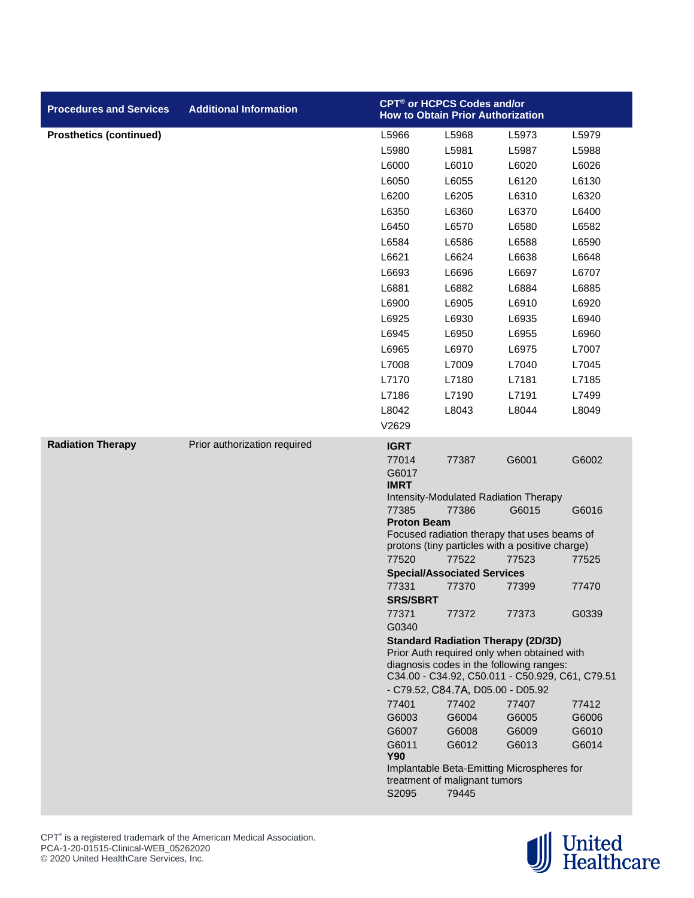| <b>Procedures and Services</b> | <b>Additional Information</b> |                    | CPT <sup>®</sup> or HCPCS Codes and/or<br><b>How to Obtain Prior Authorization</b> |                                                                                                 |                |
|--------------------------------|-------------------------------|--------------------|------------------------------------------------------------------------------------|-------------------------------------------------------------------------------------------------|----------------|
| <b>Prosthetics (continued)</b> |                               | L5966              | L5968                                                                              | L5973                                                                                           | L5979          |
|                                |                               | L5980              | L5981                                                                              | L5987                                                                                           | L5988          |
|                                |                               | L6000              | L6010                                                                              | L6020                                                                                           | L6026          |
|                                |                               | L6050              | L6055                                                                              | L6120                                                                                           | L6130          |
|                                |                               | L6200              | L6205                                                                              | L6310                                                                                           | L6320          |
|                                |                               | L6350              | L6360                                                                              | L6370                                                                                           | L6400          |
|                                |                               | L6450              | L6570                                                                              | L6580                                                                                           | L6582          |
|                                |                               | L6584              | L6586                                                                              | L6588                                                                                           | L6590          |
|                                |                               | L6621              | L6624                                                                              | L6638                                                                                           | L6648          |
|                                |                               | L6693              | L6696                                                                              | L6697                                                                                           | L6707          |
|                                |                               | L6881              | L6882                                                                              | L6884                                                                                           | L6885          |
|                                |                               | L6900              | L6905                                                                              | L6910                                                                                           | L6920          |
|                                |                               | L6925              | L6930                                                                              | L6935                                                                                           | L6940          |
|                                |                               | L6945              | L6950                                                                              | L6955                                                                                           | L6960          |
|                                |                               | L6965              | L6970                                                                              | L6975                                                                                           | L7007          |
|                                |                               | L7008              | L7009                                                                              | L7040                                                                                           | L7045          |
|                                |                               | L7170              | L7180                                                                              | L7181                                                                                           | L7185          |
|                                |                               | L7186              | L7190                                                                              | L7191                                                                                           | L7499          |
|                                |                               | L8042              | L8043                                                                              | L8044                                                                                           | L8049          |
|                                |                               | V2629              |                                                                                    |                                                                                                 |                |
|                                |                               |                    |                                                                                    |                                                                                                 |                |
| <b>Radiation Therapy</b>       | Prior authorization required  | <b>IGRT</b>        |                                                                                    |                                                                                                 |                |
|                                |                               | 77014<br>G6017     | 77387                                                                              | G6001                                                                                           | G6002          |
|                                |                               | <b>IMRT</b>        |                                                                                    |                                                                                                 |                |
|                                |                               |                    | Intensity-Modulated Radiation Therapy                                              |                                                                                                 |                |
|                                |                               | 77385              | 77386                                                                              | G6015                                                                                           | G6016          |
|                                |                               | <b>Proton Beam</b> |                                                                                    |                                                                                                 |                |
|                                |                               |                    |                                                                                    | Focused radiation therapy that uses beams of<br>protons (tiny particles with a positive charge) |                |
|                                |                               | 77520              | 77522                                                                              | 77523                                                                                           | 77525          |
|                                |                               |                    | <b>Special/Associated Services</b>                                                 |                                                                                                 |                |
|                                |                               | 77331              | 77370                                                                              | 77399                                                                                           | 77470          |
|                                |                               | <b>SRS/SBRT</b>    |                                                                                    |                                                                                                 |                |
|                                |                               | 77371              | 77372                                                                              | 77373                                                                                           | G0339          |
|                                |                               | G0340              |                                                                                    |                                                                                                 |                |
|                                |                               |                    | <b>Standard Radiation Therapy (2D/3D)</b>                                          | Prior Auth required only when obtained with                                                     |                |
|                                |                               |                    |                                                                                    | diagnosis codes in the following ranges:                                                        |                |
|                                |                               |                    |                                                                                    | C34.00 - C34.92, C50.011 - C50.929, C61, C79.51                                                 |                |
|                                |                               |                    | - C79.52, C84.7A, D05.00 - D05.92                                                  |                                                                                                 |                |
|                                |                               | 77401              | 77402                                                                              | 77407                                                                                           | 77412          |
|                                |                               | G6003<br>G6007     | G6004<br>G6008                                                                     | G6005<br>G6009                                                                                  | G6006<br>G6010 |
|                                |                               | G6011              | G6012                                                                              | G6013                                                                                           | G6014          |
|                                |                               | <b>Y90</b>         |                                                                                    |                                                                                                 |                |
|                                |                               |                    |                                                                                    | Implantable Beta-Emitting Microspheres for                                                      |                |
|                                |                               |                    | treatment of malignant tumors                                                      |                                                                                                 |                |
|                                |                               | S2095              | 79445                                                                              |                                                                                                 |                |

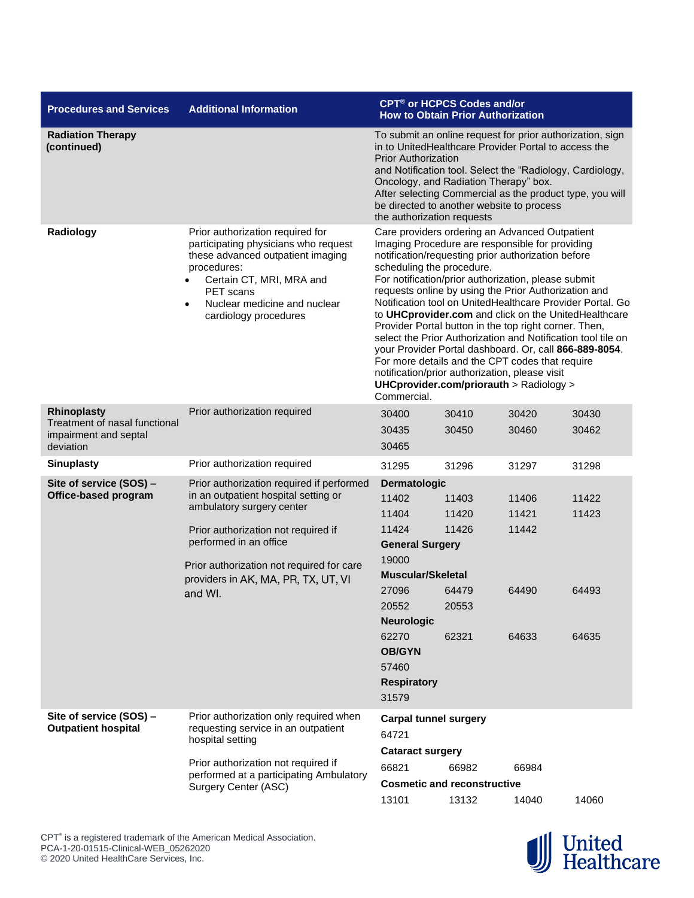| <b>Procedures and Services</b>                                      | <b>Additional Information</b>                                                                                                                                                                                                                                                  |                                                                                                                                                                                                                                                                                                                                                                                                                                                                                                                                                                                                                                                                                                                                                                            | CPT <sup>®</sup> or HCPCS Codes and/or<br><b>How to Obtain Prior Authorization</b> |                                           |                                  |  |
|---------------------------------------------------------------------|--------------------------------------------------------------------------------------------------------------------------------------------------------------------------------------------------------------------------------------------------------------------------------|----------------------------------------------------------------------------------------------------------------------------------------------------------------------------------------------------------------------------------------------------------------------------------------------------------------------------------------------------------------------------------------------------------------------------------------------------------------------------------------------------------------------------------------------------------------------------------------------------------------------------------------------------------------------------------------------------------------------------------------------------------------------------|------------------------------------------------------------------------------------|-------------------------------------------|----------------------------------|--|
| <b>Radiation Therapy</b><br>(continued)                             |                                                                                                                                                                                                                                                                                | To submit an online request for prior authorization, sign<br>in to UnitedHealthcare Provider Portal to access the<br><b>Prior Authorization</b><br>and Notification tool. Select the "Radiology, Cardiology,<br>Oncology, and Radiation Therapy" box.<br>After selecting Commercial as the product type, you will<br>be directed to another website to process<br>the authorization requests                                                                                                                                                                                                                                                                                                                                                                               |                                                                                    |                                           |                                  |  |
| Radiology                                                           | Prior authorization required for<br>participating physicians who request<br>these advanced outpatient imaging<br>procedures:<br>Certain CT, MRI, MRA and<br>PET scans<br>Nuclear medicine and nuclear<br>$\bullet$<br>cardiology procedures                                    | Care providers ordering an Advanced Outpatient<br>Imaging Procedure are responsible for providing<br>notification/requesting prior authorization before<br>scheduling the procedure.<br>For notification/prior authorization, please submit<br>requests online by using the Prior Authorization and<br>Notification tool on UnitedHealthcare Provider Portal. Go<br>to UHCprovider.com and click on the UnitedHealthcare<br>Provider Portal button in the top right corner. Then,<br>select the Prior Authorization and Notification tool tile on<br>your Provider Portal dashboard. Or, call 866-889-8054.<br>For more details and the CPT codes that require<br>notification/prior authorization, please visit<br>UHCprovider.com/priorauth > Radiology ><br>Commercial. |                                                                                    |                                           |                                  |  |
| Rhinoplasty                                                         | Prior authorization required                                                                                                                                                                                                                                                   | 30400                                                                                                                                                                                                                                                                                                                                                                                                                                                                                                                                                                                                                                                                                                                                                                      | 30410                                                                              | 30420                                     | 30430                            |  |
| Treatment of nasal functional<br>impairment and septal<br>deviation |                                                                                                                                                                                                                                                                                | 30435<br>30465                                                                                                                                                                                                                                                                                                                                                                                                                                                                                                                                                                                                                                                                                                                                                             | 30450                                                                              | 30460                                     | 30462                            |  |
| <b>Sinuplasty</b>                                                   | Prior authorization required                                                                                                                                                                                                                                                   | 31295                                                                                                                                                                                                                                                                                                                                                                                                                                                                                                                                                                                                                                                                                                                                                                      | 31296                                                                              | 31297                                     | 31298                            |  |
| Site of service (SOS) -<br>Office-based program                     | Prior authorization required if performed<br>in an outpatient hospital setting or<br>ambulatory surgery center<br>Prior authorization not required if<br>performed in an office<br>Prior authorization not required for care<br>providers in AK, MA, PR, TX, UT, VI<br>and WI. | <b>Dermatologic</b><br>11402<br>11404<br>11424<br><b>General Surgery</b><br>19000<br><b>Muscular/Skeletal</b><br>27096<br>20552<br><b>Neurologic</b><br>62270                                                                                                                                                                                                                                                                                                                                                                                                                                                                                                                                                                                                              | 11403<br>11420<br>11426<br>64479<br>20553<br>62321                                 | 11406<br>11421<br>11442<br>64490<br>64633 | 11422<br>11423<br>64493<br>64635 |  |
|                                                                     |                                                                                                                                                                                                                                                                                | <b>OB/GYN</b><br>57460<br><b>Respiratory</b><br>31579                                                                                                                                                                                                                                                                                                                                                                                                                                                                                                                                                                                                                                                                                                                      |                                                                                    |                                           |                                  |  |
| Site of service (SOS) -<br><b>Outpatient hospital</b>               | Prior authorization only required when<br>requesting service in an outpatient<br>hospital setting                                                                                                                                                                              | <b>Carpal tunnel surgery</b><br>64721<br><b>Cataract surgery</b>                                                                                                                                                                                                                                                                                                                                                                                                                                                                                                                                                                                                                                                                                                           |                                                                                    |                                           |                                  |  |
|                                                                     | Prior authorization not required if<br>performed at a participating Ambulatory                                                                                                                                                                                                 | 66821                                                                                                                                                                                                                                                                                                                                                                                                                                                                                                                                                                                                                                                                                                                                                                      | 66982                                                                              | 66984                                     |                                  |  |
|                                                                     | Surgery Center (ASC)                                                                                                                                                                                                                                                           |                                                                                                                                                                                                                                                                                                                                                                                                                                                                                                                                                                                                                                                                                                                                                                            | <b>Cosmetic and reconstructive</b>                                                 |                                           |                                  |  |
|                                                                     |                                                                                                                                                                                                                                                                                | 13101                                                                                                                                                                                                                                                                                                                                                                                                                                                                                                                                                                                                                                                                                                                                                                      | 13132                                                                              | 14040                                     | 14060                            |  |

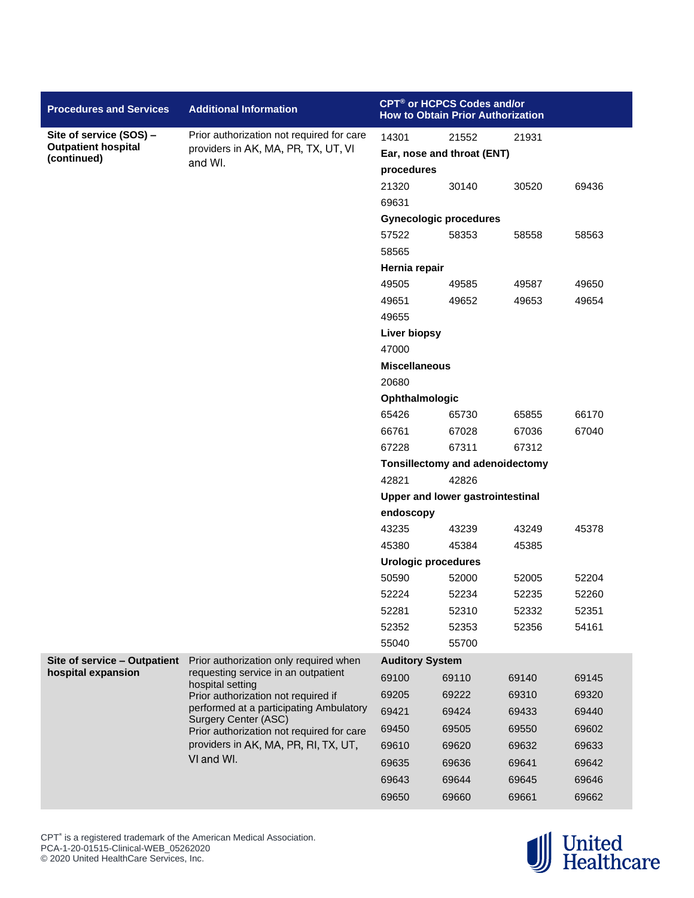| <b>Procedures and Services</b>            | <b>Additional Information</b>                                                     |                                     | CPT® or HCPCS Codes and/or<br><b>How to Obtain Prior Authorization</b> |                |       |  |
|-------------------------------------------|-----------------------------------------------------------------------------------|-------------------------------------|------------------------------------------------------------------------|----------------|-------|--|
| Site of service (SOS) -                   | Prior authorization not required for care                                         | 14301                               | 21552                                                                  | 21931          |       |  |
| <b>Outpatient hospital</b><br>(continued) | providers in AK, MA, PR, TX, UT, VI                                               |                                     | Ear, nose and throat (ENT)                                             |                |       |  |
|                                           | and WI.                                                                           | procedures                          |                                                                        |                |       |  |
|                                           |                                                                                   | 21320                               | 30140                                                                  | 30520          | 69436 |  |
|                                           |                                                                                   | 69631                               |                                                                        |                |       |  |
|                                           |                                                                                   |                                     | <b>Gynecologic procedures</b>                                          |                |       |  |
|                                           |                                                                                   | 57522                               | 58353                                                                  | 58558          | 58563 |  |
|                                           |                                                                                   | 58565                               |                                                                        |                |       |  |
|                                           |                                                                                   | Hernia repair                       |                                                                        |                |       |  |
|                                           |                                                                                   | 49505                               | 49585                                                                  | 49587          | 49650 |  |
|                                           |                                                                                   | 49651                               | 49652                                                                  | 49653          | 49654 |  |
|                                           |                                                                                   | 49655                               |                                                                        |                |       |  |
|                                           |                                                                                   | <b>Liver biopsy</b>                 |                                                                        |                |       |  |
|                                           |                                                                                   | 47000                               |                                                                        |                |       |  |
|                                           |                                                                                   | <b>Miscellaneous</b>                |                                                                        |                |       |  |
|                                           |                                                                                   | 20680                               |                                                                        |                |       |  |
|                                           |                                                                                   | <b>Ophthalmologic</b>               |                                                                        |                |       |  |
|                                           |                                                                                   | 65426                               | 65730                                                                  | 65855          | 66170 |  |
|                                           |                                                                                   | 66761                               | 67028                                                                  | 67036          | 67040 |  |
|                                           |                                                                                   | 67228                               | 67311                                                                  | 67312          |       |  |
|                                           |                                                                                   |                                     | <b>Tonsillectomy and adenoidectomy</b>                                 |                |       |  |
|                                           |                                                                                   | 42821                               | 42826                                                                  |                |       |  |
|                                           |                                                                                   | Upper and lower gastrointestinal    |                                                                        |                |       |  |
|                                           |                                                                                   | endoscopy                           |                                                                        |                |       |  |
|                                           |                                                                                   | 43235<br>45380                      | 43239                                                                  | 43249<br>45385 | 45378 |  |
|                                           |                                                                                   |                                     | 45384                                                                  |                |       |  |
|                                           |                                                                                   | <b>Urologic procedures</b><br>50590 | 52000                                                                  | 52005          | 52204 |  |
|                                           |                                                                                   | 52224                               | 52234                                                                  | 52235          | 52260 |  |
|                                           |                                                                                   | 52281                               | 52310                                                                  | 52332          | 52351 |  |
|                                           |                                                                                   | 52352                               | 52353                                                                  | 52356          | 54161 |  |
|                                           |                                                                                   | 55040                               | 55700                                                                  |                |       |  |
| Site of service - Outpatient              | Prior authorization only required when                                            | <b>Auditory System</b>              |                                                                        |                |       |  |
| hospital expansion                        | requesting service in an outpatient                                               | 69100                               | 69110                                                                  | 69140          | 69145 |  |
|                                           | hospital setting                                                                  | 69205                               | 69222                                                                  | 69310          | 69320 |  |
|                                           | Prior authorization not required if<br>performed at a participating Ambulatory    |                                     |                                                                        |                |       |  |
|                                           | <b>Surgery Center (ASC)</b>                                                       | 69421                               | 69424                                                                  | 69433          | 69440 |  |
|                                           | Prior authorization not required for care<br>providers in AK, MA, PR, RI, TX, UT, | 69450                               | 69505                                                                  | 69550          | 69602 |  |
|                                           | VI and WI.                                                                        | 69610                               | 69620                                                                  | 69632          | 69633 |  |
|                                           |                                                                                   | 69635                               | 69636                                                                  | 69641          | 69642 |  |
|                                           |                                                                                   | 69643                               | 69644                                                                  | 69645          | 69646 |  |
|                                           |                                                                                   | 69650                               | 69660                                                                  | 69661          | 69662 |  |

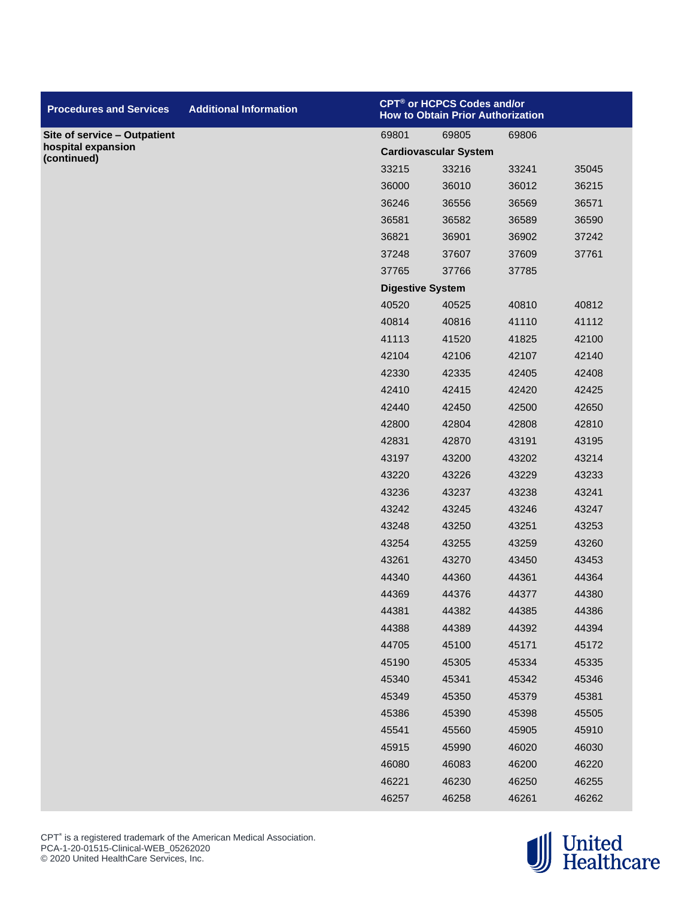| <b>Procedures and Services</b>    | <b>Additional Information</b> |                         | CPT® or HCPCS Codes and/or<br><b>How to Obtain Prior Authorization</b> |       |       |
|-----------------------------------|-------------------------------|-------------------------|------------------------------------------------------------------------|-------|-------|
| Site of service - Outpatient      |                               | 69801                   | 69805                                                                  | 69806 |       |
| hospital expansion<br>(continued) |                               |                         | <b>Cardiovascular System</b>                                           |       |       |
|                                   |                               | 33215                   | 33216                                                                  | 33241 | 35045 |
|                                   |                               | 36000                   | 36010                                                                  | 36012 | 36215 |
|                                   |                               | 36246                   | 36556                                                                  | 36569 | 36571 |
|                                   |                               | 36581                   | 36582                                                                  | 36589 | 36590 |
|                                   |                               | 36821                   | 36901                                                                  | 36902 | 37242 |
|                                   |                               | 37248                   | 37607                                                                  | 37609 | 37761 |
|                                   |                               | 37765                   | 37766                                                                  | 37785 |       |
|                                   |                               | <b>Digestive System</b> |                                                                        |       |       |
|                                   |                               | 40520                   | 40525                                                                  | 40810 | 40812 |
|                                   |                               | 40814                   | 40816                                                                  | 41110 | 41112 |
|                                   |                               | 41113                   | 41520                                                                  | 41825 | 42100 |
|                                   |                               | 42104                   | 42106                                                                  | 42107 | 42140 |
|                                   |                               | 42330                   | 42335                                                                  | 42405 | 42408 |
|                                   |                               | 42410                   | 42415                                                                  | 42420 | 42425 |
|                                   |                               | 42440                   | 42450                                                                  | 42500 | 42650 |
|                                   |                               | 42800                   | 42804                                                                  | 42808 | 42810 |
|                                   |                               | 42831                   | 42870                                                                  | 43191 | 43195 |
|                                   |                               | 43197                   | 43200                                                                  | 43202 | 43214 |
|                                   |                               | 43220                   | 43226                                                                  | 43229 | 43233 |
|                                   |                               | 43236                   | 43237                                                                  | 43238 | 43241 |
|                                   |                               | 43242                   | 43245                                                                  | 43246 | 43247 |
|                                   |                               | 43248                   | 43250                                                                  | 43251 | 43253 |
|                                   |                               | 43254                   | 43255                                                                  | 43259 | 43260 |
|                                   |                               | 43261                   | 43270                                                                  | 43450 | 43453 |
|                                   |                               | 44340                   | 44360                                                                  | 44361 | 44364 |
|                                   |                               | 44369                   | 44376                                                                  | 44377 | 44380 |
|                                   |                               | 44381                   | 44382                                                                  | 44385 | 44386 |
|                                   |                               | 44388                   | 44389                                                                  | 44392 | 44394 |
|                                   |                               | 44705                   | 45100                                                                  | 45171 | 45172 |
|                                   |                               | 45190                   | 45305                                                                  | 45334 | 45335 |
|                                   |                               | 45340                   | 45341                                                                  | 45342 | 45346 |
|                                   |                               | 45349                   | 45350                                                                  | 45379 | 45381 |
|                                   |                               | 45386                   | 45390                                                                  | 45398 | 45505 |
|                                   |                               | 45541                   | 45560                                                                  | 45905 | 45910 |
|                                   |                               | 45915                   | 45990                                                                  | 46020 | 46030 |
|                                   |                               | 46080                   | 46083                                                                  | 46200 | 46220 |
|                                   |                               | 46221                   | 46230                                                                  | 46250 | 46255 |
|                                   |                               | 46257                   | 46258                                                                  | 46261 | 46262 |

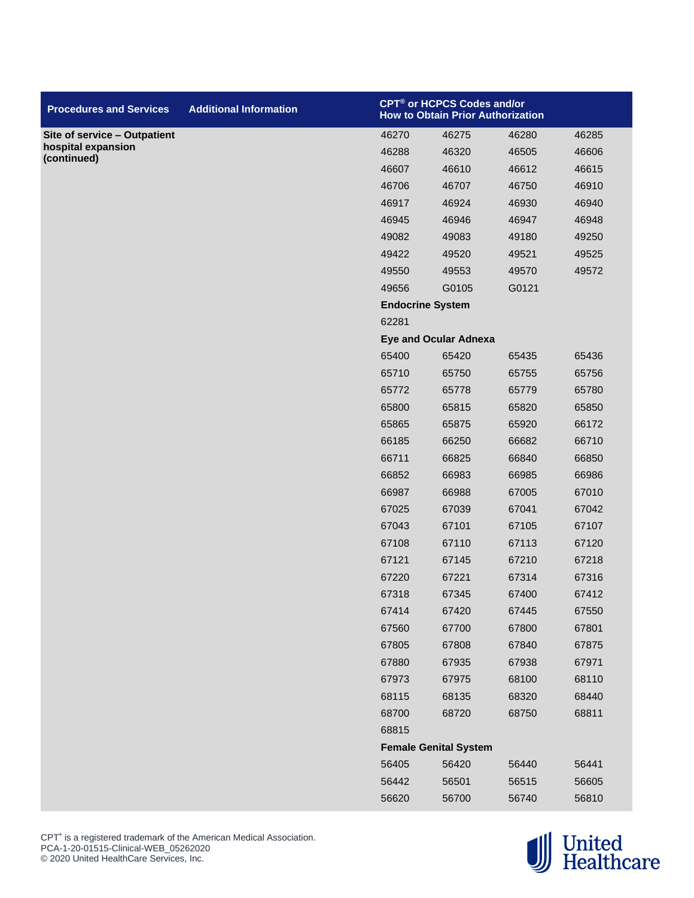| <b>Procedures and Services</b>    | <b>Additional Information</b> |                         | CPT <sup>®</sup> or HCPCS Codes and/or<br><b>How to Obtain Prior Authorization</b> |       |       |
|-----------------------------------|-------------------------------|-------------------------|------------------------------------------------------------------------------------|-------|-------|
| Site of service - Outpatient      |                               | 46270                   | 46275                                                                              | 46280 | 46285 |
| hospital expansion<br>(continued) |                               | 46288                   | 46320                                                                              | 46505 | 46606 |
|                                   |                               | 46607                   | 46610                                                                              | 46612 | 46615 |
|                                   |                               | 46706                   | 46707                                                                              | 46750 | 46910 |
|                                   |                               | 46917                   | 46924                                                                              | 46930 | 46940 |
|                                   |                               | 46945                   | 46946                                                                              | 46947 | 46948 |
|                                   |                               | 49082                   | 49083                                                                              | 49180 | 49250 |
|                                   |                               | 49422                   | 49520                                                                              | 49521 | 49525 |
|                                   |                               | 49550                   | 49553                                                                              | 49570 | 49572 |
|                                   |                               | 49656                   | G0105                                                                              | G0121 |       |
|                                   |                               | <b>Endocrine System</b> |                                                                                    |       |       |
|                                   |                               | 62281                   |                                                                                    |       |       |
|                                   |                               |                         | <b>Eye and Ocular Adnexa</b>                                                       |       |       |
|                                   |                               | 65400                   | 65420                                                                              | 65435 | 65436 |
|                                   |                               | 65710                   | 65750                                                                              | 65755 | 65756 |
|                                   |                               | 65772                   | 65778                                                                              | 65779 | 65780 |
|                                   |                               | 65800                   | 65815                                                                              | 65820 | 65850 |
|                                   |                               | 65865                   | 65875                                                                              | 65920 | 66172 |
|                                   |                               | 66185                   | 66250                                                                              | 66682 | 66710 |
|                                   |                               | 66711                   | 66825                                                                              | 66840 | 66850 |
|                                   |                               | 66852                   | 66983                                                                              | 66985 | 66986 |
|                                   |                               | 66987                   | 66988                                                                              | 67005 | 67010 |
|                                   |                               | 67025                   | 67039                                                                              | 67041 | 67042 |
|                                   |                               | 67043                   | 67101                                                                              | 67105 | 67107 |
|                                   |                               | 67108                   | 67110                                                                              | 67113 | 67120 |
|                                   |                               | 67121                   | 67145                                                                              | 67210 | 67218 |
|                                   |                               | 67220                   | 67221                                                                              | 67314 | 67316 |
|                                   |                               | 67318                   | 67345                                                                              | 67400 | 67412 |
|                                   |                               | 67414                   | 67420                                                                              | 67445 | 67550 |
|                                   |                               | 67560                   | 67700                                                                              | 67800 | 67801 |
|                                   |                               | 67805                   | 67808                                                                              | 67840 | 67875 |
|                                   |                               | 67880                   | 67935                                                                              | 67938 | 67971 |
|                                   |                               | 67973                   | 67975                                                                              | 68100 | 68110 |
|                                   |                               | 68115                   | 68135                                                                              | 68320 | 68440 |
|                                   |                               | 68700                   | 68720                                                                              | 68750 | 68811 |
|                                   |                               | 68815                   |                                                                                    |       |       |
|                                   |                               |                         | <b>Female Genital System</b>                                                       |       |       |
|                                   |                               | 56405                   | 56420                                                                              | 56440 | 56441 |
|                                   |                               | 56442                   | 56501                                                                              | 56515 | 56605 |
|                                   |                               | 56620                   | 56700                                                                              | 56740 | 56810 |

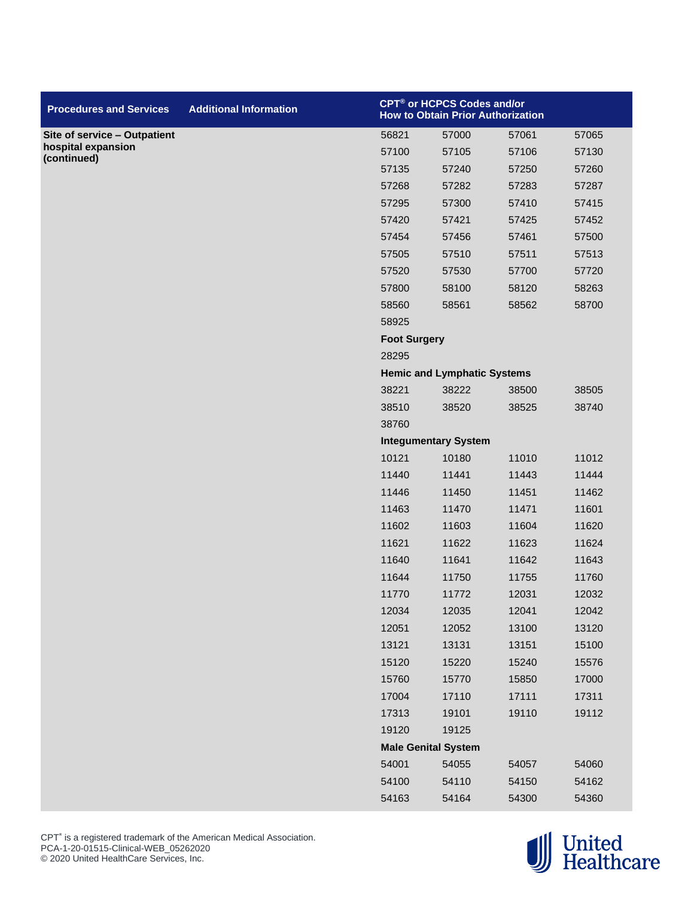| <b>Procedures and Services</b>    | <b>Additional Information</b> |                     | CPT® or HCPCS Codes and/or<br><b>How to Obtain Prior Authorization</b> |       |       |
|-----------------------------------|-------------------------------|---------------------|------------------------------------------------------------------------|-------|-------|
| Site of service - Outpatient      |                               | 56821               | 57000                                                                  | 57061 | 57065 |
| hospital expansion<br>(continued) |                               | 57100               | 57105                                                                  | 57106 | 57130 |
|                                   |                               | 57135               | 57240                                                                  | 57250 | 57260 |
|                                   |                               | 57268               | 57282                                                                  | 57283 | 57287 |
|                                   |                               | 57295               | 57300                                                                  | 57410 | 57415 |
|                                   |                               | 57420               | 57421                                                                  | 57425 | 57452 |
|                                   |                               | 57454               | 57456                                                                  | 57461 | 57500 |
|                                   |                               | 57505               | 57510                                                                  | 57511 | 57513 |
|                                   |                               | 57520               | 57530                                                                  | 57700 | 57720 |
|                                   |                               | 57800               | 58100                                                                  | 58120 | 58263 |
|                                   |                               | 58560               | 58561                                                                  | 58562 | 58700 |
|                                   |                               | 58925               |                                                                        |       |       |
|                                   |                               | <b>Foot Surgery</b> |                                                                        |       |       |
|                                   |                               | 28295               |                                                                        |       |       |
|                                   |                               |                     | <b>Hemic and Lymphatic Systems</b>                                     |       |       |
|                                   |                               | 38221               | 38222                                                                  | 38500 | 38505 |
|                                   |                               | 38510               | 38520                                                                  | 38525 | 38740 |
|                                   |                               | 38760               |                                                                        |       |       |
|                                   |                               |                     | <b>Integumentary System</b>                                            |       |       |
|                                   |                               | 10121               | 10180                                                                  | 11010 | 11012 |
|                                   |                               | 11440               | 11441                                                                  | 11443 | 11444 |
|                                   |                               | 11446               | 11450                                                                  | 11451 | 11462 |
|                                   |                               | 11463               | 11470                                                                  | 11471 | 11601 |
|                                   |                               | 11602               | 11603                                                                  | 11604 | 11620 |
|                                   |                               | 11621               | 11622                                                                  | 11623 | 11624 |
|                                   |                               | 11640               | 11641                                                                  | 11642 | 11643 |
|                                   |                               | 11644               | 11750                                                                  | 11755 | 11760 |
|                                   |                               | 11770               | 11772                                                                  | 12031 | 12032 |
|                                   |                               | 12034               | 12035                                                                  | 12041 | 12042 |
|                                   |                               | 12051               | 12052                                                                  | 13100 | 13120 |
|                                   |                               | 13121               | 13131                                                                  | 13151 | 15100 |
|                                   |                               | 15120               | 15220                                                                  | 15240 | 15576 |
|                                   |                               | 15760               | 15770                                                                  | 15850 | 17000 |
|                                   |                               | 17004               | 17110                                                                  | 17111 | 17311 |
|                                   |                               | 17313               | 19101                                                                  | 19110 | 19112 |
|                                   |                               | 19120               | 19125                                                                  |       |       |
|                                   |                               |                     | <b>Male Genital System</b>                                             |       |       |
|                                   |                               | 54001               | 54055                                                                  | 54057 | 54060 |
|                                   |                               | 54100               | 54110                                                                  | 54150 | 54162 |
|                                   |                               | 54163               | 54164                                                                  | 54300 | 54360 |

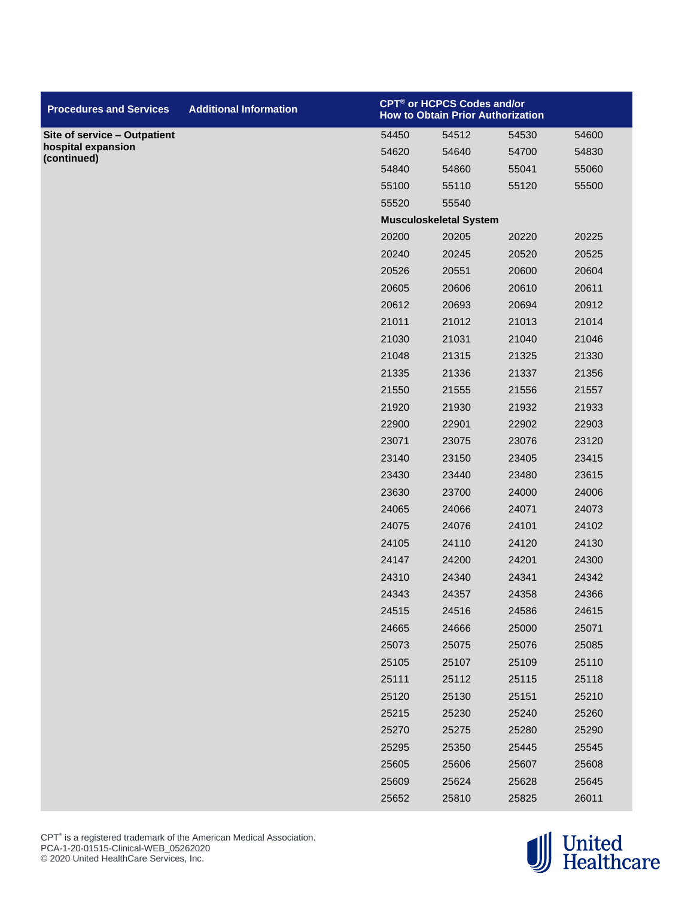| <b>Procedures and Services</b>    | <b>Additional Information</b> | <b>CPT<sup>®</sup> or HCPCS Codes and/or</b><br><b>How to Obtain Prior Authorization</b> |                               |       |       |
|-----------------------------------|-------------------------------|------------------------------------------------------------------------------------------|-------------------------------|-------|-------|
| Site of service - Outpatient      |                               | 54450                                                                                    | 54512                         | 54530 | 54600 |
| hospital expansion<br>(continued) |                               | 54620                                                                                    | 54640                         | 54700 | 54830 |
|                                   |                               | 54840                                                                                    | 54860                         | 55041 | 55060 |
|                                   |                               | 55100                                                                                    | 55110                         | 55120 | 55500 |
|                                   |                               | 55520                                                                                    | 55540                         |       |       |
|                                   |                               |                                                                                          | <b>Musculoskeletal System</b> |       |       |
|                                   |                               | 20200                                                                                    | 20205                         | 20220 | 20225 |
|                                   |                               | 20240                                                                                    | 20245                         | 20520 | 20525 |
|                                   |                               | 20526                                                                                    | 20551                         | 20600 | 20604 |
|                                   |                               | 20605                                                                                    | 20606                         | 20610 | 20611 |
|                                   |                               | 20612                                                                                    | 20693                         | 20694 | 20912 |
|                                   |                               | 21011                                                                                    | 21012                         | 21013 | 21014 |
|                                   |                               | 21030                                                                                    | 21031                         | 21040 | 21046 |
|                                   |                               | 21048                                                                                    | 21315                         | 21325 | 21330 |
|                                   |                               | 21335                                                                                    | 21336                         | 21337 | 21356 |
|                                   |                               | 21550                                                                                    | 21555                         | 21556 | 21557 |
|                                   |                               | 21920                                                                                    | 21930                         | 21932 | 21933 |
|                                   |                               | 22900                                                                                    | 22901                         | 22902 | 22903 |
|                                   |                               | 23071                                                                                    | 23075                         | 23076 | 23120 |
|                                   |                               | 23140                                                                                    | 23150                         | 23405 | 23415 |
|                                   |                               | 23430                                                                                    | 23440                         | 23480 | 23615 |
|                                   |                               | 23630                                                                                    | 23700                         | 24000 | 24006 |
|                                   |                               | 24065                                                                                    | 24066                         | 24071 | 24073 |
|                                   |                               | 24075                                                                                    | 24076                         | 24101 | 24102 |
|                                   |                               | 24105                                                                                    | 24110                         | 24120 | 24130 |
|                                   |                               | 24147                                                                                    | 24200                         | 24201 | 24300 |
|                                   |                               | 24310                                                                                    | 24340                         | 24341 | 24342 |
|                                   |                               | 24343                                                                                    | 24357                         | 24358 | 24366 |
|                                   |                               | 24515                                                                                    | 24516                         | 24586 | 24615 |
|                                   |                               | 24665                                                                                    | 24666                         | 25000 | 25071 |
|                                   |                               | 25073                                                                                    | 25075                         | 25076 | 25085 |
|                                   |                               | 25105                                                                                    | 25107                         | 25109 | 25110 |
|                                   |                               | 25111                                                                                    | 25112                         | 25115 | 25118 |
|                                   |                               | 25120                                                                                    | 25130                         | 25151 | 25210 |
|                                   |                               | 25215                                                                                    | 25230                         | 25240 | 25260 |
|                                   |                               | 25270                                                                                    | 25275                         | 25280 | 25290 |
|                                   |                               | 25295                                                                                    | 25350                         | 25445 | 25545 |
|                                   |                               | 25605                                                                                    | 25606                         | 25607 | 25608 |
|                                   |                               | 25609                                                                                    | 25624                         | 25628 | 25645 |
|                                   |                               | 25652                                                                                    | 25810                         | 25825 | 26011 |

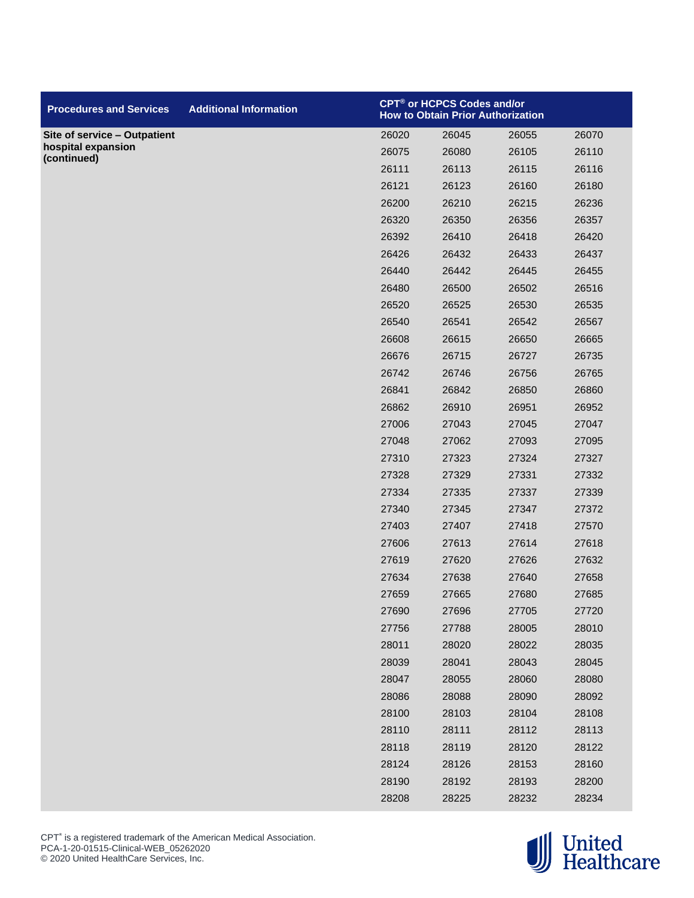| <b>Procedures and Services</b>    | <b>Additional Information</b> |       | CPT® or HCPCS Codes and/or<br><b>How to Obtain Prior Authorization</b> |       |       |  |
|-----------------------------------|-------------------------------|-------|------------------------------------------------------------------------|-------|-------|--|
| Site of service - Outpatient      |                               | 26020 | 26045                                                                  | 26055 | 26070 |  |
| hospital expansion<br>(continued) |                               | 26075 | 26080                                                                  | 26105 | 26110 |  |
|                                   |                               | 26111 | 26113                                                                  | 26115 | 26116 |  |
|                                   |                               | 26121 | 26123                                                                  | 26160 | 26180 |  |
|                                   |                               | 26200 | 26210                                                                  | 26215 | 26236 |  |
|                                   |                               | 26320 | 26350                                                                  | 26356 | 26357 |  |
|                                   |                               | 26392 | 26410                                                                  | 26418 | 26420 |  |
|                                   |                               | 26426 | 26432                                                                  | 26433 | 26437 |  |
|                                   |                               | 26440 | 26442                                                                  | 26445 | 26455 |  |
|                                   |                               | 26480 | 26500                                                                  | 26502 | 26516 |  |
|                                   |                               | 26520 | 26525                                                                  | 26530 | 26535 |  |
|                                   |                               | 26540 | 26541                                                                  | 26542 | 26567 |  |
|                                   |                               | 26608 | 26615                                                                  | 26650 | 26665 |  |
|                                   |                               | 26676 | 26715                                                                  | 26727 | 26735 |  |
|                                   |                               | 26742 | 26746                                                                  | 26756 | 26765 |  |
|                                   |                               | 26841 | 26842                                                                  | 26850 | 26860 |  |
|                                   |                               | 26862 | 26910                                                                  | 26951 | 26952 |  |
|                                   |                               | 27006 | 27043                                                                  | 27045 | 27047 |  |
|                                   |                               | 27048 | 27062                                                                  | 27093 | 27095 |  |
|                                   |                               | 27310 | 27323                                                                  | 27324 | 27327 |  |
|                                   |                               | 27328 | 27329                                                                  | 27331 | 27332 |  |
|                                   |                               | 27334 | 27335                                                                  | 27337 | 27339 |  |
|                                   |                               | 27340 | 27345                                                                  | 27347 | 27372 |  |
|                                   |                               | 27403 | 27407                                                                  | 27418 | 27570 |  |
|                                   |                               | 27606 | 27613                                                                  | 27614 | 27618 |  |
|                                   |                               | 27619 | 27620                                                                  | 27626 | 27632 |  |
|                                   |                               | 27634 | 27638                                                                  | 27640 | 27658 |  |
|                                   |                               | 27659 | 27665                                                                  | 27680 | 27685 |  |
|                                   |                               | 27690 | 27696                                                                  | 27705 | 27720 |  |
|                                   |                               | 27756 | 27788                                                                  | 28005 | 28010 |  |
|                                   |                               | 28011 | 28020                                                                  | 28022 | 28035 |  |
|                                   |                               | 28039 | 28041                                                                  | 28043 | 28045 |  |
|                                   |                               | 28047 | 28055                                                                  | 28060 | 28080 |  |
|                                   |                               | 28086 | 28088                                                                  | 28090 | 28092 |  |
|                                   |                               | 28100 | 28103                                                                  | 28104 | 28108 |  |
|                                   |                               | 28110 | 28111                                                                  | 28112 | 28113 |  |
|                                   |                               | 28118 | 28119                                                                  | 28120 | 28122 |  |
|                                   |                               | 28124 | 28126                                                                  | 28153 | 28160 |  |
|                                   |                               | 28190 | 28192                                                                  | 28193 | 28200 |  |
|                                   |                               | 28208 | 28225                                                                  | 28232 | 28234 |  |

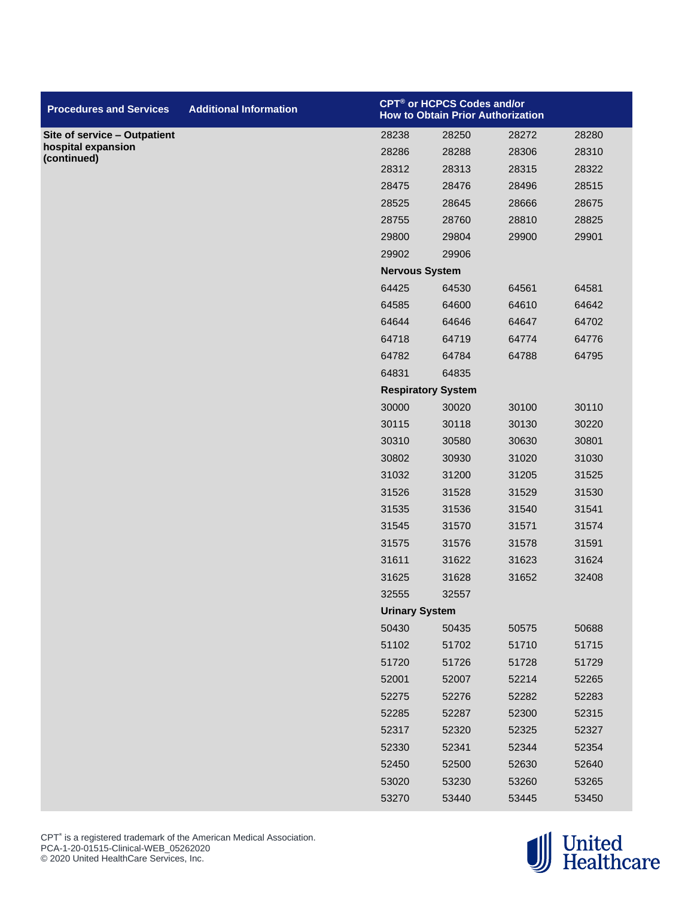| <b>Procedures and Services</b>    | <b>Additional Information</b> |                       | CPT® or HCPCS Codes and/or<br><b>How to Obtain Prior Authorization</b> |       |       |  |
|-----------------------------------|-------------------------------|-----------------------|------------------------------------------------------------------------|-------|-------|--|
| Site of service - Outpatient      |                               | 28238                 | 28250                                                                  | 28272 | 28280 |  |
| hospital expansion<br>(continued) |                               | 28286                 | 28288                                                                  | 28306 | 28310 |  |
|                                   |                               | 28312                 | 28313                                                                  | 28315 | 28322 |  |
|                                   |                               | 28475                 | 28476                                                                  | 28496 | 28515 |  |
|                                   |                               | 28525                 | 28645                                                                  | 28666 | 28675 |  |
|                                   |                               | 28755                 | 28760                                                                  | 28810 | 28825 |  |
|                                   |                               | 29800                 | 29804                                                                  | 29900 | 29901 |  |
|                                   |                               | 29902                 | 29906                                                                  |       |       |  |
|                                   |                               | <b>Nervous System</b> |                                                                        |       |       |  |
|                                   |                               | 64425                 | 64530                                                                  | 64561 | 64581 |  |
|                                   |                               | 64585                 | 64600                                                                  | 64610 | 64642 |  |
|                                   |                               | 64644                 | 64646                                                                  | 64647 | 64702 |  |
|                                   |                               | 64718                 | 64719                                                                  | 64774 | 64776 |  |
|                                   |                               | 64782                 | 64784                                                                  | 64788 | 64795 |  |
|                                   |                               | 64831                 | 64835                                                                  |       |       |  |
|                                   |                               |                       | <b>Respiratory System</b>                                              |       |       |  |
|                                   |                               | 30000                 | 30020                                                                  | 30100 | 30110 |  |
|                                   |                               | 30115                 | 30118                                                                  | 30130 | 30220 |  |
|                                   |                               | 30310                 | 30580                                                                  | 30630 | 30801 |  |
|                                   |                               | 30802                 | 30930                                                                  | 31020 | 31030 |  |
|                                   |                               | 31032                 | 31200                                                                  | 31205 | 31525 |  |
|                                   |                               | 31526                 | 31528                                                                  | 31529 | 31530 |  |
|                                   |                               | 31535                 | 31536                                                                  | 31540 | 31541 |  |
|                                   |                               | 31545                 | 31570                                                                  | 31571 | 31574 |  |
|                                   |                               | 31575                 | 31576                                                                  | 31578 | 31591 |  |
|                                   |                               | 31611                 | 31622                                                                  | 31623 | 31624 |  |
|                                   |                               | 31625                 | 31628                                                                  | 31652 | 32408 |  |
|                                   |                               | 32555                 | 32557                                                                  |       |       |  |
|                                   |                               | <b>Urinary System</b> |                                                                        |       |       |  |
|                                   |                               | 50430                 | 50435                                                                  | 50575 | 50688 |  |
|                                   |                               | 51102                 | 51702                                                                  | 51710 | 51715 |  |
|                                   |                               | 51720                 | 51726                                                                  | 51728 | 51729 |  |
|                                   |                               | 52001                 | 52007                                                                  | 52214 | 52265 |  |
|                                   |                               | 52275                 | 52276                                                                  | 52282 | 52283 |  |
|                                   |                               | 52285                 | 52287                                                                  | 52300 | 52315 |  |
|                                   |                               | 52317                 | 52320                                                                  | 52325 | 52327 |  |
|                                   |                               | 52330                 | 52341                                                                  | 52344 | 52354 |  |
|                                   |                               | 52450                 | 52500                                                                  | 52630 | 52640 |  |
|                                   |                               | 53020                 | 53230                                                                  | 53260 | 53265 |  |
|                                   |                               | 53270                 | 53440                                                                  | 53445 | 53450 |  |

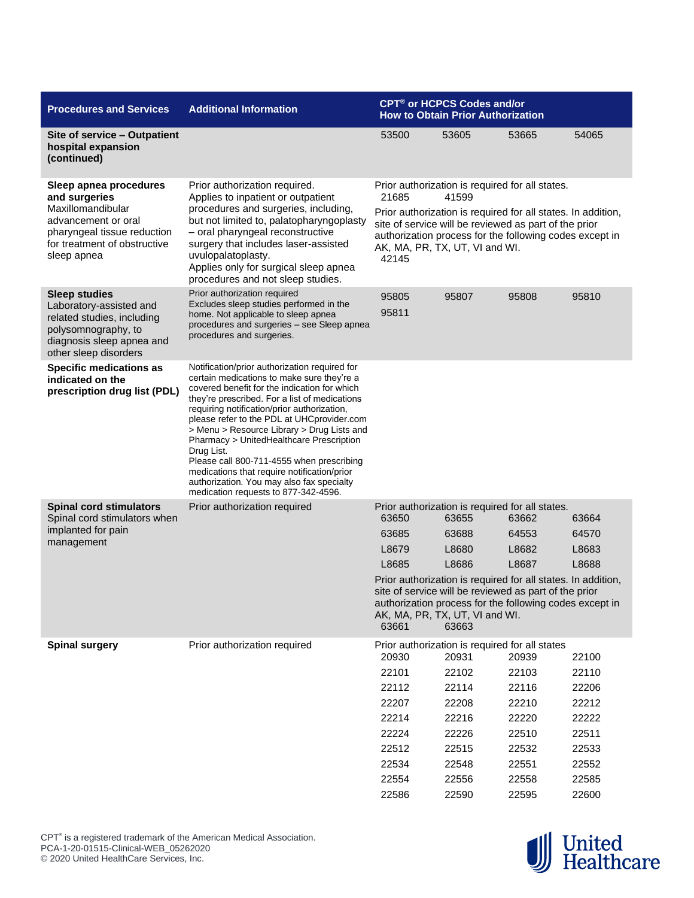| <b>Procedures and Services</b>                                                                                                                                    | <b>Additional Information</b>                                                                                                                                                                                                                                                                                                                                                                                                                                                                                                                                                      | <b>CPT<sup>®</sup> or HCPCS Codes and/or</b><br><b>How to Obtain Prior Authorization</b>                                                                                                                                             |                                                         |       |       |  |  |
|-------------------------------------------------------------------------------------------------------------------------------------------------------------------|------------------------------------------------------------------------------------------------------------------------------------------------------------------------------------------------------------------------------------------------------------------------------------------------------------------------------------------------------------------------------------------------------------------------------------------------------------------------------------------------------------------------------------------------------------------------------------|--------------------------------------------------------------------------------------------------------------------------------------------------------------------------------------------------------------------------------------|---------------------------------------------------------|-------|-------|--|--|
| Site of service - Outpatient<br>hospital expansion<br>(continued)                                                                                                 |                                                                                                                                                                                                                                                                                                                                                                                                                                                                                                                                                                                    | 53500                                                                                                                                                                                                                                | 53605                                                   | 53665 | 54065 |  |  |
| Sleep apnea procedures<br>and surgeries<br>Maxillomandibular<br>advancement or oral<br>pharyngeal tissue reduction<br>for treatment of obstructive<br>sleep apnea | Prior authorization required.<br>Applies to inpatient or outpatient<br>procedures and surgeries, including,<br>but not limited to, palatopharyngoplasty<br>- oral pharyngeal reconstructive<br>surgery that includes laser-assisted<br>uvulopalatoplasty.<br>Applies only for surgical sleep apnea<br>procedures and not sleep studies.                                                                                                                                                                                                                                            | Prior authorization is required for all states.<br>21685<br>41599                                                                                                                                                                    |                                                         |       |       |  |  |
|                                                                                                                                                                   |                                                                                                                                                                                                                                                                                                                                                                                                                                                                                                                                                                                    | Prior authorization is required for all states. In addition,<br>site of service will be reviewed as part of the prior<br>authorization process for the following codes except in<br>AK, MA, PR, TX, UT, VI and WI.<br>42145          |                                                         |       |       |  |  |
| <b>Sleep studies</b><br>Laboratory-assisted and<br>related studies, including<br>polysomnography, to<br>diagnosis sleep apnea and<br>other sleep disorders        | Prior authorization required<br>Excludes sleep studies performed in the<br>home. Not applicable to sleep apnea<br>procedures and surgeries - see Sleep apnea<br>procedures and surgeries.                                                                                                                                                                                                                                                                                                                                                                                          | 95805<br>95811                                                                                                                                                                                                                       | 95807                                                   | 95808 | 95810 |  |  |
| <b>Specific medications as</b><br>indicated on the<br>prescription drug list (PDL)                                                                                | Notification/prior authorization required for<br>certain medications to make sure they're a<br>covered benefit for the indication for which<br>they're prescribed. For a list of medications<br>requiring notification/prior authorization,<br>please refer to the PDL at UHCprovider.com<br>> Menu > Resource Library > Drug Lists and<br>Pharmacy > UnitedHealthcare Prescription<br>Drug List.<br>Please call 800-711-4555 when prescribing<br>medications that require notification/prior<br>authorization. You may also fax specialty<br>medication requests to 877-342-4596. |                                                                                                                                                                                                                                      |                                                         |       |       |  |  |
| <b>Spinal cord stimulators</b><br>Spinal cord stimulators when                                                                                                    | Prior authorization required                                                                                                                                                                                                                                                                                                                                                                                                                                                                                                                                                       | Prior authorization is required for all states.<br>63650<br>63655<br>63662<br>63664                                                                                                                                                  |                                                         |       |       |  |  |
| implanted for pain                                                                                                                                                |                                                                                                                                                                                                                                                                                                                                                                                                                                                                                                                                                                                    | 63685                                                                                                                                                                                                                                | 63688                                                   | 64553 | 64570 |  |  |
| management                                                                                                                                                        |                                                                                                                                                                                                                                                                                                                                                                                                                                                                                                                                                                                    | L8679                                                                                                                                                                                                                                | L8680                                                   | L8682 | L8683 |  |  |
|                                                                                                                                                                   |                                                                                                                                                                                                                                                                                                                                                                                                                                                                                                                                                                                    | L8685                                                                                                                                                                                                                                | L8686                                                   | L8687 | L8688 |  |  |
|                                                                                                                                                                   |                                                                                                                                                                                                                                                                                                                                                                                                                                                                                                                                                                                    | Prior authorization is required for all states. In addition,<br>site of service will be reviewed as part of the prior<br>authorization process for the following codes except in<br>AK, MA, PR, TX, UT, VI and WI.<br>63661<br>63663 |                                                         |       |       |  |  |
| <b>Spinal surgery</b>                                                                                                                                             | Prior authorization required                                                                                                                                                                                                                                                                                                                                                                                                                                                                                                                                                       | 20930                                                                                                                                                                                                                                | Prior authorization is required for all states<br>20931 | 20939 | 22100 |  |  |
|                                                                                                                                                                   |                                                                                                                                                                                                                                                                                                                                                                                                                                                                                                                                                                                    | 22101                                                                                                                                                                                                                                | 22102                                                   | 22103 | 22110 |  |  |
|                                                                                                                                                                   |                                                                                                                                                                                                                                                                                                                                                                                                                                                                                                                                                                                    | 22112                                                                                                                                                                                                                                | 22114                                                   | 22116 | 22206 |  |  |
|                                                                                                                                                                   |                                                                                                                                                                                                                                                                                                                                                                                                                                                                                                                                                                                    | 22207                                                                                                                                                                                                                                | 22208                                                   | 22210 | 22212 |  |  |
|                                                                                                                                                                   |                                                                                                                                                                                                                                                                                                                                                                                                                                                                                                                                                                                    | 22214                                                                                                                                                                                                                                | 22216                                                   | 22220 | 22222 |  |  |
|                                                                                                                                                                   |                                                                                                                                                                                                                                                                                                                                                                                                                                                                                                                                                                                    | 22224                                                                                                                                                                                                                                | 22226                                                   | 22510 | 22511 |  |  |
|                                                                                                                                                                   |                                                                                                                                                                                                                                                                                                                                                                                                                                                                                                                                                                                    | 22512                                                                                                                                                                                                                                | 22515                                                   | 22532 | 22533 |  |  |
|                                                                                                                                                                   |                                                                                                                                                                                                                                                                                                                                                                                                                                                                                                                                                                                    | 22534                                                                                                                                                                                                                                | 22548                                                   | 22551 | 22552 |  |  |
|                                                                                                                                                                   |                                                                                                                                                                                                                                                                                                                                                                                                                                                                                                                                                                                    | 22554                                                                                                                                                                                                                                | 22556                                                   | 22558 | 22585 |  |  |
|                                                                                                                                                                   |                                                                                                                                                                                                                                                                                                                                                                                                                                                                                                                                                                                    | 22586                                                                                                                                                                                                                                | 22590                                                   | 22595 | 22600 |  |  |

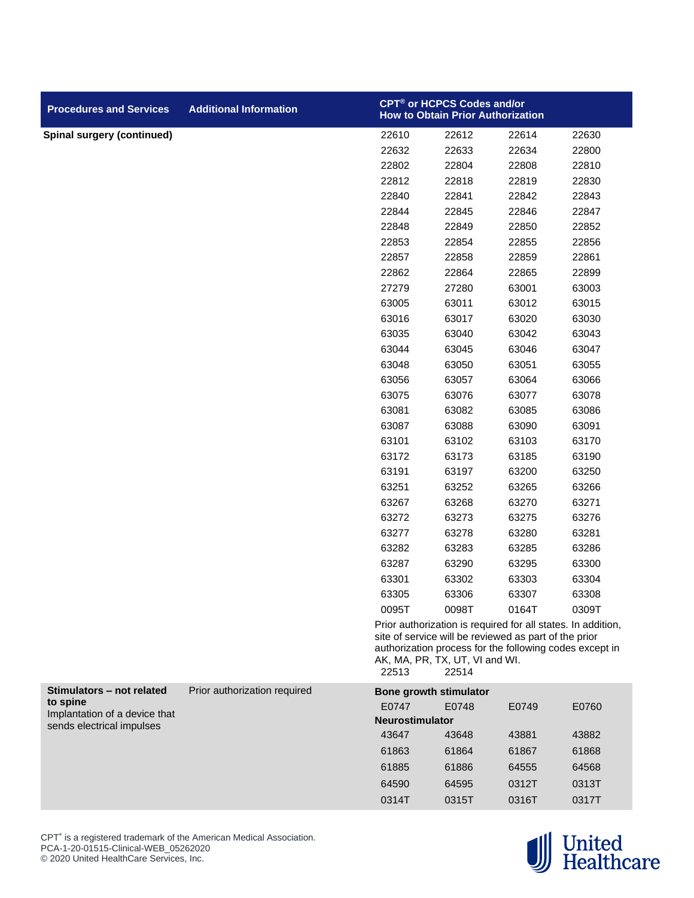| <b>Procedures and Services</b>                             | <b>Additional Information</b> | CPT® or HCPCS Codes and/or<br><b>How to Obtain Prior Authorization</b> |                                         |                                                                                                                                                                                  |       |
|------------------------------------------------------------|-------------------------------|------------------------------------------------------------------------|-----------------------------------------|----------------------------------------------------------------------------------------------------------------------------------------------------------------------------------|-------|
| <b>Spinal surgery (continued)</b>                          |                               | 22610                                                                  | 22612                                   | 22614                                                                                                                                                                            | 22630 |
|                                                            |                               | 22632                                                                  | 22633                                   | 22634                                                                                                                                                                            | 22800 |
|                                                            |                               | 22802                                                                  | 22804                                   | 22808                                                                                                                                                                            | 22810 |
|                                                            |                               | 22812                                                                  | 22818                                   | 22819                                                                                                                                                                            | 22830 |
|                                                            |                               | 22840                                                                  | 22841                                   | 22842                                                                                                                                                                            | 22843 |
|                                                            |                               | 22844                                                                  | 22845                                   | 22846                                                                                                                                                                            | 22847 |
|                                                            |                               | 22848                                                                  | 22849                                   | 22850                                                                                                                                                                            | 22852 |
|                                                            |                               | 22853                                                                  | 22854                                   | 22855                                                                                                                                                                            | 22856 |
|                                                            |                               | 22857                                                                  | 22858                                   | 22859                                                                                                                                                                            | 22861 |
|                                                            |                               | 22862                                                                  | 22864                                   | 22865                                                                                                                                                                            | 22899 |
|                                                            |                               | 27279                                                                  | 27280                                   | 63001                                                                                                                                                                            | 63003 |
|                                                            |                               | 63005                                                                  | 63011                                   | 63012                                                                                                                                                                            | 63015 |
|                                                            |                               | 63016                                                                  | 63017                                   | 63020                                                                                                                                                                            | 63030 |
|                                                            |                               | 63035                                                                  | 63040                                   | 63042                                                                                                                                                                            | 63043 |
|                                                            |                               | 63044                                                                  | 63045                                   | 63046                                                                                                                                                                            | 63047 |
|                                                            |                               | 63048                                                                  | 63050                                   | 63051                                                                                                                                                                            | 63055 |
|                                                            |                               | 63056                                                                  | 63057                                   | 63064                                                                                                                                                                            | 63066 |
|                                                            |                               | 63075                                                                  | 63076                                   | 63077                                                                                                                                                                            | 63078 |
|                                                            |                               | 63081                                                                  | 63082                                   | 63085                                                                                                                                                                            | 63086 |
|                                                            |                               | 63087                                                                  | 63088                                   | 63090                                                                                                                                                                            | 63091 |
|                                                            |                               | 63101                                                                  | 63102                                   | 63103                                                                                                                                                                            | 63170 |
|                                                            |                               | 63172                                                                  | 63173                                   | 63185                                                                                                                                                                            | 63190 |
|                                                            |                               | 63191                                                                  | 63197                                   | 63200                                                                                                                                                                            | 63250 |
|                                                            |                               | 63251                                                                  | 63252                                   | 63265                                                                                                                                                                            | 63266 |
|                                                            |                               | 63267                                                                  | 63268                                   | 63270                                                                                                                                                                            | 63271 |
|                                                            |                               | 63272                                                                  | 63273                                   | 63275                                                                                                                                                                            | 63276 |
|                                                            |                               | 63277                                                                  | 63278                                   | 63280                                                                                                                                                                            | 63281 |
|                                                            |                               | 63282                                                                  | 63283                                   | 63285                                                                                                                                                                            | 63286 |
|                                                            |                               | 63287                                                                  | 63290                                   | 63295                                                                                                                                                                            | 63300 |
|                                                            |                               | 63301                                                                  | 63302                                   | 63303                                                                                                                                                                            | 63304 |
|                                                            |                               | 63305                                                                  | 63306                                   | 63307                                                                                                                                                                            | 63308 |
|                                                            |                               | 0095T                                                                  | 0098T                                   | 0164T                                                                                                                                                                            | 0309T |
|                                                            |                               | 22513                                                                  | AK, MA, PR, TX, UT, VI and WI.<br>22514 | Prior authorization is required for all states. In addition,<br>site of service will be reviewed as part of the prior<br>authorization process for the following codes except in |       |
| Stimulators - not related                                  | Prior authorization required  |                                                                        | <b>Bone growth stimulator</b>           |                                                                                                                                                                                  |       |
| to spine                                                   |                               | E0747                                                                  | E0748                                   | E0749                                                                                                                                                                            | E0760 |
| Implantation of a device that<br>sends electrical impulses |                               | <b>Neurostimulator</b>                                                 |                                         |                                                                                                                                                                                  |       |
|                                                            |                               | 43647                                                                  | 43648                                   | 43881                                                                                                                                                                            | 43882 |
|                                                            |                               | 61863                                                                  | 61864                                   | 61867                                                                                                                                                                            | 61868 |
|                                                            |                               | 61885                                                                  | 61886                                   | 64555                                                                                                                                                                            | 64568 |
|                                                            |                               | 64590                                                                  | 64595                                   | 0312T                                                                                                                                                                            | 0313T |
|                                                            |                               | 0314T                                                                  | 0315T                                   | 0316T                                                                                                                                                                            | 0317T |



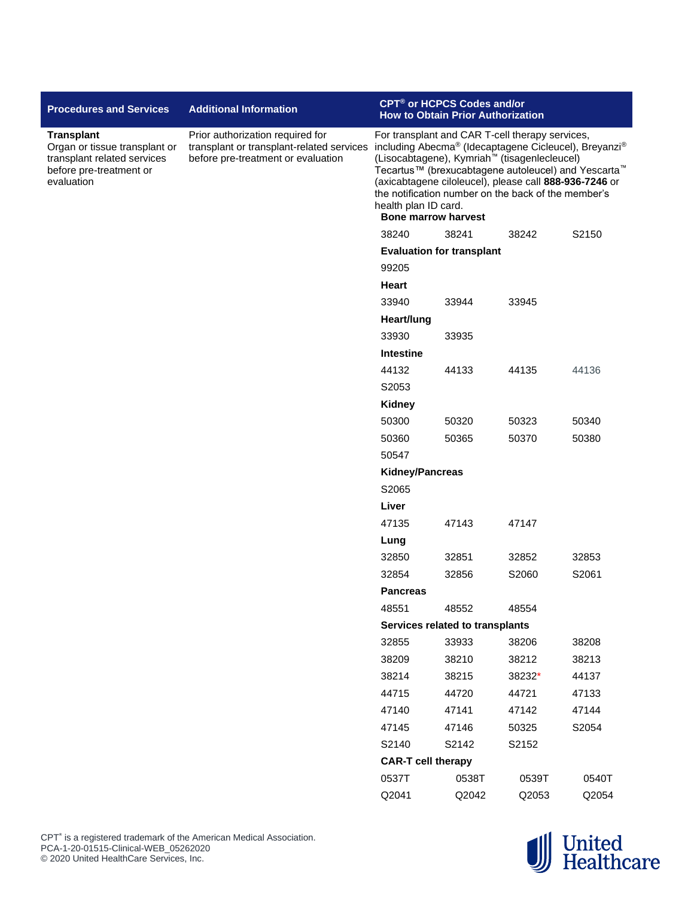| <b>Procedures and Services</b>                                                                                             | <b>Additional Information</b>                                                                                       | CPT <sup>®</sup> or HCPCS Codes and/or<br><b>How to Obtain Prior Authorization</b>                                                                                                                                                                                                                                                                                                                             |                                 |        |       |
|----------------------------------------------------------------------------------------------------------------------------|---------------------------------------------------------------------------------------------------------------------|----------------------------------------------------------------------------------------------------------------------------------------------------------------------------------------------------------------------------------------------------------------------------------------------------------------------------------------------------------------------------------------------------------------|---------------------------------|--------|-------|
| <b>Transplant</b><br>Organ or tissue transplant or<br>transplant related services<br>before pre-treatment or<br>evaluation | Prior authorization required for<br>transplant or transplant-related services<br>before pre-treatment or evaluation | For transplant and CAR T-cell therapy services,<br>including Abecma® (Idecaptagene Cicleucel), Breyanzi®<br>(Lisocabtagene), Kymriah <sup>™</sup> (tisagenlecleucel)<br>Tecartus™ (brexucabtagene autoleucel) and Yescarta <sup>™</sup><br>(axicabtagene ciloleucel), please call 888-936-7246 or<br>the notification number on the back of the member's<br>health plan ID card.<br><b>Bone marrow harvest</b> |                                 |        |       |
|                                                                                                                            |                                                                                                                     | 38240                                                                                                                                                                                                                                                                                                                                                                                                          | S2150                           |        |       |
|                                                                                                                            |                                                                                                                     | 38242<br><b>Evaluation for transplant</b>                                                                                                                                                                                                                                                                                                                                                                      |                                 |        |       |
|                                                                                                                            |                                                                                                                     | 99205                                                                                                                                                                                                                                                                                                                                                                                                          |                                 |        |       |
|                                                                                                                            |                                                                                                                     | Heart                                                                                                                                                                                                                                                                                                                                                                                                          |                                 |        |       |
|                                                                                                                            |                                                                                                                     | 33940                                                                                                                                                                                                                                                                                                                                                                                                          | 33944                           | 33945  |       |
|                                                                                                                            |                                                                                                                     | Heart/lung                                                                                                                                                                                                                                                                                                                                                                                                     |                                 |        |       |
|                                                                                                                            |                                                                                                                     | 33930                                                                                                                                                                                                                                                                                                                                                                                                          | 33935                           |        |       |
|                                                                                                                            |                                                                                                                     | <b>Intestine</b>                                                                                                                                                                                                                                                                                                                                                                                               |                                 |        |       |
|                                                                                                                            |                                                                                                                     | 44132                                                                                                                                                                                                                                                                                                                                                                                                          | 44133                           | 44135  | 44136 |
|                                                                                                                            |                                                                                                                     | S2053                                                                                                                                                                                                                                                                                                                                                                                                          |                                 |        |       |
|                                                                                                                            |                                                                                                                     | <b>Kidney</b>                                                                                                                                                                                                                                                                                                                                                                                                  |                                 |        |       |
|                                                                                                                            |                                                                                                                     | 50300                                                                                                                                                                                                                                                                                                                                                                                                          | 50320                           | 50323  | 50340 |
|                                                                                                                            |                                                                                                                     | 50360                                                                                                                                                                                                                                                                                                                                                                                                          | 50365                           | 50370  | 50380 |
|                                                                                                                            |                                                                                                                     | 50547                                                                                                                                                                                                                                                                                                                                                                                                          |                                 |        |       |
|                                                                                                                            |                                                                                                                     | <b>Kidney/Pancreas</b>                                                                                                                                                                                                                                                                                                                                                                                         |                                 |        |       |
|                                                                                                                            |                                                                                                                     | S2065                                                                                                                                                                                                                                                                                                                                                                                                          |                                 |        |       |
|                                                                                                                            |                                                                                                                     | Liver                                                                                                                                                                                                                                                                                                                                                                                                          |                                 |        |       |
|                                                                                                                            |                                                                                                                     | 47135                                                                                                                                                                                                                                                                                                                                                                                                          | 47143                           | 47147  |       |
|                                                                                                                            |                                                                                                                     | Lung                                                                                                                                                                                                                                                                                                                                                                                                           |                                 |        |       |
|                                                                                                                            |                                                                                                                     | 32850                                                                                                                                                                                                                                                                                                                                                                                                          | 32851                           | 32852  | 32853 |
|                                                                                                                            |                                                                                                                     | 32854                                                                                                                                                                                                                                                                                                                                                                                                          | 32856                           | S2060  | S2061 |
|                                                                                                                            |                                                                                                                     | <b>Pancreas</b>                                                                                                                                                                                                                                                                                                                                                                                                |                                 |        |       |
|                                                                                                                            |                                                                                                                     | 48551                                                                                                                                                                                                                                                                                                                                                                                                          | 48552                           | 48554  |       |
|                                                                                                                            |                                                                                                                     |                                                                                                                                                                                                                                                                                                                                                                                                                | Services related to transplants |        |       |
|                                                                                                                            |                                                                                                                     | 32855                                                                                                                                                                                                                                                                                                                                                                                                          | 33933                           | 38206  | 38208 |
|                                                                                                                            |                                                                                                                     | 38209                                                                                                                                                                                                                                                                                                                                                                                                          | 38210                           | 38212  | 38213 |
|                                                                                                                            |                                                                                                                     | 38214                                                                                                                                                                                                                                                                                                                                                                                                          | 38215                           | 38232* | 44137 |
|                                                                                                                            |                                                                                                                     | 44715                                                                                                                                                                                                                                                                                                                                                                                                          | 44720                           | 44721  | 47133 |
|                                                                                                                            |                                                                                                                     | 47140                                                                                                                                                                                                                                                                                                                                                                                                          | 47141                           | 47142  | 47144 |
|                                                                                                                            |                                                                                                                     | 47145                                                                                                                                                                                                                                                                                                                                                                                                          | 47146                           | 50325  | S2054 |
|                                                                                                                            |                                                                                                                     | S2140                                                                                                                                                                                                                                                                                                                                                                                                          | S2142                           | S2152  |       |
|                                                                                                                            |                                                                                                                     | <b>CAR-T cell therapy</b>                                                                                                                                                                                                                                                                                                                                                                                      |                                 |        |       |
|                                                                                                                            |                                                                                                                     | 0537T                                                                                                                                                                                                                                                                                                                                                                                                          | 0538T                           | 0539T  | 0540T |
|                                                                                                                            |                                                                                                                     | Q2041                                                                                                                                                                                                                                                                                                                                                                                                          | Q2042                           | Q2053  | Q2054 |